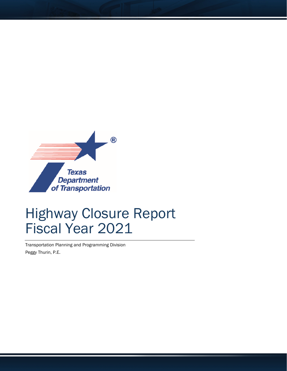

## Highway Closure Report Fiscal Year 2021

Transportation Planning and Programming Division Peggy Thurin, P.E.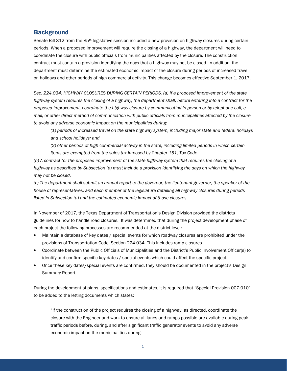## **Background**

Senate Bill 312 from the 85<sup>th</sup> legislative session included a new provision on highway closures during certain periods. When a proposed improvement will require the closing of a highway, the department will need to coordinate the closure with public officials from municipalities affected by the closure. The construction contract must contain a provision identifying the days that a highway may not be closed. In addition, the department must determine the estimated economic impact of the closure during periods of increased travel on holidays and other periods of high commercial activity. This change becomes effective September 1, 2017.

Sec. 224.034. HIGHWAY CLOSURES DURING CERTAIN PERIODS. (a) If a proposed improvement of the state highway system requires the closing of a highway, the department shall, before entering into a contract for the proposed improvement, coordinate the highway closure by communicating in person or by telephone call, email, or other direct method of communication with public officials from municipalities affected by the closure to avoid any adverse economic impact on the municipalities during:

(1) periods of increased travel on the state highway system, including major state and federal holidays and school holidays; and

(2) other periods of high commercial activity in the state, including limited periods in which certain items are exempted from the sales tax imposed by Chapter 151, Tax Code.

(b) A contract for the proposed improvement of the state highway system that requires the closing of a highway as described by Subsection (a) must include a provision identifying the days on which the highway may not be closed.

(c) The department shall submit an annual report to the governor, the lieutenant governor, the speaker of the house of representatives, and each member of the legislature detailing all highway closures during periods listed in Subsection (a) and the estimated economic impact of those closures.

In November of 2017, the Texas Department of Transportation's Design Division provided the districts guidelines for how to handle road closures. It was determined that during the project development phase of each project the following processes are recommended at the district level:

- Maintain a database of key dates / special events for which roadway closures are prohibited under the provisions of Transportation Code, Section 224.034. This includes ramp closures.
- Coordinate between the Public Officials of Municipalities and the District's Public Involvement Officer(s) to identify and confirm specific key dates / special events which could affect the specific project.
- Once these key dates/special events are confirmed, they should be documented in the project's Design Summary Report.

During the development of plans, specifications and estimates, it is required that "Special Provision 007-010" to be added to the letting documents which states:

 "If the construction of the project requires the closing of a highway, as directed, coordinate the closure with the Engineer and work to ensure all lanes and ramps possible are available during peak traffic periods before, during, and after significant traffic generator events to avoid any adverse economic impact on the municipalities during: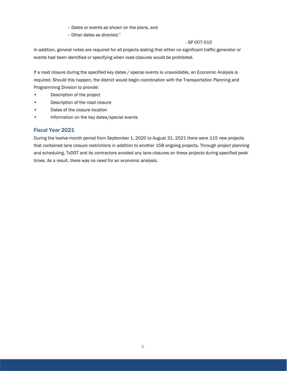- Dates or events as shown on the plans, and
- Other dates as directed."

## - SP 007-010

In addition, general notes are required for all projects stating that either no significant traffic generator or events had been identified or specifying when road closures would be prohibited.

If a road closure during the specified key dates / special events is unavoidable, an Economic Analysis is required. Should this happen, the district would begin coordination with the Transportation Planning and Programming Division to provide:

- Description of the project
- Description of the road closure
- Dates of the closure location
- Information on the key dates/special events

## Fiscal Year 2021

During the twelve-month period from September 1, 2020 to August 31, 2021 there were 115 new projects that contained lane closure restrictions in addition to another 158 ongoing projects. Through project planning and scheduling, TxDOT and its contractors avoided any lane closures on these projects during specified peak times. As a result, there was no need for an economic analysis.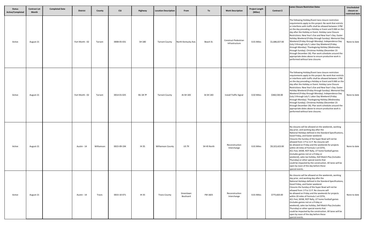| <b>Status</b><br>Active/Completed | <b>Contract Let</b><br>Month | <b>Completed Date</b> | <b>District</b> | County     | <b>CSJ</b>  | Highway         | <b>Location Description</b> | From                   | To          | <b>Work Description</b>                | <b>Project Length</b><br>(Miles) | Contract \$    | Lanes Closure Restriction Dates                                                                                                                                                                                                                                                                                                                                                                                                                                                                                                                                                                                                                                                                                                                                                            | Unscheduled<br>closure on<br>restricted date |
|-----------------------------------|------------------------------|-----------------------|-----------------|------------|-------------|-----------------|-----------------------------|------------------------|-------------|----------------------------------------|----------------------------------|----------------|--------------------------------------------------------------------------------------------------------------------------------------------------------------------------------------------------------------------------------------------------------------------------------------------------------------------------------------------------------------------------------------------------------------------------------------------------------------------------------------------------------------------------------------------------------------------------------------------------------------------------------------------------------------------------------------------------------------------------------------------------------------------------------------------|----------------------------------------------|
| Active                            | August-21                    |                       | Fort Worth - 02 | Tarrant    | 0008-05-031 | SH 180          | <b>Tarrant County</b>       | North Kentucky Ave     | Beach St.   | Construct Pedestrian<br>Infrastructure | 0.01 Miles                       | \$1,686,027.00 | The following Holiday/Event lane closure restriction<br>requirements apply to this project: No work that estricts<br>or interferes with traffic shall be allowed between 3 PM<br>on the day preceding a Holiday or Event and 9 AM on the<br>day after the Holiday or Event. Holiday Lane Closure<br>Restrictions: New Year's Eve and New Year's Day. Easter<br>Holiday Weekend (Friday through Sunday). Memorial Day<br>Weekend (Friday through Monday). Independence Day<br>(July 3 through July 5. Labor Day Weekend (Friday<br>through Monday). Thanksgiving Holiday (Wednesday<br>through Sunday). Christmas Holiday (December 23<br>through December 26). Plan work schedules around the<br>appropriate dates above to ensure productive work is<br>performed without lane closures   | None to date                                 |
| Active                            | August-21                    |                       | Fort Worth - 02 | Tarrant    | 0014-01-025 | <b>BU 28 7P</b> | <b>Tarrant County</b>       | At SH 183              | At SH 183   | <b>Install Traffic Signal</b>          | 0.02 Miles                       | \$360,530.00   | The following Holiday/Event lane closure restriction<br>requirements apply to this project: No work that restricts<br>or interferes with traffic shall be allowed between 3 PM<br>on the day preceding a Holiday or Event and 9 AM on the<br>day after the Holiday or Event. Holiday Lane Closure<br>Restrictions: New Year's Eve and New Year's Day. Easter<br>Holiday Weekend (Friday through Sunday). Memorial Day<br>Weekend (Friday through Monday). Independence Day<br>(July 3 through July 5. Labor Day Weekend (Friday<br>through Monday). Thanksgiving Holiday (Wednesday<br>through Sunday). Christmas Holiday (December 23<br>through December 26). Plan work schedules around the<br>appropriate dates above to ensure productive work is<br>performed without lane closures. | None to date                                 |
| Active                            | August-21                    |                       | Austin - 14     | Williamson | 0015-09-194 | IH 35           | <b>Williamson County</b>    | <b>US 79</b>           | SH 45 North | Reconstruction<br>Interchange          | 0.01 Miles                       | \$9,323,423.00 | No closures will be allowed on the weekends, working<br>day prior, and working day after the<br>National Holidays defined in the Standard Specifications,<br>Good Friday, and Easter weekend.<br>Closures the Sunday of the Super Bowl will not be<br>allowed from 1 P to 11 P. No closures will<br>be allowed on Friday and the weekends for projects<br>within 20 miles of Formula 1 at COTA,<br>ACL Fest, SXSW, ROT Rally, UT home football games<br>(includes games not on a Friday or<br>weekend), sales tax holiday, Dell Match Play (includes<br>Thursday) or other special events that<br>could be impacted by the construction. All lanes will be<br>open by noon of the day before these<br>special events.                                                                      | None to date                                 |
| Active                            | August-21                    |                       | Austin - 14     | Travis     | 0015-10-071 | IH 35           | <b>Travis County</b>        | Greenlawn<br>Boulivard | FM 1825     | Reconstruction<br>Interchange          | 0.01 Miles                       | \$775,820.00   | No closures will be allowed on the weekends, working<br>day prior, and working day after the<br>National Holidays defined in the Standard Specifications,<br>Good Friday, and Easter weekend.<br>Closures the Sunday of the Super Bowl will not be<br>allowed from 1 P to 11 P. No closures will<br>be allowed on Friday and the weekends for projects<br>within 20 miles of Formula 1 at COTA,<br>ACL Fest, SXSW, ROT Rally, UT home football games<br>(includes games not on a Friday or<br>weekend), sales tax holiday, Dell Match Play (includes<br>Thursday) or other special events that<br>could be impacted by the construction. All lanes will be<br>open by noon of the day before these<br>special events.                                                                      | None to date                                 |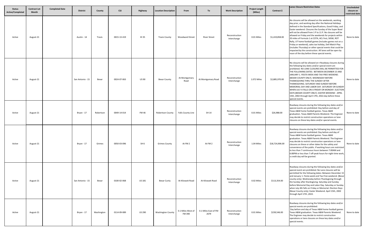| <b>Status</b><br>Active/Completed | <b>Contract Let</b><br>Month | <b>Completed Date</b> | <b>District</b>  | County     | <b>CSJ</b>  | Highway         | <b>Location Description</b> | From                        | To                           | <b>Work Description</b>       | <b>Project Length</b><br>(Miles) | Contract \$     | Lanes Closure Restriction Dates                                                                                                                                                                                                                                                                                                                                                                                                                                                                                                                                                                                                                                                                              | Unscheduled<br>closure on<br>restricted date |
|-----------------------------------|------------------------------|-----------------------|------------------|------------|-------------|-----------------|-----------------------------|-----------------------------|------------------------------|-------------------------------|----------------------------------|-----------------|--------------------------------------------------------------------------------------------------------------------------------------------------------------------------------------------------------------------------------------------------------------------------------------------------------------------------------------------------------------------------------------------------------------------------------------------------------------------------------------------------------------------------------------------------------------------------------------------------------------------------------------------------------------------------------------------------------------|----------------------------------------------|
| Active                            | August-21                    |                       | Austin - 14      | Travis     | 0015-13-419 | IH 35           | <b>Travis County</b>        | <b>Woodward Street</b>      | <b>River Street</b>          | Reconstruction<br>Interchange | 0.01 Miles                       | \$1,419,858.00  | No closures will be allowed on the weekends, working<br>day prior, and working day after the National Holidays<br>defined in the Standard Specifications, Good Friday, and<br>Easter weekend. Closures the Sunday of the Super Bowl<br>will not be allowed from 1 P to 11 P. No closures will be<br>allowed on Friday and the weekends for projects within<br>20 miles of Formula 1 at COTA, ACL Fest, SXSW, ROT<br>Rally, UT home football games (includes games not on a<br>Friday or weekend), sales tax holiday, Dell Match Play<br>(includes Thursday) or other special events that could be<br>impacted by the construction. All lanes will be open by<br>noon of the day before these special events. | None to date                                 |
| Active                            | August-21                    |                       | San Antonio - 15 | Bexar      | 0024-07-063 | <b>US 90</b>    | <b>Bexar County</b>         | At Montgomary<br>Road       | At Montgomary Road           | Reconstruction<br>Interchange | 1.072 Miles                      | \$2,885,970.00  | No closures will be allowed on t Roadway closures during<br>the following key dates and/or special event are<br>prohibited. NO LANE CLOSURES WILL BE PERMITTED FOR<br>THE FOLLOWING DATES: BETWEEN DECEMBER 15 AND<br>JANUARY 1. FIESTA WEEK AND TAX-FREE WEEKEND.<br>(BEXAR COUNTY ONLY). WEDNESDAY BEFORE<br>THANKSGIVING THRU THE SUNDAY AFTER<br>THANKSGIVING. SATURDAY AND SUNDAY BEFORE<br>MEMORIAL DAY AND LABOR DAY. SATURDAY OR SUNDAY<br>WHEN JULY 4 FALLS ON A FRIDAY OR MONDAY. ELECTION<br>DAYS (BEXAR COUNTY ONLY). EASTER WEEKEND - APRIL<br>15th, 2002 through April 17th, 2022.day before these<br>special events.                                                                          | None to date                                 |
| Active                            | August-21                    |                       | Bryan - 17       | Robertson  | 0049-14-014 | <b>FM46</b>     | <b>Robertson County</b>     | Falls County Line           | SH 14                        | Reconstruction<br>Interchange | 0.01 Miles                       | \$26,988.00     | Roadway closures during the following key dates and/or<br>special events are prohibited: Day before and day of<br>Texas A&M home football games. Texas A&M<br>graduation. Texas A&M Parents Weekend. The Engineer<br>may decide to restrict construction operations or lane<br>closures on these key dates and/or special events.                                                                                                                                                                                                                                                                                                                                                                            | None to date                                 |
| Active                            | August-21                    |                       | Bryan - 17       | Grimes     | 0050-03-096 | SH <sub>6</sub> | <b>Grimes County</b>        | At FM 2                     | At FM 2                      | Reconstruction<br>Interchange | 1.04 Miles                       | \$18,724,906.00 | Roadway closures during the following key dates and/or<br>special events are prohibited: Day before and day of<br>Texas A&M home football games. Texas A&M<br>graduation. Texas A&M Parents Weekend. The Engineer<br>may decide to restrict construction operations or lane<br>closures on these or other dates for the safety and<br>convenience of the public. If working hours are restricted<br>to less than 7 continuous hours between 7:00AM and<br>6:00PM or less than 7 off-peak hours for night-time work,<br>a credit day will be granted.                                                                                                                                                         | None to date                                 |
| Active                            | August-21                    |                       | San Antonio - 15 | Bexar      | 0100-02-068 | <b>US 181</b>   | <b>Bexar Cunty</b>          | At Kilowatt Road            | At Kilowatt Road             | Reconstruction<br>Interchange | 0.02 Miles                       | \$113,354.00    | Roadway closures during the following key dates and/or<br>special event are prohibited. No Lane closures will be<br>permitted for the following dates: Between December 15<br>and January 1. Fiesta week and Tax-Free weekend. (Bexal<br>county only). Wednesday before Thanksgiving through<br>the Sunday after thanksgiving. Saturday and Sunday<br>before Memorial Day and Labor Day. Saturday or Sunday<br>when July 4th falls on Friday or Memorial. Election Days<br>(Bexar County only). Easter Weekend. April 15th, 2002<br>through April 17th, 2022.                                                                                                                                                |                                              |
| Active                            | August-21                    |                       | Bryan - 17       | Washington | 0114-09-089 | <b>US 290</b>   | <b>Washington County</b>    | 0.1 Miles West of<br>FM 390 | 0.1 Miles East of FM<br>2679 | Reconstruction<br>Interchange | 0.01 Miles                       | \$239,546.00    | Roadway closures during the following key dates and/or<br>special events are prohibited:<br>Day before and day of Texas A&M home football games.<br>Texas A&M graduation. Texas A&M Parents Weekend.<br>The Engineer may decide to restrict construction<br>operations or lane closures on these key dates and/or<br>special events.                                                                                                                                                                                                                                                                                                                                                                         | None to date                                 |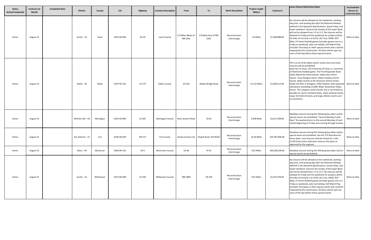| <b>Status</b><br><b>Active/Completed</b> | <b>Contract Let</b><br>Month | <b>Completed Date</b> | <b>District</b>    | County     | <b>CSJ</b>  | Highway         | <b>Location Description</b> | From                          | To                                       | <b>Work Description</b>       | <b>Project Length</b><br>(Miles) | Contract \$     | <b>Lanes Closure Restriction Dates</b>                                                                                                                                                                                                                                                                                                                                                                                                                                                                                                                                                                                                                                                                       | Unscheduled<br>closure on<br>restricted date |
|------------------------------------------|------------------------------|-----------------------|--------------------|------------|-------------|-----------------|-----------------------------|-------------------------------|------------------------------------------|-------------------------------|----------------------------------|-----------------|--------------------------------------------------------------------------------------------------------------------------------------------------------------------------------------------------------------------------------------------------------------------------------------------------------------------------------------------------------------------------------------------------------------------------------------------------------------------------------------------------------------------------------------------------------------------------------------------------------------------------------------------------------------------------------------------------------------|----------------------------------------------|
| Active                                   | August-21                    |                       | Austin - 14        | Llano      | 0150-04-046 | SH 29           | Liano County                | 0.3 Miles Weast of<br>RM 2241 | 3.8 Miles East of RM<br>2241             | Reconstruction<br>Interchange | 4.0 Miles                        | \$7,398,988.00  | No closures will be allowed on the weekends, working<br>day prior, and working day after the National Holidays<br>defined in the Standard Specifications, Good Friday, and<br>Easter weekend. Closures the Sunday of the Super Bowl<br>will not be allowed from 1 P to 11 P. No closures will be<br>allowed on Friday and the weekends for projects within<br>20 miles of Formula 1 at COTA, ACL Fest, SXSW, ROT<br>Rally, UT home football games (includes games not on a<br>Friday or weekend), sales tax holiday, Dell Match Play<br>(includes Thursday) or other special events that could be<br>impacted by the construction. All lanes will be open by<br>noon of the day before these special events. | None to date                                 |
| Active                                   | August-21                    |                       | Dallas - 18        | Dallas     | 0197-02-132 | <b>US 175</b>   | Dallas County               | SH 310                        | Malloy Bridge Road                       | Reconstruction<br>Interchange | 15.115 Miles                     | \$1,839,517.00  | This is a list of the dates and/or events lane and ramp<br>closures will be prohibited:<br>State Fair of Texas. The University of Texas vs. University<br>of Oklahoma football game. The First Responder Bowl.<br>Dallas Mavericks Home Games. Dallas Stars Home<br>Games. Texas Rangers Home. Dallas Cowboys Home<br>Games. Major Events at the American Airline Center,<br>Globe Life Park in Arlington, AT&T Stadium with expected<br>attendance exceeding 15,000. Major Downtown Dallas<br>Events. This category could include, but is not limited to,<br>parades for sports championships, major political events,<br>major Art District Events, and large athletic events such<br>as marathons.        | None to date                                 |
| Active                                   | August-21                    |                       | Wichita Falls - 03 | Montague   | 0224-03-060 | <b>US 287</b>   | <b>Montague County</b>      | Near Jackson Road             | US 81                                    | Reconstruction<br>Interchange | 5.828 Miles                      | \$3,227,338.00  | Roadway closures during the following key dates and/or<br>special events are prohibited: "Second Monday Trade<br>Days" the weekend prior to the second Monday of each<br>month beginning on Friday and running through Sunday                                                                                                                                                                                                                                                                                                                                                                                                                                                                                | None to date                                 |
| Active                                   | August-21                    |                       | San Antonio - 15   | Frio       | 0236-04-029 | FM 117          | <b>Frio County</b>          |                               | Zavala County Line Klopek Road (CR 4614) | Reconstruction<br>Interchange | 16.26 Miles                      | \$24,787,006.00 | Roadway closures during the following key dates and/or<br>special event are prohibited. See the TCP Narrative for<br>these dates. Lane closures shall be limited to 1 mile<br>(5,250 feet) unless otherwise show on the plans or<br>approved by the engineer.                                                                                                                                                                                                                                                                                                                                                                                                                                                | None to date                                 |
| Active                                   | August-21                    |                       | Waco - 09          | McLennan   | 0258-09-142 | SH <sub>6</sub> | <b>McLennan County</b>      | <b>US 84</b>                  | IH 35                                    | Reconstruction<br>Interchange | 0.01 Miles                       | \$45,200,328.00 | Roadway closures during the following key dates and /or<br>special events are prohibited.                                                                                                                                                                                                                                                                                                                                                                                                                                                                                                                                                                                                                    | None to date                                 |
| Active                                   | August-21                    |                       | Austin - 14        | Williamson | 0273-04-048 | <b>US 183</b>   | <b>Williamson County</b>    | RM 1869                       | <b>CR 258</b>                            | Reconstruction<br>Interchange | 0.01 Miles                       | \$2,357,074.00  | No closures will be allowed on the weekends, working<br>day prior, and working day after the National Holidays<br>defined in the Standard Specifications, Good Friday, and<br>Easter weekend. Closures the Sunday of the Super Bowl<br>will not be allowed from 1 P to 11 P. No closures will be<br>allowed on Friday and the weekends for projects within<br>20 miles of Formula 1 at COTA, ACL Fest, SXSW, ROT<br>Rally, UT home football games (includes games not on a<br>Friday or weekend), sales tax holiday, Dell Match Play<br>(includes Thursday) or other special events that could be<br>impacted by the construction. All lanes will be open by<br>noon of the day before these special events. | None to date                                 |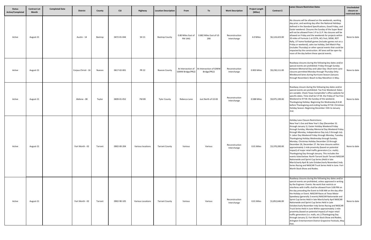| <b>Status</b><br>Active/Completed | <b>Contract Let</b><br>Month | <b>Completed Date</b> | <b>District</b>     | County        | <b>CSJ</b>  | Highway           | <b>Location Description</b> | From                                   | To                                     | <b>Work Description</b>       | <b>Project Length</b><br>(Miles) | Contract \$    | <b>Lanes Closure Restriction Dates</b>                                                                                                                                                                                                                                                                                                                                                                                                                                                                                                                                                                                                                                                                                                                                                                                                                                                                                   | Unscheduled<br>closure on<br>restricted date |
|-----------------------------------|------------------------------|-----------------------|---------------------|---------------|-------------|-------------------|-----------------------------|----------------------------------------|----------------------------------------|-------------------------------|----------------------------------|----------------|--------------------------------------------------------------------------------------------------------------------------------------------------------------------------------------------------------------------------------------------------------------------------------------------------------------------------------------------------------------------------------------------------------------------------------------------------------------------------------------------------------------------------------------------------------------------------------------------------------------------------------------------------------------------------------------------------------------------------------------------------------------------------------------------------------------------------------------------------------------------------------------------------------------------------|----------------------------------------------|
| Active                            | August-21                    |                       | Austin - 14         | Bastrop       | 0472-01-044 | SH 21             | <b>Bastrop County</b>       | 0.80 Miles East of<br>FM 1441          | 0.882 Miles East of US<br>290          | Reconstruction<br>Interchange | 4.0 Miles                        | \$6,124,423.00 | No closures will be allowed on the weekends, working<br>day prior, and working day after the National Holidays<br>defined in the Standard Specifications, Good Friday, and<br>Easter weekend. Closures the Sunday of the Super Bowl<br>will not be allowed from 1 P to 11 P. No closures will be<br>allowed on Friday and the weekends for projects within<br>20 miles of Formula 1 at COTA, ACL Fest, SXSW, ROT<br>Rally, UT home football games (includes games not on a<br>Friday or weekend), sales tax holiday, Dell Match Play<br>(includes Thursday) or other special events that could be<br>impacted by the construction. All lanes will be open by<br>noon of the day before these special events.                                                                                                                                                                                                             | None to date                                 |
| Active                            | August-21                    |                       | Corpus Christi - 16 | <b>Nueces</b> | 0617-02-001 | <b>PR 22</b>      | <b>Nueces County</b>        | At Intersection of<br>GIWW Bridge/PR22 | At Intersection of GIWW<br>Bridge/PR22 | Reconstruction<br>Interchange | 0.903 Miles                      | \$9,230,111.00 | Roadway closures during the following key dates and/or<br>special events are prohibited: Friday through Sunday<br>between Memorial Day and Labor Day: Short term Lane<br>closures permitted Monday through Thursday Only:<br>Westbound lanes during Hurricane Season (January<br>through November): Beach to Bay Marathon in May.                                                                                                                                                                                                                                                                                                                                                                                                                                                                                                                                                                                        | None to date                                 |
| Active                            | August-21                    |                       | Abilene - 08        | Taylor        | 0699-01-052 | <b>FM 89</b>      | <b>Tylor County</b>         | Rebecca Lane                           | Just North of US 83                    | Reconstruction<br>Interchange | 0.588 Miles                      | \$9,975,199.00 | Roadway closure during the following key dates and/or<br>special events are prohibited. Tax Free Weekend: Dates<br>are variable. Check Texas Comptroller's office website for<br>specific dates. Time shall be 5 P.M. the Friday of Tax Free<br>Weekend to 9 P.M. the Sunday of the weekend.<br>Thanksgiving Holiday: Beginning the Wednesday 8 A.M.<br>before Thanksgiving and ending Sunday 9 P.M. Christmas<br>Holiday Season: Beginning December 15th to January<br>2nd.                                                                                                                                                                                                                                                                                                                                                                                                                                             | None to date                                 |
| Active                            | August-21                    |                       | Fort Worth - 02     | Tarrant       | 0902-00-204 | Various locations | <b>Tarrant County</b>       | Various                                | Various                                | Reconstruction<br>Interchange | 0.01 Miles                       | \$3,370,200.00 | <b>Holiday Lane Closure Restrictions:</b><br>New Year's Eve and New Year's Day (December 31<br>through January 1). Easter Holiday Weekend Friday<br>through Sunday, Monday Memorial Day Weekend Friday<br>through Monday, Independence Day July 3 through July<br>5. Labor Day Weekend Friday through Monday, Tuesday.<br>Thanksgiving Holiday Wednesday through Sunday.<br>Monday. Christmas Holiday December 23 through<br>December 26, December 27. No lane closures within<br>approximately 1 mile proximity (based on potential<br>impact) of major retail traffic generators (i.e. malls).<br>Thanksgiving Day through January. This includes the<br>events listed below: North Tarrant South Tarrant NASCAR<br>Nationwide and Sprint Cup Series (Held in late<br>March/early April & Late October/early November) Indy<br>Series Racing and NASCAR Truck Series Held in June. Fort<br>Worth Stock Show and Rodeo. | None to date                                 |
| Active                            | August-21                    |                       | Fort Worth - 02     | Tarrant       | 0902-90-105 | Various Locations | <b>Tarrant County</b>       | Various                                | Various                                | Reconstruction<br>Interchange | 0.01 Miles                       | \$1,852,646.00 | Roadway closures during the following key dates and/or<br>special events are prohibited, unless approved in writing<br>by the Engineer. Events: No work that restricts or<br>interferes with traffic shall be allowed from 3:00 PM on<br>the day preceding the Event to 9:00 AM on the day after<br>the Holiday or Event. NASCAR Races at Texas Motor<br>Speedway (generally 3 events) NASCAR Nationwide and<br>Sprint Cup Series Held in late March/early April NASCAR<br>Nationwide and Sprint Cup Series Held in Late<br>October/early November Indy Series Racing and NASCAR<br>Truck Series Held in June Within approximately 1 mile<br>proximity (based on potential impact) of major retail<br>traffic generators (i.e. malls, etc.) (Thanksgiving Day<br>through January 2). Fort Worth Stock Show and Rodeo,<br>Arlington Entertainment District Grapevine Festivals, May<br>Fest.                              | None to date                                 |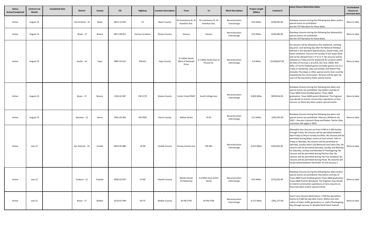| <b>Status</b><br><b>Active/Completed</b> | <b>Contract Let</b><br><b>Month</b> | <b>Completed Date</b> | <b>District</b>  | County        | <b>CSJ</b>  | Highway           | <b>Location Description</b> | From                                         | To                                     | <b>Work Description</b>       | <b>Project Length</b><br>(Miles) | Contract \$    | <b>Lanes Closure Restriction Dates</b>                                                                                                                                                                                                                                                                                                                                                                                                                                                                                                                                                                                                                                                                       | Unscheduled<br>closure on<br>restricted date |
|------------------------------------------|-------------------------------------|-----------------------|------------------|---------------|-------------|-------------------|-----------------------------|----------------------------------------------|----------------------------------------|-------------------------------|----------------------------------|----------------|--------------------------------------------------------------------------------------------------------------------------------------------------------------------------------------------------------------------------------------------------------------------------------------------------------------------------------------------------------------------------------------------------------------------------------------------------------------------------------------------------------------------------------------------------------------------------------------------------------------------------------------------------------------------------------------------------------------|----------------------------------------------|
| Active                                   | August-21                           |                       | San Antonio - 15 | Bexar         | 0915-12-625 | CS                | <b>Bexar County</b>         | On Commerce St. A<br>Hamilton Ave.           | On Commerce St. At<br>Hamilton Ave.    | Reconstruction<br>Interchange | 0.01 Miles                       | \$238,945.00   | Roadway closures during the following key dates and/or<br>special event are prohibited.<br>See the TCP Narrative for these dates.                                                                                                                                                                                                                                                                                                                                                                                                                                                                                                                                                                            | None to date                                 |
| Active                                   | August-21                           |                       | Bryan - 17       | Brazos        | 0917-00-051 | Various locations | <b>Brazos County</b>        | Various                                      | Various                                | Reconstruction<br>Interchange | 0.01 Miles                       | \$230,300.00   | Roadway closures during the following key datesand/or<br>special events are prohibited.<br>See the TCP Narrative for these dates.                                                                                                                                                                                                                                                                                                                                                                                                                                                                                                                                                                            | None to date                                 |
| Active                                   | August-21                           |                       | Austin - 14      | Hays          | 0987-03-012 | FM 621            | <b>Hays County</b>          | 0.1 Miles North<br>West of DeZavala<br>Drive | 0.1 Miles South East of<br>Picasso Dr. | Reconstruction<br>Interchange | 4.0 Miles                        | \$3,558,837.00 | No closures will be allowed on the weekends, working<br>day prior, and working day after the National Holidays<br>defined in the Standard Specifications, Good Friday, and<br>Easter weekend. Closures the Sunday of the Super Bowl<br>will not be allowed from 1 P to 11 P. No closures will be<br>allowed on Friday and the weekends for projects within<br>20 miles of Formula 1 at COTA, ACL Fest, SXSW, ROT<br>Rally, UT home football games (includes games not on a<br>Friday or weekend), sales tax holiday, Dell Match Play<br>(includes Thursday) or other special events that could be<br>impacted by the construction. All lanes will be open by<br>noon of the day before these special events. | None to date                                 |
| Active                                   | August-21                           |                       | Bryan - 17       | <b>Brazos</b> | 1316-01-067 | FM 1179           | <b>Brazos County</b>        | Carter Creek PKWY                            | South College Ave.                     | Reconstruction<br>Interchange | 0.833 Miles                      | \$878,914.00   | Roadway closures during the following key dates and<br>special events are prohibited: Day before and day of<br>Texas A&M home football games. Texas A&M<br>graduation, Texas A&M parent Weekend. The Engineer<br>may decide to restrict construction operations or lane<br>closures on these key dates and/or special events.                                                                                                                                                                                                                                                                                                                                                                                | None to date                                 |
| Active                                   | August-21                           |                       | Houston - 12     | Harris        | 2941-02-062 | FM 2920           | <b>Harris County</b>        | <b>Willow Street</b>                         | IH 45                                  | Reconstruction<br>Interchange | 12.2 Miles                       | \$765,291.00   | Roadway closures during the following key dates and<br>special events are prohibited: February 28-March 20,<br>2022 - Houston Livestock Show and Rodeo. Similar Date<br>restriction will apply in 2023.                                                                                                                                                                                                                                                                                                                                                                                                                                                                                                      | None to date                                 |
| Active                                   | July-21                             |                       | San Antonio - 15 | Uvalde        | 0023-05-086 | <b>US 90</b>      | Uvalde County               | Kinney County Line                           | FM 481                                 | Reconstruction<br>Interchange | 0.615 Miles                      | \$331,823.00   | Allowable lane closures are from 9 PM to 5 AM Sunday<br>through Friday. No closures will be permitted between<br>4pm Friday to 09 pm Sunday Facilities. No closures will be<br>permitted during Major events at local school. Falls on<br>Friday or Monday. No closures will be permitted on<br>Saturday, Sunday when July Memorial and Labor Day. No<br>closures will be permitted Saturday, Sunday and Monday<br>for Saturday, Sunday and Monday of Thanksgiving. No<br>closures will be permitted during Election Day. No<br>closures will be permitted during Tax Free weekend. No<br>closures will be permitted during Fiesta. No closures will<br>be permitted between December 15 and January 1.      | None to date                                 |
| Active                                   | July-21                             |                       | Yoakum - 13      | Fayette       | 0026-02-037 | <b>US 90</b>      | <b>Fayette County</b>       | <b>Market Street</b><br>(In flat5onia)       | 0.4 Miles East of Elm<br>Street        | Reconstruction<br>Interchange | 0.01 Miles                       | \$775,032.00   | Roadway closures during the following key dates and/or<br>special events are prohibited: Day before and day of<br>Texas A&M home football games Texas A&M graduation<br>Texas A&M Parents Weekend. The Engineer may decide<br>to restrict construction operations or lane closures on<br>these key dates and/or special events.                                                                                                                                                                                                                                                                                                                                                                              | None to date                                 |
| Active                                   | July-21                             |                       | Bryan - 17       | Walker        | 0110-01-049 | SH 75             | <b>Walker County</b>        | At FM 2793                                   | At FM 2793                             | Reconstruction<br>Interchange | 0.171 Miles                      | \$761,277.00   | Event Lane Closures Restrictions: 3 PM the day before<br>Events to 9 AM the day after Event. Within one mile<br>radius of major traffic generators i.e. malls (Thanksgiving<br>Day through January 2). Weatherford Peach Festival.                                                                                                                                                                                                                                                                                                                                                                                                                                                                           | None to date                                 |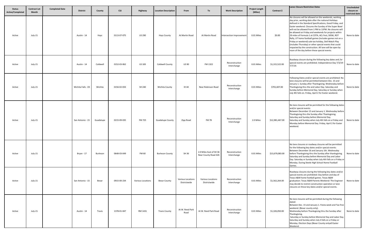| <b>Status</b><br><b>Active/Completed</b> | <b>Contract Let</b><br><b>Month</b> | <b>Completed Date</b> | <b>District</b>    | County    | <b>CSJ</b>  | Highway           | <b>Location Description</b> | From                              | To                                              | <b>Work Description</b>       | <b>Project Length</b><br>(Miles) | Contract \$     | <b>Lanes Closure Restriction Dates</b>                                                                                                                                                                                                                                                                                                                                                                                                                                                                                                                                                                                                                                                           | Unscheduled<br>closure on<br>restricted date |
|------------------------------------------|-------------------------------------|-----------------------|--------------------|-----------|-------------|-------------------|-----------------------------|-----------------------------------|-------------------------------------------------|-------------------------------|----------------------------------|-----------------|--------------------------------------------------------------------------------------------------------------------------------------------------------------------------------------------------------------------------------------------------------------------------------------------------------------------------------------------------------------------------------------------------------------------------------------------------------------------------------------------------------------------------------------------------------------------------------------------------------------------------------------------------------------------------------------------------|----------------------------------------------|
| Active                                   | July-21                             |                       | Austin - 14        | Hays      | 0113-07-075 | <b>US 290</b>     | <b>Hays County</b>          | At Martin Road                    | At Martin Road                                  | Intersection Improvement      | 0.01 Miles                       | \$0.00          | No closures will be allowed on the weekends, working<br>day prior, working date after the national Holidays<br>defined in the Standard Specifications, Good Friday, and<br>Easter weekend. Closures the Sunday of the Super Bowl<br>will not be allowed from 1 PM to 11PM. No closures will<br>be allowed on Friday and weekends for projects within<br>29 miles of Formula 1 at COTA, ACL Fest, SXSW, ROT<br>Rally, UT home football games (includes games not on a<br>Friday or weekend) sale tax holiday, Dell Match Play<br>(includes Thursday) or other special events that could<br>impacted by the construction. All lane will be open by<br>noon of the day before these special events. | None to date                                 |
| Active                                   | July-21                             |                       | Austin - 14        | Caldwell  | 0152-03-062 | <b>US 183</b>     | Caldwell County             | <b>US 90</b>                      | FM 1322                                         | Reconstruction<br>Interchange | 0.01 Miles                       | \$1,315,522.00  | Roadway closure during the following key dates and /or<br>special events are prohibited. Independence Day 7/3/19<br>7/7/19.                                                                                                                                                                                                                                                                                                                                                                                                                                                                                                                                                                      | None to date                                 |
| Active                                   | July-21                             |                       | Wichita Falls - 03 | Wichita   | 0156-02-033 | SH 240            | Wichita County              | <b>IH44</b>                       | Near Robinson Road                              | Reconstruction<br>Interchange | 0.01 Miles                       | \$701,607.00    | Following Dates and/or special events are prohibited: No<br>lane closures will be permitted between Dec. 15 and<br>January 1. Sunday after Thanksgiving. Wednesday before<br>Thanksgiving thru the and Labor Day. Saturday and<br>Sunday before Memorial Day. Saturday or Sunday when<br>July 4th falls on. Friday, April 2 for Easter weekend.                                                                                                                                                                                                                                                                                                                                                  | None to date                                 |
| Active                                   | July-21                             |                       | San Antonio - 15   | Guadalupe | 0215-09-035 | <b>FM 725</b>     | <b>Guadalupe County</b>     | Zipp Road                         | FM 78                                           | Reconstruction<br>Interchange | 2.0 Miles                        | \$12,981,467.00 | No lane closures will be permitted for the following dates<br>and/or special events:<br>Between December 15 and January 1. Wednesday before<br>Thanksgiving thru the Sunday after Thanksgiving.<br>Saturday and Sunday before Memorial Day.<br>Saturday and Sunday when July 4th falls on a Friday and<br>Monday before Memorial Day. Friday, April 2 for Easter<br>weekend.                                                                                                                                                                                                                                                                                                                     | None to date                                 |
| Active                                   | July-21                             |                       | Bryan - 17         | Burleson  | 0648-03-049 | FM 60             | <b>Burleson County</b>      | SH 36                             | 2.0 Miles East of SH 36<br>Near County Road 426 | Reconstruction<br>Interchange | 0.01 Miles                       | \$13,679,083.00 | No lane closures or roadway closures will be permitted<br>for the following key dates and/or special events:<br>Between December 16 and January 1th. Wednesday<br>before Thanksgiving thru the Sunday after thanksgiving.<br>Saturday and Sunday before Memorial Day and Labor<br>Day. Saturday or Sunday when July 4th falls on a Friday or<br>Monday. During Steele High School Home Football<br>Games.                                                                                                                                                                                                                                                                                        | None to date                                 |
| Active                                   | July-21                             |                       | San Antonio - 15   | Bexar     | 0915-00-234 | Various Locations | <b>Bexar County</b>         | Various Locations<br>Districtwide | Various Locations<br>Districtwide               | Reconstruction<br>Interchange | 0.01 Miles                       | \$1,562,264.00  | Roadway closures during the following key dates and/or<br>special events are prohibited: Day before and day of<br>Texas A&M home football games. Texas A&M<br>graduation: Texas A&M Parents Weekend: The Engineer<br>may decide to restrict construction operation or lane<br>closures on these key dates and/or special events.                                                                                                                                                                                                                                                                                                                                                                 | None to date                                 |
| Active                                   | July-21                             |                       | Austin - 14        | Travis    | 1378-01-047 | RM 1431           | <b>Travis County</b>        | At W. Reed Park<br>Road           | At W. Reed Park Road                            | Reconstruction<br>Interchange | 0.01 Miles                       | \$1,326,050.00  | No lane closures will be permitted during the following<br>dated:<br>Between Dec. 15 and January 1. Fiesta week and Tax-free<br>weekend. (Bexar county only).<br>Wednesday before Thanksgiving thru the Sunday after<br>Thanksgiving.<br>Saturday or Sunday before Memorial Day and Labor Day.<br>Saturday and Sunday when July 4 falls on a Friday or<br>Monday. Election Days (Bexar County onlya0 Easter<br>Weekend.                                                                                                                                                                                                                                                                          | None to date                                 |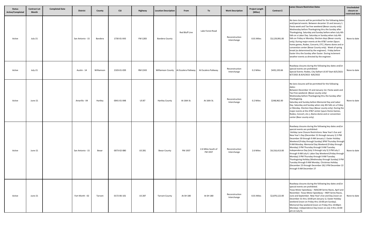| <b>Status</b><br>Active/Completed | <b>Contract Let</b><br><b>Month</b> | <b>Completed Date</b> | <b>District</b>  | County     | <b>CSJ</b>  | Highway       | <b>Location Description</b> | From                                   | To                            | <b>Work Description</b>       | <b>Project Length</b><br>(Miles) | Contract \$    | <b>Lanes Closure Restriction Dates</b>                                                                                                                                                                                                                                                                                                                                                                                                                                                                                                                                                                                                                                                                                                                                                  | Unscheduled<br>closure on<br>restricted date |
|-----------------------------------|-------------------------------------|-----------------------|------------------|------------|-------------|---------------|-----------------------------|----------------------------------------|-------------------------------|-------------------------------|----------------------------------|----------------|-----------------------------------------------------------------------------------------------------------------------------------------------------------------------------------------------------------------------------------------------------------------------------------------------------------------------------------------------------------------------------------------------------------------------------------------------------------------------------------------------------------------------------------------------------------------------------------------------------------------------------------------------------------------------------------------------------------------------------------------------------------------------------------------|----------------------------------------------|
| Active                            | July-21                             |                       | San Antonio - 15 | Bandera    | 1730-01-043 | FM 1283       | <b>Bandera County</b>       | Red Bluff Line                         | Lake Forest Road              | Reconstruction<br>Interchange | 0.01 Miles                       | \$3,129,991.00 | No lane closures will be permitted for the following dates<br>and/special events. Between decanter 15 and January 1<br>Fiesta week and Tax-free weekend (Bexar county only).<br>Wednesday before Thanksgiving thru the Sunday after<br>Thanksgiving. Saturday and Sunday before when July 4th<br>falls on a Labor Day. Saturday or Sunday when July 4th<br>falls on Friday or Monday. Election days (Bexar county<br>only). During major events at the AT&T center (Spurs<br>home games, Rodeo, Concerts, ETC.) Alamo dome and or<br>convention center (Bexar County only). Week of spring<br>break (as determined by the engineer). Friday before<br>Easter thru the Sunday after Easter. During inclement<br>weather events as directed by the engineer.                              | None to date                                 |
| Active                            | July-21                             |                       | Austin - 14      | Williamson | 2103-01-039 | RM 2243       |                             | Williamson County At Escalera Patkway. | At Escalera Patkway.          | Reconstruction<br>Interchange | 0.2 Miles                        | \$435,193.66   | Roadway closures during the following key dates and/or<br>special events are prohibited:<br>Special Events: Rodeo, City Dalhart US 87 Start 8/5/2021<br>8/7/2021 & 8/4/2022-8/6/2022                                                                                                                                                                                                                                                                                                                                                                                                                                                                                                                                                                                                    | None to date                                 |
| Active                            | June-21                             |                       | Amarillo - 04    | Hartley    | 0041-01-048 | <b>US 87</b>  | <b>Hartley County</b>       | At 16th St.                            | At 16th St.                   | Reconstruction<br>Interchange | 0.2 Miles                        | \$248,962.00   | No lane closures will be permitted for the following<br>dates:<br>Between December 15 and January 1st. Fiesta week and<br>Tax-Free weekend. (Bexar county only)<br>Wednesday before Thanksgiving thru the Sunday after<br>Thanksgiving.<br>Saturday and Sunday before Memorial Day and Labor<br>Day. Saturday and Sunday when July 4th falls on a Friday<br>or Monday. Election Days (Bexar county only). During the<br>major events at the AT&T center (spurs Home Games,<br>Rodeo, Concert, etc.), Alamo dome and or convention<br>center (Bear county only).                                                                                                                                                                                                                         | None to date                                 |
| Active                            | June-21                             |                       | San Antonio - 15 | Bexar      | 0073-02-080 | US 281        | <b>Bexar County</b>         | FM 1937                                | 2.6 Miles South of<br>FM 1937 | Reconstruction<br>Interchange | 2.6 Miles                        | \$4,316,413.00 | Roadway closures during the following key dates and/or<br>special events are prohibited:<br>Holiday Lane Closure Restrictions: New Year's Eve and<br>New Year's Day (December 31 through January 1) 3 PM<br>December 30 through 9 AM January 2. Easter Holiday<br>Weekend (Friday through Sunday) 3PM Thursday through<br>9 AM Monday. Memorial Day Weekend (Friday through<br>Monday) 3 PM Thursday through 9 AM Tuesday.<br>Independence Day (July 3 through July 5) 3 PM July 2<br>through 9 AM July 6. Labor Day Weekend (Friday through<br>Monday) 3 PM Thursday through 9 AM Tuesday.<br>Thanksgiving Holiday (Wednesday through Sunday) 3 PM<br>Tuesday through 9 AM Monday. Christmas Holiday<br>(December 23 through December 26) 3 PM December 22<br>through 9 AM December 27 | None to date                                 |
| Active                            | June-21                             |                       | Fort Worth - 02  | Tarrant    | 0172-06-101 | <b>US 287</b> | <b>Tarrant County</b>       | At SH 180                              | At SH 180                     | Reconstruction<br>Interchange | 0.01 Miles                       | \$2,870,122.00 | Roadway closures during the following key dates and/or<br>special events are prohibited.<br>Texas Motor Speedway - NASCAR Series Races, April and<br>November. Texas Motor Speedway - INDY Series Races,<br>June and September. New Year's Eve and Day (noon on<br>December 31 thru 10:00 pm January 1). Easter Holiday<br>weekend (noon on Friday thru 10:00 pm Sunday).<br>Memorial Day weekend (noon on Friday thru 10:00pm<br>Monday). Independence Day (noon on July 3 thru 10:00<br>pm on July 5).                                                                                                                                                                                                                                                                                | None to date                                 |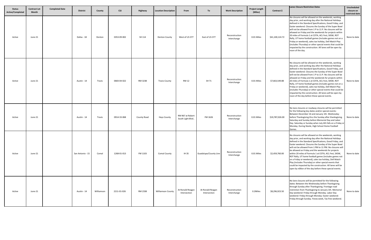| <b>Status</b><br>Active/Completed | <b>Contract Let</b><br>Month | <b>Completed Date</b> | <b>District</b>  | County     | <b>CSJ</b>  | Highway     | <b>Location Description</b> | From                                 | To                               | <b>Work Description</b>       | <b>Project Length</b><br>(Miles) | Contract \$     | <b>Lanes Closure Restriction Dates</b>                                                                                                                                                                                                                                                                                                                                                                                                                                                                                                                                                                                                                                                                          | Unscheduled<br>closure on<br>restricted date |
|-----------------------------------|------------------------------|-----------------------|------------------|------------|-------------|-------------|-----------------------------|--------------------------------------|----------------------------------|-------------------------------|----------------------------------|-----------------|-----------------------------------------------------------------------------------------------------------------------------------------------------------------------------------------------------------------------------------------------------------------------------------------------------------------------------------------------------------------------------------------------------------------------------------------------------------------------------------------------------------------------------------------------------------------------------------------------------------------------------------------------------------------------------------------------------------------|----------------------------------------------|
| Active                            | June-21                      |                       | Dallas - 18      | Denton     | 0353-09-002 | SH 114      | <b>Denton County</b>        | West of US 377                       | East of US 377                   | Reconstruction<br>Interchange | 0.01 Miles                       | \$41,100,124.72 | No closures will be allowed on the weekends, working<br>day prior, and working day after the National Holidays<br>defined in the Standard Specifications, Good Friday, and<br>Easter weekend. Closures the Sunday of the Super Bowl<br>will not be allowed from 1 P to 11 P. No closures will be<br>allowed on Friday and the weekends for projects within<br>20 miles of Formula 1 at COTA, ACL Fest, SXSW, ROT<br>Rally, UT home football games (includes games not on a<br>Friday or weekend), sales tax holiday, Dell Match Play<br>(includes Thursday) or other special events that could be<br>impacted by the construction. All lanes will be open by<br>noon of the day.                                | None to date                                 |
| Active                            | June-21                      |                       | Austin - 14      | Travis     | 0683-04-022 | RM 3238     | <b>Travis County</b>        | <b>RM 12</b>                         | SH 71                            | Reconstruction<br>Interchange | 0.01 Miles                       | \$7,663,549.88  | No closures will be allowed on the weekends, working<br>day prior, and working day after the National Holidays<br>defined in the Standard Specifications, Good Friday, and<br>Easter weekend. Closures the Sunday of the Super Bowl<br>will not be allowed from 1 P to 11 P. No closures will be<br>allowed on Friday and the weekends for projects within<br>20 miles of Formula 1 at COTA, ACL Fest, SXSW, ROT<br>Rally, UT home football games (includes games not on a<br>Friday or weekend), sales tax holiday, Dell Match Play<br>(includes Thursday) or other special events that could be<br>impacted by the construction. All lanes will be open by<br>noon of the day before these special events.    | None to date                                 |
| Active                            | June-21                      |                       | Austin - 14      | Travis     | 0914-33-068 | County Road | <b>Hays County</b>          | RM 967 at Robert<br>South Light Blvd | FM 1626                          | Reconstruction<br>Interchange | 0.01 Miles                       | \$19,787,026.00 | No lane closures or roadway closures will be permitted<br>for the following key dates and/or special events:<br>Between December 16 and January 1th. Wednesday<br>before Thanksgiving thru the Sunday after thanksgiving.<br>Saturday and Sunday before Memorial Day and Labor<br>Day. Saturday or Sunday when July 4th falls on a Friday or<br>Monday. During Steele, High School Home Football<br>Games.                                                                                                                                                                                                                                                                                                      | None to date                                 |
| Active                            | June-21                      |                       | San Antonio - 15 | Comal      | 1268-01-013 | FM 1103     | <b>Comal County</b>         | IH 35                                | Guadalupe/County Line            | Reconstruction<br>Interchange | 0.01 Miles                       | \$2,459,760.00  | No closures will be allowed on the weekends, working<br>day prior, and working day after the National Holidays<br>defined in the Standard Specifications, Good Friday, and<br>Easter weekend. Closures the Sunday of the Super Bowl<br>will not be allowed from 1 PM to 11 PM. No closures will<br>be allowed on Friday and the weekends for projects<br>within 20 miles of Formula 1 at COTA, ACL Fest, SXSW,<br>ROT Rally, UT home football games (includes games not<br>on a Friday or weekend), sales tax holiday, Dell Match<br>Play (includes Thursday) or other special events that<br>could be impacted by the construction. All lanes will be<br>open by n00on of the day before these special events. | None to date                                 |
| Active                            | June-21                      |                       | Austin - 14      | Williamson | 2211-01-026 | RM 2338     | <b>Williamson County</b>    | At Ronald Reagan<br>Intersection     | At Ronald Reagan<br>Intersection | Reconstruction<br>Interchange | 0.2Miles                         | \$8,296,923.50  | No lane closures will be permitted for the following<br>dates: Between the Wednesday before Thanksgiving<br>through Sunday after Thanksgiving. Frontage road<br>restriction from Thanksgiving to January 1th. Memorial<br>Day weekend: Friday through Monday. Labor Day<br>weekend: Friday through Monday: Easter weekend:<br>Friday through Sunday. Fiesta week, Tax free weekend.                                                                                                                                                                                                                                                                                                                             | None to date                                 |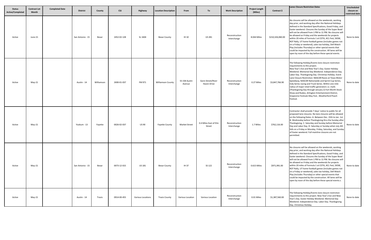| <b>Status</b><br><b>Active/Completed</b> | <b>Contract Let</b><br><b>Month</b> | <b>Completed Date</b> | <b>District</b>  | County     | <b>CSJ</b>  | Highway           | <b>Location Description</b> | From                    | To                               | <b>Work Description</b>       | <b>Project Length</b><br>(Miles) | Contract \$      | <b>Lanes Closure Restriction Dates</b>                                                                                                                                                                                                                                                                                                                                                                                                                                                                                                                                                                                                                                                                           | Unscheduled<br>closure on<br>restricted date |
|------------------------------------------|-------------------------------------|-----------------------|------------------|------------|-------------|-------------------|-----------------------------|-------------------------|----------------------------------|-------------------------------|----------------------------------|------------------|------------------------------------------------------------------------------------------------------------------------------------------------------------------------------------------------------------------------------------------------------------------------------------------------------------------------------------------------------------------------------------------------------------------------------------------------------------------------------------------------------------------------------------------------------------------------------------------------------------------------------------------------------------------------------------------------------------------|----------------------------------------------|
| Active                                   | June-21                             |                       | San Antonio - 15 | Bexar      | 2452-02-128 | SL 1604           | <b>Bexar County</b>         | IH 10                   | US 281                           | Reconstruction<br>Interchange | 8.044 Miles                      | \$210,326,060.00 | No closures will be allowed on the weekends, working<br>day prior, and working day after the National Holidays<br>defined in the Standard Specifications, Good Friday, and<br>Easter weekend. Closures the Sunday of the Super Bowl<br>will not be allowed from 1 PM to 11 PM. No closures will<br>be allowed on Friday and the weekends for projects<br>within 20 miles of Formula 1 at COTA, ACL Fest, SXSW,<br>ROT Rally, UT home football games (includes games not<br>on a Friday or weekend), sales tax holiday, Dell Match<br>Play (includes Thursday) or other special events that<br>could be impacted by the construction. All lanes will be<br>open by noon of the day before these special events.   | None to date                                 |
| Active                                   | $May-21$                            |                       | Austin - 14      | Williamson | 2690-01-037 | FM 971            | <b>Williamson County</b>    | SS 158 Austin<br>Avenue | Gann Street/River<br>Haven Drive | Reconstruction<br>Interchange | 0.27 Miles                       | \$3,847,766.90   | The following Holiday/Events lane closure restriction<br>requirements to this project.<br>New Year's Eve and New Year's Day. Easter Holiday<br>Weekend. Memorial Day Weekend. Independence Day.<br>Labor Day. Thanksgiving Day. Christmas Holiday. Event<br>Lane Closure Restriction: NASCAR Races at Texas Motor<br>Speedway, NASCAR Nationwide and Sprint Cup Series,<br>Indy Series racing and Truck Series. Within one mile<br>radius of major retail traffic generators i.e. malls<br>(Thanksgiving Day through January 2) Fort Worth Stock<br>Show and Rodeo, Arlington Entertainment District,<br>Grapevine Festivals May Fest, Weatherford Peach<br>Festival.                                            | None to date                                 |
| Active                                   | $May-21$                            |                       | Yoakum - 13      | Fayette    | 0026-02-037 | <b>US 90</b>      | <b>Fayette County</b>       | <b>Market Street</b>    | 0.4 Miles East of Elm<br>Street  | Reconstruction<br>Interchange | 1.7 Miles                        | \$762,116.00     | Contractor shall provide 7 days' notice to public for all<br>proposed lane closures. No lane closures will be allowed<br>on the following Dates: A- Between Dec. 15th to Jan. 1st.<br>B- Wednesday before Thanksgiving thru the Sunday after<br>Thanksgiving. C- Saturday and Sunday before Memorial<br>Day and Labor Day. D- Saturday or Sunday when July 4th<br>falls on a Friday or Monday. Friday, Saturday, and Sunday<br>of Easter weekend. Full mainline closures are not<br>permitted.                                                                                                                                                                                                                   | None to date                                 |
| Active                                   | $May-21$                            |                       | San Antonio - 15 | Bexar      | 0073-12-015 | US 181            | <b>Bexar County</b>         | IH 37                   | SS 122                           | Reconstruction<br>Interchange | 0.615 Miles                      | \$971,991.00     | No closures will be allowed on the weekends, working<br>day prior, and working day after the National Holidays<br>defined in the Standard Specifications, Good Friday, and<br>Easter weekend. Closures the Sunday of the Super Bowl<br>will not be allowed from 1 PM to 11 PM. No closures will<br>be allowed on Friday and the weekends for projects<br>within 20 miles of Formula 1 at COTA, ACL Fest, SXSW,<br>ROT Rally, UT home football games (includes games not<br>on a Friday or weekend), sales tax holiday, Dell Match<br>Play (includes Thursday) or other special events that<br>could be impacted by the construction. All lanes will be<br>open by noon of the day before these special events.s. | None to date                                 |
| Active                                   | May-21                              |                       | Austin - 14      | Travis     | 0914-00-455 | Various Locations | <b>Travis County</b>        | Various Location        | Various Location                 | Reconstruction<br>Interchange | 0.01 Miles                       | \$1,387,560.00   | The following Holiday/Events lane closure restriction<br>requirements to this project. New Year's Eve and New<br>Year's Day. Easter Holiday Weekend. Memorial Day<br>Weekend. Independence Day. Labor Day. Thanksgiving<br>Day. Christmas Holiday.                                                                                                                                                                                                                                                                                                                                                                                                                                                               | None to date                                 |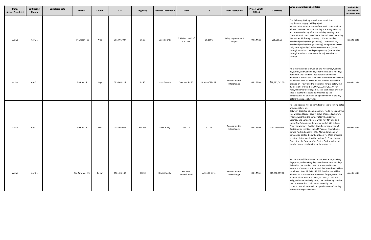| <b>Status</b><br><b>Active/Completed</b> | <b>Contract Let</b><br>Month | <b>Completed Date</b> | <b>District</b>  | County | <b>CSJ</b>  | Highway      | <b>Location Description</b> | From                          | To              | <b>Work Description</b>       | <b>Project Length</b><br>(Miles) | Contract \$     | Lanes Closure Restriction Dates                                                                                                                                                                                                                                                                                                                                                                                                                                                                                                                                                                                                                                                                                                                                 | Unscheduled<br>closure on<br>restricted date |
|------------------------------------------|------------------------------|-----------------------|------------------|--------|-------------|--------------|-----------------------------|-------------------------------|-----------------|-------------------------------|----------------------------------|-----------------|-----------------------------------------------------------------------------------------------------------------------------------------------------------------------------------------------------------------------------------------------------------------------------------------------------------------------------------------------------------------------------------------------------------------------------------------------------------------------------------------------------------------------------------------------------------------------------------------------------------------------------------------------------------------------------------------------------------------------------------------------------------------|----------------------------------------------|
| Active                                   | Apr-21                       |                       | Fort Worth - 02  | Wise   | 0013-06-047 | <b>US 81</b> | <b>Wise County</b>          | 0.3 Miles north of<br>CR 1591 | CR 1591         | Safety Improvement<br>Project | 0.01 Miles                       | \$19,585.00     | The following Holiday lane closure restriction<br>requirements apply to this project:<br>No work that restricts or interferes with traffic shall be<br>allowed between 3 PM on the day preceding a Holiday<br>and 9 AM on the day after the Holiday. Holiday Lane<br>Closure Restrictions. New Year's Eve and New Year's Day<br>(December 31 through January 1). Easter Holiday<br>Weekend (Friday through Sunday). Memorial Day<br>Weekend (Friday through Monday). Independence Day<br>(July 3 through July 5). Labor Day Weekend (Friday<br>through Monday). Thanksgiving Holiday (Wednesday<br>through Sunday). Christmas Holiday (December 23<br>through.                                                                                                  | None to date                                 |
| Active                                   | Apr-21                       |                       | Austin - 14      | Hays   | 0016-03-114 | IH 35        | <b>Hays County</b>          | South of SH 80                | North of RM 12  | Reconstruction<br>Interchange | 0.01 Miles                       | \$78,491,641.00 | No closures will be allowed on the weekends, working<br>days prior, and working day after the National Holidays<br>defined in the Standard Specifications and Easter<br>weekend. Closures the Sunday of the Super bowl will not<br>be allowed from 12 PM to 11 PM. No closures will be<br>allowed on Friday and the weekends for projects within<br>20 miles of Formula 1 at COTA, ACL Fest, SXSW, ROT<br>Rally, UT home football games, sale tax holiday or other<br>special events that could be impacted by the<br>construction. All lanes will be open by noon of the day<br>before these special events.                                                                                                                                                   | None to date                                 |
| Active                                   | Apr-21                       |                       | Austin - 14      | Lee    | 0334-03-021 | FM 696       | Lee County                  | FM 112                        | SL 123          | Reconstruction<br>Interchange | 0.01 Miles                       | \$2,329,081.00  | No lane closures will be permitted for the following dates<br>and/special events.<br>Between decanter 15 and January 1. Fiesta week and Tax-<br>free weekend (Bexar county only). Wednesday before<br>Thanksgiving thru the Sunday after Thanksgiving.<br>Saturday and Sunday before when July 4th falls on a<br>Labor Day. Saturday or Sunday when July 4th falls on<br>Friday or Monday. Election days (Bexar county only).<br>During major events at the AT&T center (Spurs home<br>games, Rodeo, Concerts, ETC.) Alamo dome and or<br>convention center (Bexar County only). Week of spring<br>break (as determined by the engineer). Friday before<br>Easter thru the Sunday after Easter. During inclement<br>weather events as directed by the engineer. | None to date                                 |
| Active                                   | Apr-21                       |                       | San Antonio - 15 | Bexar  | 0521-05-148 | IH 410       | <b>Bexar County</b>         | FM 2536<br>Pearsall Road      | Valley HI drive | Reconstruction<br>Interchange | 0.01 Miles                       | \$19,890,657.00 | No closures will be allowed on the weekends, working<br>days prior, and working day after the National Holidays<br>defined in the Standard Specifications and Easter<br>weekend. Closures the Sunday of the Super bowl will not<br>be allowed from 12 PM to 11 PM. No closures will be<br>allowed on Friday and the weekends for projects within<br>20 miles of Formula 1 at COTA, ACL Fest, SXSW, ROT<br>Rally, UT home football games, sale tax holiday or other<br>special events that could be impacted by the<br>construction. All lanes will be open by noon of the day<br>before these special events.                                                                                                                                                   | None to date                                 |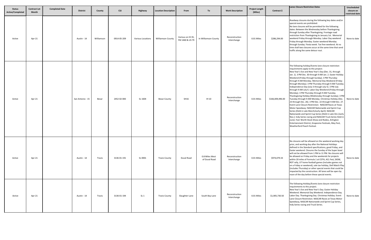| <b>Status</b><br>Active/Completed | <b>Contract Let</b><br>Month | <b>Completed Date</b> | <b>District</b>  | County     | <b>CSJ</b>  | Highway                  | <b>Location Description</b> | From                                 | To                              | <b>Work Description</b>       | <b>Project Length</b><br>(Miles) | Contract \$      | Lanes Closure Restriction Dates                                                                                                                                                                                                                                                                                                                                                                                                                                                                                                                                                                                                                                                                                                                                                                                                                                                                                                                                                                                                                                                                                                                                     | Unscheduled<br>closure on<br>restricted date |
|-----------------------------------|------------------------------|-----------------------|------------------|------------|-------------|--------------------------|-----------------------------|--------------------------------------|---------------------------------|-------------------------------|----------------------------------|------------------|---------------------------------------------------------------------------------------------------------------------------------------------------------------------------------------------------------------------------------------------------------------------------------------------------------------------------------------------------------------------------------------------------------------------------------------------------------------------------------------------------------------------------------------------------------------------------------------------------------------------------------------------------------------------------------------------------------------------------------------------------------------------------------------------------------------------------------------------------------------------------------------------------------------------------------------------------------------------------------------------------------------------------------------------------------------------------------------------------------------------------------------------------------------------|----------------------------------------------|
| Active                            | Apr-21                       |                       | Austin - 14      | Williamson | 0914-05-209 | <b>Various Locations</b> | <b>Williamson County</b>    | Various on IH 35,<br>FM 1460 & US 79 | In Williamson County            | Reconstruction<br>Interchange | 0.01 Miles                       | \$286,294.00     | Roadway closures during the following key dates and/or<br>special events are prohibited:<br>No lane closures will be permitted for the following<br>dates: Between the Wednesday before Thanksgiving<br>through Sunday after Thanksgiving. Frontage road<br>restriction from Thanksgiving to January 1st. Memorial<br>weekend Friday through Monday. Labor Day weekend<br>Friday through Monday. Easter weekend Monday<br>through Sunday. Fiesta week. Tax free weekend. At no<br>time shall two closures occur at the same time that send<br>traffic along the same detour rout.                                                                                                                                                                                                                                                                                                                                                                                                                                                                                                                                                                                   | None to date                                 |
| Active                            | Apr-21                       |                       | San Antonio - 15 | Bexar      | 2452-02-083 | SL 1604                  | <b>Bexar County</b>         | SH16                                 | IH 10                           | Reconstruction<br>Interchange | 0.01 Miles                       | \$166,009,496.00 | The following holiday/Events lane closure restriction<br>requirements apply to this project:<br>New Year's Eve and New Year's Day (Dec. 31, through<br>Jan. 1). 3 PM Dec. 30 through 9 AM Jan. 2. Easter Holiday<br>Weekend (Friday through Sunday). 3 PM Thursday<br>through 9 AM Monday. Memorial Day Weekend (Friday<br>through Monday). 3 PM Thursday through 9 AM Tuesday.<br>Independence Day (July 3 through July 5). 3 PM July<br>through 9 AM July 6. Labor Day Weekend (Friday through<br>Monday). 3 PM Thursday through 9 AM Tuesday.<br>Thanksgiving Holiday (Wednesday through Sunday). 3 PM<br>Tuesday through 9 AM Monday. Christmas Holiday (Dec.<br>23 through Dec. 26). 3 PM Dec. 22 through 9 AM Dec. 27<br>Event Lane Closure Restriction: NASCAR Races at Texas<br>Motor Speedway: NASCAR Nationwide and Sprint Cup<br>Series (Held in Late March/early April): NASCAR<br>Nationwide and Sprint Cup Series (Held in Late Oct./early<br>Nov.): Indy Series racing and NASCAR Truck Series Held ir<br>June). Foer Worth Stock Show and Rodeo, Arlington<br>Entertainment District, Grapevine Festivals, May Fest,<br>Weatherford Peach Festival. | None to date                                 |
| Active                            | Apr-21                       |                       | Austin - 14      | Travis     | 3136-01-191 | SL 0001                  | <b>Travis County</b>        | Duval Road                           | 0.8 Miles West<br>of Duval Road | Reconstruction<br>Interchange | 0.01 Miles                       | \$974,079.33     | No closures will be allowed on the weekend working day<br>prior, and working day after the National Holidays<br>defined in the Standard specifications, good Friday, and<br>Easter weekend. Closures the Sunday of the Super bowl<br>will not be allowed from 1 PM to 11 PM. No closures will<br>be allowed on Friday and the weekends for projects<br>within 20 miles of Formula 1 at COTA, ACL Fest, SXSW,<br>ROT rally, UT home football games (includes games not<br>on a Friday or weekend), sale tax holiday, Dell Match Play<br>(includes Thursday) or other special events that could be<br>impacted by the construction. All lanes will be open by<br>noon of the day before these special events.                                                                                                                                                                                                                                                                                                                                                                                                                                                         | None to date                                 |
| Active                            | Apr-21                       |                       | Austin - 14      | Travis     | 3136-01-194 | SL <sub>1</sub>          | <b>Travis County</b>        | Slaughter Lane                       | South Bay Lane                  | Reconstruction<br>Interchange | 0.01 Miles                       | \$1,905,730.50   | The following Holiday/Events lane closure restriction<br>requirements to this project.<br>New Year's Eve and New Year's Day. Easter Holiday<br>Weekend. Memorial Day Weekend. Independence Day.<br>Labor Day. Thanksgiving Day. Christmas Holiday. Event<br>Lane Closure Restriction. NASCAR Races at Texas Motor<br>Speedway, NASCAR Nationwide and Sprint Cup Series,<br>Indy Series racing and Truck Series.                                                                                                                                                                                                                                                                                                                                                                                                                                                                                                                                                                                                                                                                                                                                                     | None to date                                 |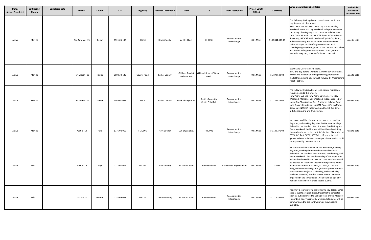| <b>Status</b><br><b>Active/Completed</b> | <b>Contract Let</b><br>Month | <b>Completed Date</b> | <b>District</b>  | County | <b>CSJ</b>  | Highway       | <b>Location Description</b> | From                                     | To                                  | <b>Work Description</b>       | <b>Project Length</b><br>(Miles) | Contract \$      | Lanes Closure Restriction Dates                                                                                                                                                                                                                                                                                                                                                                                                                                                                                                                                                                                                                                                                  | Unscheduled<br>closure on<br>restricted date |
|------------------------------------------|------------------------------|-----------------------|------------------|--------|-------------|---------------|-----------------------------|------------------------------------------|-------------------------------------|-------------------------------|----------------------------------|------------------|--------------------------------------------------------------------------------------------------------------------------------------------------------------------------------------------------------------------------------------------------------------------------------------------------------------------------------------------------------------------------------------------------------------------------------------------------------------------------------------------------------------------------------------------------------------------------------------------------------------------------------------------------------------------------------------------------|----------------------------------------------|
| Active                                   | Mar-21                       |                       | San Antonio - 15 | Bexar  | 0521-06-138 | IH 410        | <b>Bexar County</b>         | At IH 10 East                            | At IH 10                            | Reconstruction<br>Interchange | 0.01 Miles                       | \$108,044,335.00 | The following Holiday/Events lane closure restriction<br>requirements to this project.<br>New Year's Eve and New Year's Day. Easter Holiday<br>Weekend. Memorial Day Weekend. Independence Day.<br>Labor Day. Thanksgiving Day. Christmas Holiday. Event<br>Lane Closure Restriction: NASCAR Races at Texas Motor<br>Speedway, NASCAR Nationwide and Sprint Cup Series,<br>Indy Series racing and Truck Series. Within one mile<br>radius of Major retail traffic generators i.e. malls<br>(Thanksgiving Day through Jan. 2). Fort Worth Stock Show<br>and Rodeo, Arlington Entertainment District, Grape<br>Festivals, May Fest, Weatherford Peach Festival.                                    | None to date                                 |
| Active                                   | Mar-21                       |                       | Fort Worth - 02  | Parker | 0902-38-120 | County Road   | Parker County               | Gilliland Road at<br><b>Walnut Creek</b> | Gilliland Road at Walnut<br>Creek   | Reconstruction<br>Interchange | 0.01 Miles                       | \$1,194,529.00   | Event Lane Closures Restrictions.<br>3 PM the day before Events to 9 AM the day after Event.<br>Within one mile radius of major traffic generators i.e.<br>malls (Thanksgiving Day through January 2). Weatherford<br>Peach Festival.                                                                                                                                                                                                                                                                                                                                                                                                                                                            | None to date                                 |
| Active                                   | Mar-21                       |                       | Fort Worth - 02  | Parker | 1469-01-022 | FM 5          | Parker County               | North of Airport Rd.                     | South of Annetta<br>CenterPoint Rd. | Reconstruction<br>Interchange | 0.01 Miles                       | \$1,128,656.00   | The following Holiday/Events lane closure restriction<br>requirements to this project.<br>New Year's Eve and New Year's Day. Easter Holiday<br>Weekend. Memorial Day Weekend. Independence Day.<br>Labor Day. Thanksgiving Day. Christmas Holiday. Event<br>Lane Closure Restriction: NASCAR Races at Texas Motor<br>Speedway, NASCAR Nationwide and Sprint Cup Series,<br>Indy Series racing and Truck Series.                                                                                                                                                                                                                                                                                  | None to date                                 |
| Active                                   | Mar-21                       |                       | Austin - 14      | Hays   | 1776-02-019 | FM 2001       | <b>Hays County</b>          | Sun Bright Blvd.                         | FM 2001                             | Reconstruction<br>Interchange | 0.01 Miles                       | \$6,720,270.00   | No closures will be allowed on the weekends working<br>day prior, and working day after the National Holidays<br>defined in the Standard Specifications. Good Friday and<br>Easter weekend. No Closures will be allowed on Friday<br>the weekends for projects within 20 miles of Formula 1 a<br>COTA, ACL Fest, SXSW, ROT Rally, UT home football<br>games, Sale tax holiday or other special events that could<br>be impacted by the construction.                                                                                                                                                                                                                                             | None to date                                 |
| Active                                   | Feb-21                       |                       | Austin - 14      | Hays   | 0113-07-075 | <b>US 290</b> | <b>Hays County</b>          | At Martin Road                           | At Martin Road                      | Intersection Improvement      | 0.01 Miles                       | \$0.00           | No closures will be allowed on the weekends, working<br>day prior, working date after the national Holidays<br>defined in the Standard Specifications, Good Friday, and<br>Easter weekend. Closures the Sunday of the Super Bowl<br>will not be allowed from 1 PM to 11PM. No closures will<br>be allowed on Friday and weekends for projects within<br>29 miles of Formula 1 at COTA, ACL Fest, SXSW, ROT<br>Rally, UT home football games (includes games not on a<br>Friday or weekend) sale tax holiday, Dell Match Play<br>(includes Thursday) or other special events that could<br>impacted by the construction. All lane will be open by<br>noon of the day before these special events. | None to date                                 |
| Active                                   | Feb-21                       |                       | Dallas - 18      | Denton | 0134-09-067 | US 380        | <b>Denton County</b>        | At Martin Road                           | At Martin Road                      | Reconstruction<br>Interchange | 0.01 Miles                       | \$1,117,392.00   | Roadway closures during the following key dates and/or<br>special events are prohibited. Major traffic generator<br>such as, but not limited to Spring Break, annual Medal of<br>Honor bike ride, Texas vs. OU weekend etc. dates will be<br>communicated to the contracture as they become<br>available.                                                                                                                                                                                                                                                                                                                                                                                        | None to date                                 |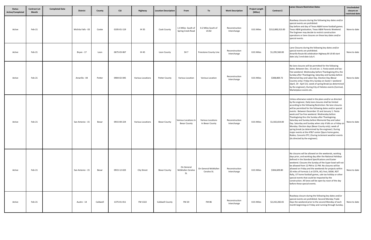| <b>Status</b><br><b>Active/Completed</b> | <b>Contract Let</b><br>Month | <b>Completed Date</b> | <b>District</b>    | County   | <b>CSJ</b>  | Highway                  | <b>Location Description</b> | From                                        | To                                   | <b>Work Description</b>       | <b>Project Length</b><br>(Miles) | Contract \$      | Lanes Closure Restriction Dates                                                                                                                                                                                                                                                                                                                                                                                                                                                                                                                                                                                                                                                                                                                                                 | Unscheduled<br>closure on<br>restricted date |
|------------------------------------------|------------------------------|-----------------------|--------------------|----------|-------------|--------------------------|-----------------------------|---------------------------------------------|--------------------------------------|-------------------------------|----------------------------------|------------------|---------------------------------------------------------------------------------------------------------------------------------------------------------------------------------------------------------------------------------------------------------------------------------------------------------------------------------------------------------------------------------------------------------------------------------------------------------------------------------------------------------------------------------------------------------------------------------------------------------------------------------------------------------------------------------------------------------------------------------------------------------------------------------|----------------------------------------------|
| Active                                   | Feb-21                       |                       | Wichita Falls - 03 | Cooke    | 0195-01-119 | IH 35                    | Cook County                 | 1.4 Miles South of<br>Spring Creek Road     | 0.2 Miles South of<br>US 82          | Reconstruction<br>Interchange | 0.01 Miles                       | \$212,800,313.00 | Roadway closures during the following key dates and/or<br>special events are prohibited:<br>Day before and day of Texas A&M home football games.<br>Texas A&M graduation, Texas A&M Parents Weekend.<br>The Engineer may decide to restrict construction<br>operations or lane closures on these key dates and/or<br>special events.                                                                                                                                                                                                                                                                                                                                                                                                                                            | None to date                                 |
| Active                                   | Feb-21                       |                       | Bryan - 17         | Leon     | 0675-03-067 | <b>IH 45</b>             | Leon County                 | SH <sub>7</sub>                             | Freestone County Line                | Reconstruction<br>Interchange | 0.01 Miles                       | \$1,295,560.00   | Lane Closures during the following key dates and/or<br>special events are prohibited.<br>Amarillo Route 66 celebration Highway BI US 60 start<br>date July 2 end date July 4.                                                                                                                                                                                                                                                                                                                                                                                                                                                                                                                                                                                                   | None to date                                 |
| Active                                   | Feb-21                       |                       | Amarillo - 04      | Potter   | 0904-02-045 | Various Locations        | <b>Potter County</b>        | Various Location                            | <b>Various Location</b>              | Reconstruction<br>Interchange | 0.01 Miles                       | \$308,869.72     | No lane closures will be permitted for the following<br>dates. Between Dec. 15 and Jan. 1. Fiesta week and tax-<br>free weekend. Wednesday before Thanksgiving thru the<br>Sunday after Thanksgiving, Saturday and Sunday before<br>Memorial Day and Labor Day. Election Day (Bexar<br>Country only). Friday thru Sunday on Easter r weekend<br>(April, 19 - April 21). week of spring Break (as determined<br>by the engineer), During City of Helotes events (Carnival<br>Marketplace events etc.                                                                                                                                                                                                                                                                             | None to date                                 |
| Active                                   | Feb-21                       |                       | San Antonio - 15   | Bexar    | 0915-00-224 | <b>Various Locations</b> | <b>Bexar County</b>         | Various Locations In<br><b>Bexar County</b> | Various Locations<br>In Bexar County | Reconstruction<br>Interchange | 0.01 Miles                       | \$1,502,654.00   | Unless otherwise noted in the plans and/or as directed<br>by the engineer, Daily lane closures shall be limited<br>according to the following Restriction: No lane closures<br>will be permitted for the following dates and/or special<br>events: Between December 15 and January 1. Fiesta<br>week and Tax-free weekend. Wednesday before<br>Thanksgiving thru the Sunday after Thanksgiving.<br>Saturday and Sunday before Memorial Day and Labor<br>Day. Saturday and Sunday when July 4 falls on a Friday on<br>Monday. Election days (Bexar County only). week of<br>spring break (as determined by the engineer). During<br>major events at the AT&T center (Spurs home game,<br>Rodeo, Concerts ETC.) During inclement weather events<br>(As directed by the engineer). | None to date                                 |
| Active                                   | Feb-21                       |                       | San Antonio - 15   | Bexar    | 0915-12-633 | <b>City Street</b>       | <b>Bexar County</b>         | On General<br>McMullen Ceralvo<br>St.       | On General McMullen<br>Ceralvo St.   | Reconstruction<br>Interchange | 0.01 Miles                       | \$304,609.80     | No closures will be allowed on the weekends, working<br>days prior, and working day after the National Holidays<br>defined in the Standard Specifications and Easter<br>weekend. Closures the Sunday of the Super bowl will not<br>be allowed from 12 PM to 11 PM. No closures will be<br>allowed on Friday and the weekends for projects within<br>20 miles of Formula 1 at COTA, ACL Fest, SXSW, ROT<br>Rally, UT home football games, sale tax holiday or other<br>special events that could be impacted by the<br>construction. All lanes will be open by noon of the day<br>before these special events.                                                                                                                                                                   | None to date                                 |
| Active                                   | Feb-21                       |                       | Austin - 14        | Caldwell | 1375-01-011 | FM 1322                  | Caldwell County             | <b>FM 20</b>                                | <b>FM 86</b>                         | Reconstruction<br>Interchange | 0.01 Miles                       | \$2,242,282.65   | Roadway closure during the following key dates and/or<br>special events are prohibited. Second Monday Trade<br>Days the weekend prior to the second Monday of each<br>month beginning on Friday and running through Sunday.                                                                                                                                                                                                                                                                                                                                                                                                                                                                                                                                                     | None to date                                 |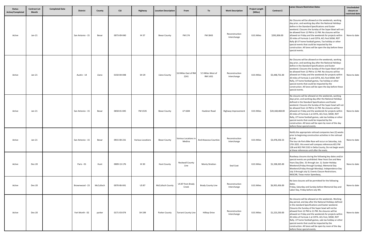| <b>Status</b><br>Active/Completed | <b>Contract Let</b><br>Month | <b>Completed Date</b> | <b>District</b>  | County    | <b>CSJ</b>  | Highway                  | <b>Location Description</b> | From                           | To                           | <b>Work Description</b>       | <b>Project Length</b><br>(Miles) | Contract \$     | Lanes Closure Restriction Dates                                                                                                                                                                                                                                                                                                                                                                                                                                                                                                                                                                               | Unscheduled<br>closure on<br>restricted date |
|-----------------------------------|------------------------------|-----------------------|------------------|-----------|-------------|--------------------------|-----------------------------|--------------------------------|------------------------------|-------------------------------|----------------------------------|-----------------|---------------------------------------------------------------------------------------------------------------------------------------------------------------------------------------------------------------------------------------------------------------------------------------------------------------------------------------------------------------------------------------------------------------------------------------------------------------------------------------------------------------------------------------------------------------------------------------------------------------|----------------------------------------------|
| Active                            | $Jan-21$                     |                       | San Antonio - 15 | Bexar     | 0073-09-040 | IH 37                    | <b>Bexar County</b>         | FM 174                         | FM 3043                      | Reconstruction<br>Interchange | 0.01 Miles                       | \$292,836.00    | No Closures will be allowed on the weekends, working<br>day prior, and working day after the National Holidays<br>define in the Standard Specifications and Easter<br>weekend. Closures the Sunday of the Soper Bowl will not<br>be allowed from 12 PM to 11 PM. No closures will be<br>allowed on Friday and the weekends for projects within<br>20 miles of Formula 1 and COTA, ACL Fest SXSW, ROT<br>Rally @ UT home football games, Tax holiday or other<br>special events that could be impacted by the<br>construction. All lanes will be open the day before these<br>special events.                  | None to date                                 |
| Active                            | $Jan-21$                     |                       | Austin - 14      | Llano     | 0150-04-048 | SH 29                    | Llano County                | 3.8 Miles East of RM<br>2241   | 5.5 Miles West of<br>RM 1431 | Reconstruction<br>Interchange | 0.01 Miles                       | \$5,448,731.00  | No Closures will be allowed on the weekends, working<br>day prior, and working day after the National Holidays<br>define in the Standard Specifications and Easter<br>weekend. Closures the Sunday of the Super Bowl will not<br>be allowed from 12 PM to 11 PM. No closures will be<br>allowed on Friday and the weekends for projects within<br>20 miles of Formula 1 and COTA, ACL Fest SXSW, ROT<br>Rally, UT home football games, Tax holiday or other<br>special events that could be impacted by the<br>construction. All lanes will be open the day before these<br>special events.                   | None to date                                 |
| Active                            | $Jan-21$                     |                       | San Antonio - 15 | Bexar     | 0658-01-045 | FM 1535                  | <b>Bexar County</b>         | LP 1604                        | Huebner Road                 | Highway Improvement           | 0.01 Miles                       | \$20,168,468.00 | No closures will be allowed on the weekends, working<br>days prior, and working day after the National Holidays<br>defined in the Standard Specifications and Easter<br>weekend. Closures the Sunday of the Super bowl will not<br>be allowed from 12 PM to 11 PM. No closures will be<br>allowed on Friday and the weekends for projects within<br>20 miles of Formula 1 at COTA, ACL Fest, SXSW, ROT<br>Rally, UT home football games, sale tax holiday or other<br>special events that could be impacted by the<br>construction. All lanes will be open by noon of the day<br>before these special events. | None to date                                 |
| Active                            | $Jan-21$                     |                       | San Antonio - 15 | Bexar     | 0915-00-231 | <b>Various Locations</b> | <b>Bexar County</b>         | Various Locations in<br>Medina | And Atascosa Counties        | Reconstruction<br>Interchange | 0.01 Miles                       | \$3,478,256.53  | Notify the appropriate railroad companies two (2) weeks<br>prior to beginning construction activities in the railroad<br>R.O.W.<br>The tour de Paris Bike Race will occur on Saturday, July<br>17th 2021. this event will compass references #21 FM<br>128 and #22 FM 1532 in Delta County, Do not begin work<br>at these references until after the evets.                                                                                                                                                                                                                                                   | None to date                                 |
| Active                            | <b>Dec-20</b>                |                       | Paris - 01       | Hunt      | 0009-13-176 | IH 30                    | <b>Hunt County</b>          | <b>Rockwall County</b><br>Line | <b>Monty Stratton</b>        | Seal Coat                     | 0.01 Miles                       | \$1,338,265.00  | Roadway closures during the following key dates and/or<br>special events are prohibited: New Years Eve and New<br>Years Day (Dec. 31 through Jan. 1). Easter Holiday<br>Weekend (Friday through Sunday). Memorial Day<br>Weekend (Friday through Monday). Independence Day<br>July 3 through July 5). Events Closure Restrictions.<br>NASCAR, Texas motor Speedway,                                                                                                                                                                                                                                           | None to date                                 |
| Active                            | <b>Dec-20</b>                |                       | Brownwood - 23   | McCulloch | 0070-06-041 | US 87                    | <b>McCulloch County</b>     | US 87 from Brady<br>Creek      | <b>Brady County Line</b>     | Reconstruction<br>Interchange | 0.01 Miles                       | \$6,955,456.00  | No lane closures will be permitted for the following<br>dates.<br>Friday, Saturday and Sunday before Memorial Day and<br>Labor Day, Friday before July 4th.                                                                                                                                                                                                                                                                                                                                                                                                                                                   | None to date                                 |
| Active                            | <b>Dec-20</b>                |                       | Fort Worth - 02  | parker    | 0171-03-074 | SH 199                   | Parker County               | <b>Tarrant County Line</b>     | <b>Hilltop Drive</b>         | Reconstruction<br>Interchange | 0.01 Miles                       | \$1,223,250.00  | No closures will be allowed on the weekends. Working<br>day period, and day after the National Holidays defined<br>in the standard Specifications and Easter weekend.<br>Closures the Sunday of the Super bowl will not be<br>allowed from 12 PM to 11 PM. No closures will be<br>allowed on Friday and the weekends for projects within<br>20 miles of Formula 1 at COTA. ACL Fest, SXSW, ROT<br>Rally. UT home football games, sale tax holiday or other<br>special events that could be impacted by the<br>construction. All lanes will be open by noon of the day<br>before these special events.         | None to date                                 |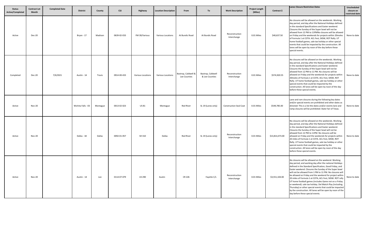| <b>Status</b><br>Active/Completed | <b>Contract Let</b><br><b>Month</b> | <b>Completed Date</b> | <b>District</b>    | County   | <b>CSJ</b>  | Highway           | <b>Location Description</b> | From                                | To                                  | <b>Work Description</b>       | <b>Project Length</b><br>(Miles) | Contract \$     | Lanes Closure Restriction Dates                                                                                                                                                                                                                                                                                                                                                                                                                                                                                                                                                                                                                                                                          | Unscheduled<br>closure on<br>restricted date |
|-----------------------------------|-------------------------------------|-----------------------|--------------------|----------|-------------|-------------------|-----------------------------|-------------------------------------|-------------------------------------|-------------------------------|----------------------------------|-----------------|----------------------------------------------------------------------------------------------------------------------------------------------------------------------------------------------------------------------------------------------------------------------------------------------------------------------------------------------------------------------------------------------------------------------------------------------------------------------------------------------------------------------------------------------------------------------------------------------------------------------------------------------------------------------------------------------------------|----------------------------------------------|
| Active                            | Dec-20                              |                       | Bryan - 17         | Madison  | 0639-02-033 | FM 39/Various     | <b>Various Locations</b>    | At Bundic Road                      | At Bundic Road                      | Reconstruction<br>Interchange | 0.01 Miles                       | \$40,637.50     | No closures will be allowed on the weekends. Working<br>day period, and day after the National Holidays defined<br>in the standard Specifications and Easter weekend.<br>Closures the Sunday of the Super bowl will not be<br>allowed from 12 PM to 11PMNo closures will be allowed<br>on Friday and the weekends for projects within 20moles<br>of Formula 1 at COTA. ACL Fest, SXSW, ROT Rally. UT<br>home football games, sale tax holiday or other special<br>events that could be impacted by the construction. All<br>lanes will be open by noon of the day before these<br>special events.                                                                                                        | None to date                                 |
| Completed                         | <b>Dec-20</b>                       | 7/6/2021              | Austin - 14        | Travis   | 0914-00-433 | Various Locations | Various Locations           | Bastrop, Caldwell &<br>Lee Counties | Bastrop, Caldwell<br>& Lee Counties | Reconstruction<br>Interchange | 0.01 Miles                       | \$574,920.55    | No closures will be allowed on the weekends. Working<br>day period, and day after the National Holidays defined<br>in the standard Specifications and Easter weekend.<br>Closures the Sunday of the Super bowl will not be<br>allowed from 12 PM to 11 PM. No closures will be<br>allowed on Friday and the weekends for projects within<br>20moles of Formula 1 at COTA. ACL Fest, SXSW, ROT<br>Rally. UT home football games, sale tax holiday or other<br>special events that could be impacted by the<br>construction. All lanes will be open by noon of the day<br>before these special events.                                                                                                     | None to date                                 |
| Active                            | <b>Nov-20</b>                       |                       | Wichita Falls - 03 | Montague | 0013-02-023 | US 81             | Montague                    | <b>Red River</b>                    | SL 19 (Lanes only)                  | <b>Construction Seal Coat</b> | 0.01 Miles                       | \$549,785.00    | Lane and ram closures during the following key dates<br>and/or special events are prohibited and other dates as<br>directed: This is a list the dates and/or events lane and<br>ramp closures will be prohibited: State Fair of Texas.                                                                                                                                                                                                                                                                                                                                                                                                                                                                   | None to date                                 |
| Active                            | <b>Nov-20</b>                       |                       | Dallas - 18        | Dallas   | 0092-01-057 | SH 310            | Dallas                      | <b>Red River</b>                    | SL 19 (Lanes only)                  | Reconstruction<br>Interchange | 0.01 Miles                       | \$13,814,473.00 | No closures will be allowed on the weekends. Working<br>day period, and day after the National Holidays defined<br>in the standard Specifications and Easter weekend.<br>Closures the Sunday of the Super bowl will not be<br>allowed from 12 PM to 11PM. No closures will be<br>allowed on Friday and the weekends for projects within<br>20 miles of Formula 1 at COTA. ACL Fest, SXSW, ROT<br>Rally. UT home football games, sale tax holiday or other<br>special events that could be impacted by the<br>construction. All lanes will be open by noon of the day<br>before these special events.                                                                                                     | None to date                                 |
| Active                            | <b>Nov-20</b>                       |                       | Austin - 14        | Lee      | 0114-07-079 | <b>US 290</b>     | Austin                      | CR 226                              | Fayette C/L                         | Reconstruction<br>Interchange | 0.01 Miles                       | \$3,551,104.00  | No closures will be allowed on the weekend. Working<br>day period, and working day after the national Holidays<br>defined in the Standard Specification, Good Friday, and<br>Easter weekend. Closures the Sunday of the Super bowl<br>will not be allowed from 1 PM to 11 PM. No closures will<br>be allowed on Friday and the weekend for project within<br>20 miles of Formula 1 at COTA, ACL Fest, SXSW. ROT rally<br>UT home football games (includes Game not on a Friday<br>or weekend). sale tax holiday. Del Match Play (including<br>Thursday) or other special events that could be impacted<br>by the construction. All lanes will be open by noon of the<br>day before these special events. | None to date                                 |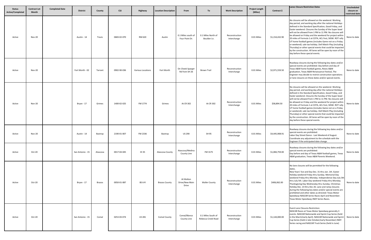| <b>Status</b><br><b>Active/Completed</b> | <b>Contract Let</b><br><b>Month</b> | <b>Completed Date</b> | <b>District</b>  | County   | <b>CSJ</b>  | Highway                  | <b>Location Description</b> | From                                 | To                                       | <b>Work Description</b>       | <b>Project Length</b><br>(Miles) | Contract \$    | <b>Lanes Closure Restriction Dates</b>                                                                                                                                                                                                                                                                                                                                                                                                                                                                                                                                                                                                                                                                    | Unscheduled<br>closure on<br>restricted date |
|------------------------------------------|-------------------------------------|-----------------------|------------------|----------|-------------|--------------------------|-----------------------------|--------------------------------------|------------------------------------------|-------------------------------|----------------------------------|----------------|-----------------------------------------------------------------------------------------------------------------------------------------------------------------------------------------------------------------------------------------------------------------------------------------------------------------------------------------------------------------------------------------------------------------------------------------------------------------------------------------------------------------------------------------------------------------------------------------------------------------------------------------------------------------------------------------------------------|----------------------------------------------|
| Active                                   | <b>Nov-20</b>                       |                       | Austin - 14      | Travis   | 0683-02-070 | RM 620                   | Austin                      | 0.1 Miles south of<br>Four Point Dr. | 0.1 Miles North of<br>Boulder Ln.        | Reconstruction<br>Interchange | 0.01 Miles                       | \$1,154,432.90 | No closures will be allowed on the weekend. Working<br>day period, and working day after the national Holidays<br>defined in the Standard Specification, Good Friday, and<br>Easter weekend. Closures the Sunday of the Super bowl<br>will not be allowed from 1 PM to 11 PM. No closures will<br>be allowed on Friday and the weekend for project within<br>20 miles of Formula 1 at COTA, ACL Fest, SXSW. ROT rally<br>UT home football games (includes Game not on a Friday<br>or weekend). sale tax holiday. Dell Match Play (including<br>Thursday) or other special events that could be impacted<br>by the construction. All lanes will be open by noon of the<br>day before these special events. | None to date                                 |
| Active                                   | <b>Nov-20</b>                       |                       | Fort Worth - 02  | Tarrant  | 0902-90-036 | <b>Various Locations</b> | Fort Worth                  | On Cheek Sparger<br>Rd from SH 26    | <b>Brown Trail</b>                       | Reconstruction<br>Interchange | 0.01 Miles                       | \$2,971,559.50 | Roadway closures during the following key dates and/or<br>special events are prohibited: Day before and day of<br>Texas A&M home football games, Rexes A&M<br>graduation, Texas A&M Renaissance Festival, The<br>Engineer may decide to restrict construction operations<br>or lane closures on these dates and/or special events.                                                                                                                                                                                                                                                                                                                                                                        | None to date                                 |
| Active                                   | <b>Nov-20</b>                       |                       | Bryan - 17       | Grimes   | 1400-02-025 | FM 1774                  | Grimes                      | At CR 302                            | At CR 302                                | Reconstruction<br>Interchange | 0.01 Miles                       | \$58,894.50    | No closures will be allowed on the weekend. Working<br>day period, and working day after the national Holidays<br>defined in the Standard Specification, Good Friday, and<br>Easter weekend. Closures the Sunday of the Super bowl<br>will not be allowed from 1 PM to 11 PM. No closures will<br>be allowed on Friday and the weekend for project withir<br>20 miles of Formula 1 at COTA, ACL Fest, SXSW. ROT rally<br>UT home football games (includes Game not on a Friday<br>or weekend). sale tax holiday. Dell Match Play (including<br>Thursday) or other special events that could be impacted<br>by the construction. All lanes will be open by noon of the<br>day before these special events. | None to date                                 |
| Active                                   | <b>Nov-20</b>                       |                       | Austin - 14      | Bastrop  | 2190-01-007 | FM 2336                  | Bastrop                     | <b>US 290</b>                        | SH 95                                    | Reconstruction<br>Interchange | 0.01 Miles                       | \$4,445,908.91 | Roadway closures during the following key dates and/or<br>special events are prohibited:<br>Labor Day Street Dance - Last Weekend of August.<br>Coordinate any adjustment to the schedule with the<br>Engineer if the anticipated date change.                                                                                                                                                                                                                                                                                                                                                                                                                                                            | None to date                                 |
| Active                                   | Oct-20                              |                       | San Antonio - 15 | Atascosa | 0017-04-045 | <b>IH35</b>              | Atascosa County             | Atascosa/Medina<br>County Line       | FM 3175                                  | Reconstruction<br>Interchange | 0.01 Miles                       | \$1,084,759.00 | Roadway closures during the following key dates and/or<br>special events are prohibited:<br>Day before and day of Texas A&M football games, Texas<br>A&M graduation, Texas A&M Parents Weekend.                                                                                                                                                                                                                                                                                                                                                                                                                                                                                                           | None to date                                 |
| Active                                   | Oct-20                              |                       | Bryan - 17       | Brazos   | 0050-01-087 | <b>BS 6-R</b>            | <b>Brazos County</b>        | At Walton<br>Drive/New Main<br>Drive | <b>Waller County</b>                     | Reconstruction<br>Interchange | 0.01 Miles                       | \$406,062.00   | No lane closures will be permitted for the following<br>dates.<br>New Years' Eve and Day Dec. 31 thru Jan. 1th. Easter<br>Holiday weekend Friday thru Sunday. Memorial Day<br>weekend Friday thru Monday. Independence Day July 3th<br>thru July 5th. Labor Day weekend Friday thru Monday.<br>Thanksgiving Day Wednesday thru Sunday. Christmas<br>Holiday Dec. 23 thru Dec 26. Lane and ramp closures<br>during the following key dates and/or special events are<br>prohibited and other dates as directed: Texas Motor<br>Speedway-NASCAR Series Races April and November.<br>Texas Motor Speedway-INDY Series Races.                                                                                 | None to date                                 |
| Active                                   | Oct-20                              |                       | San Antonio - 15 | Comal    | 0253-03-074 | US 281                   | Comal County                | Comal/Blanco<br>County Line          | 0.1 Miles South of<br>Rebecca Creek Road | Reconstruction<br>Interchange | 0.01 Miles                       | \$1,144,000.00 | <b>Event Lane Closures Restriction:</b><br>NASCAR Races at Texas Motor Speedway generally 3<br>events. NASCAR Nationwide and Sprint Cup Series (held<br>in the March/early April). NASCAR Nationwide and Sprint<br>Cup Series (held in late October/early November) INDY<br>Series racing and NASCAR Truck Series (held in June)                                                                                                                                                                                                                                                                                                                                                                          | None to date                                 |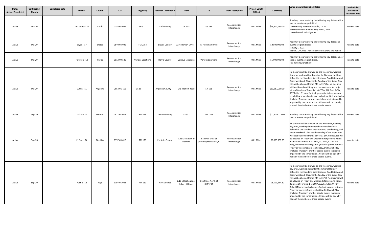| <b>Status</b><br>Active/Completed | <b>Contract Let</b><br>Month | <b>Completed Date</b> | <b>District</b> | County   | <b>CSJ</b>  | Highway                  | <b>Location Description</b> | From                                   | To                                         | <b>Work Description</b>       | <b>Project Length</b><br>(Miles) | Contract \$     | <b>Lanes Closure Restriction Dates</b>                                                                                                                                                                                                                                                                                                                                                                                                                                                                                                                                                                                                                                                                      | Unscheduled<br>closure on<br>restricted date |
|-----------------------------------|------------------------------|-----------------------|-----------------|----------|-------------|--------------------------|-----------------------------|----------------------------------------|--------------------------------------------|-------------------------------|----------------------------------|-----------------|-------------------------------------------------------------------------------------------------------------------------------------------------------------------------------------------------------------------------------------------------------------------------------------------------------------------------------------------------------------------------------------------------------------------------------------------------------------------------------------------------------------------------------------------------------------------------------------------------------------------------------------------------------------------------------------------------------------|----------------------------------------------|
| Active                            | Oct-20                       |                       | Fort Worth - 02 | Earth    | 0258-02-059 | SH 6                     | <b>Erath County</b>         | CR 303                                 | US 281                                     | Reconstruction<br>Interchange | 0.01 Miles                       | \$19,373,669.00 | Roadway closures during the following key dates and/or<br>special events are prohibited:<br>TAMU Family weekend - April 9, 11, 2021<br>ATMU Commencement - May 13-15, 2021<br>TAMU home football games.                                                                                                                                                                                                                                                                                                                                                                                                                                                                                                     | None to date                                 |
| Active                            | Oct-20                       |                       | Bryan - 17      | Brazos   | 0540-04-005 | FM 2154                  | <b>Brazos County</b>        | At Holleman Drive                      | At Holleman Drive                          | Reconstruction<br>Interchange | 0.01 Miles                       | \$2,500,000.00  | Roadway closures during the following key dates and<br>events are prohibited:<br>January 1, 2021<br>March 2-20-2021 - Houston livestock show and Rodeo.                                                                                                                                                                                                                                                                                                                                                                                                                                                                                                                                                     | None to date                                 |
| Active                            | Oct-20                       |                       | Houston - 12    | Harris   | 0912-00-526 | <b>Various Locations</b> | <b>Harris County</b>        | <b>Various Locations</b>               | Various Locations                          | Reconstruction<br>Interchange | 0.01 Miles                       | \$1,000,000.00  | Roadway closures during the following key dates and /or<br>special events are prohibited.<br>July 4th Firework Show.                                                                                                                                                                                                                                                                                                                                                                                                                                                                                                                                                                                        | None to date                                 |
| Active                            | Oct-20                       |                       | Lufkin - 11     | Angelina | 2553-01-115 | <b>US 59</b>             | Angelina County             | Old Moffett Road                       | SH 103                                     | Reconstruction<br>Interchange | 0.01 Miles                       | \$13,557,000.00 | No closures will be allowed on the weekends, working<br>day prior, and working day after the National Holidays<br>defined in the Standard Specifications, Good Friday, and<br>Easter weekend. Closures the Sunday of the Super Bowl<br>will not be allowed from 1 PM to 11PM p. No closures<br>will be allowed on Friday and the weekends for project<br>within 20 miles of Formula 1 at COTA, ACL Fest, SXSW,<br>ROT Rally, UT home football games (includes game not<br>on a Friday or weekend). sale tax holiday, Dell Match play<br>(includes Thursday or other special events that could be<br>impacted by the construction. All lanes will be open by<br>noon of the day before these special events. | None to date                                 |
| Active                            | Sep-20                       |                       | Dallas - 18     | Denton   | 0817-01-024 | FM 428                   | <b>Denton County</b>        | <b>US 337</b>                          | FM 1385                                    | Reconstruction<br>Interchange | 0.01 Miles                       | \$11,859,216.00 | Roadway closures during the following key dates and/or<br>special events are prohibited.                                                                                                                                                                                                                                                                                                                                                                                                                                                                                                                                                                                                                    | None to date                                 |
| Active                            | Sep-20                       |                       | El Paso - 24    | Ptesidio | 0957-09-018 | FM 170                   | Presidio County             | 7.86 Miles East of<br>Redford          | 3.33 mile west of<br>presidio/Brewster C/L | Reconstruction<br>Interchange | 0.01 Miles                       | \$9,000,000.00  | No closures will be allowed on the weekends, working<br>day prior, working date after the national Holidays<br>defined in the Standard Specifications, Good Friday, and<br>Easter weekend. Closures the Sunday of the Super Bowl<br>will not be allowed from 1 pm to 11 pm. No closures will<br>be allowed on Friday and weekends for projects within<br>29 miles of Formula 1 at COTA, ACL Fest, SXSW, ROT<br>Rally, UT home football games (includes games not on a<br>Friday or weekend) sale tax holiday, Dell Match Play<br>(includes Thursday) or other special events that could<br>impacted by the construction. All lane will be open by<br>noon of the day before these special events.           | None to date                                 |
| Active                            | Sep-20                       |                       | Austin - 14     | Hays     | 1197-01-024 | RM 150                   | <b>Hays County</b>          | 0.18 Miles South of<br>Edler Hill Road | 0.15 Miles North of<br>RM 3237             | Reconstruction<br>Interchange | 0.01 Miles                       | \$1,592,244.39  | No closures will be allowed on the weekends, working<br>day prior, working date after the national Holidays<br>defined in the Standard Specifications, Good Friday, and<br>Easter weekend. Closures the Sunday of the Super Bowl<br>will not be allowed from 1 PM to 11PM. No closures will<br>be allowed on Friday and weekends for projects within<br>29 miles of Formula 1 at COTA, ACL Fest, SXSW, ROT<br>Rally, UT home football games (includes games not on a<br>Friday or weekend) sale tax holiday, Dell Match Play<br>(includes Thursday) or other special events that could<br>impacted by the construction. All lane will be open by<br>noon of the day before these special events             | None to date                                 |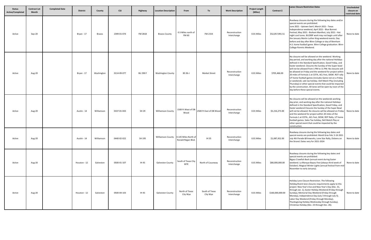| <b>Status</b><br><b>Active/Completed</b> | <b>Contract Let</b><br>Month | <b>Completed Date</b> | <b>District</b> | County        | <b>CSJ</b>  | Highway         | <b>Location Description</b>            | From                              | To                         | <b>Work Description</b>       | <b>Project Length</b><br>(Miles) | Contract \$      | <b>Lanes Closure Restriction Dates</b>                                                                                                                                                                                                                                                                                                                                                                                                                                                                                                                                                                                                                                                                    | Unscheduled<br>closure on<br>restricted date |
|------------------------------------------|------------------------------|-----------------------|-----------------|---------------|-------------|-----------------|----------------------------------------|-----------------------------------|----------------------------|-------------------------------|----------------------------------|------------------|-----------------------------------------------------------------------------------------------------------------------------------------------------------------------------------------------------------------------------------------------------------------------------------------------------------------------------------------------------------------------------------------------------------------------------------------------------------------------------------------------------------------------------------------------------------------------------------------------------------------------------------------------------------------------------------------------------------|----------------------------------------------|
| Active                                   | $Sep-20$                     |                       | Bryan - 17      | <b>Brazos</b> | 2399-01-074 | FM 2818         | <b>Brazos County</b>                   | 0.5 Miles north of<br>FM 60       | FM 2154                    | Reconstruction<br>Interchange | 0.01 Miles                       | \$52,057,991.51  | Roadway closures during the following key dates and/or<br>special events are prohibited:<br>June 2021 - Uptown Swirl, March 2021 - Texas<br>Independence weekend, April 2021 - Blue Bonnet<br>Festival, May 2021 - Braham Manifest, July 2021 - Hot<br>night cool tunes. BU290F work may not begin until after<br>the January Martin Luther King weekend events. Day<br>before and day after Blinn College or day of Brenham<br>H.S. home football game. Blinn College graduation. Blinn<br>College Parents Weekend.                                                                                                                                                                                      | None to date                                 |
| Active                                   | Aug-20                       |                       | Bryan - 17      | Washington    | 0114-09-077 | <b>BU 290 F</b> | <b>Washington County</b>               | BS 36-J                           | <b>Market Street</b>       | Reconstruction<br>Interchange | 0.01 Miles                       | \$705,466.00     | No closures will be allowed on the weekend. Working<br>day period, and working day after the national Holidays<br>defined in the Standard Specification, Good Friday, and<br>Easter weekend. Closures the Sunday of the Super bowl<br>will not be allowed from 1 PM to 11 PM. No closures will<br>be allowed on Friday and the weekend for project withir<br>20 miles of Formula 1 at COTA, ACL Fest, SXSW. ROT rally<br>UT home football games (includes Game not on a Friday<br>or weekend). sale tax holiday. Dell Match Play (including<br>Thursday) or other special events that could be impacted<br>by the construction. All lanes will be open by noon of the<br>day before these special events. | None to date                                 |
| Active                                   | Aug-20                       |                       | Austin - 14     | Williamson    | 0337-01-043 | SH 29           | Williamson County                      | 1500 Ft Wast of DB<br>Wood        | 2500 Ft East of DB Wood    | Reconstruction<br>Interchange | 0.01 Miles                       | \$5,216,273.00   | No closures will be allowed on the weekends working<br>day prior, and working day after the national Holidays<br>defined in the Standard Specification, Good Friday, and<br>Easter weekend Closures the Sunday of the Super Bowl<br>will not be allowed. No closures will be allowed on Friday<br>and the weekend for project within 20 miles of the<br>Formula 1 at COTA., ACL Fest, SXSW, ROT Rally, UT home<br>football games. Sales Tax holiday, Dell Match Play or<br>other special event that could be impacted by the<br>construction.                                                                                                                                                             | None to date                                 |
| Active                                   | Aug-20                       |                       | Austin - 14     | Williamson    | 0440-02-022 | SH 195          | Williamson County 0.145 Miles North of | Ronald Regan Blvd.                | IH 35                      | Reconstruction<br>Interchange | 0.01 Miles                       | \$1,087,452.00   | Roadway closures during the following key dates and<br>special events are prohibited: Mardi Gras Feb. 5-16 2021<br>July 4th Parade & Fireworks, Lone Star Rally, Dickens on<br>the Strand. Dates very for 2021-2024                                                                                                                                                                                                                                                                                                                                                                                                                                                                                       | None to date                                 |
| Active                                   | Aug-20                       |                       | Houston - 12    | Galveston     | 0500-01-107 | IH 45           | <b>Galveston County</b>                | South of Texas City<br><b>WYE</b> | North of Causeway          | Reconstruction<br>Interchange | 0.01 Miles                       | \$80,000,000.00  | Roadway closures during the following key dates and<br>special events are prohibited:<br>Bigass Crawfish Bash (annual event during Easter<br>weekend. La Marque Bayou Fest (always third week of<br>October). Magical Winter Lights (annual festival from mic<br>November to early January).                                                                                                                                                                                                                                                                                                                                                                                                              | None to date                                 |
| Active                                   | Aug-20                       |                       | Houston - 12    | Galveston     | 0500-04-103 | IH 45           | <b>Galveston County</b>                | North of Texas<br>City Wye        | South of Texas<br>City Wye | Reconstruction<br>Interchange | 0.01 Miles                       | \$160,000,000.00 | Holiday Lane Closure Restriction. The following<br>Holiday/Event lane closures requirements apply to this<br>project: New Year's Eve and New Year's Day (Dec. 31,<br>through Jan. 1), Easter Holiday Weekend (Friday through<br>Sunday), Memorial Day Weekend (Friday through<br>Monday), Independence Day (July 3 through July 5).<br>Labor Day Weekend (Friday through Monday),<br>Thanksgiving Holiday Wednesday through Sunday),<br>Christmas Holiday (Dec. 23 through Dec. 26).                                                                                                                                                                                                                      | None to date                                 |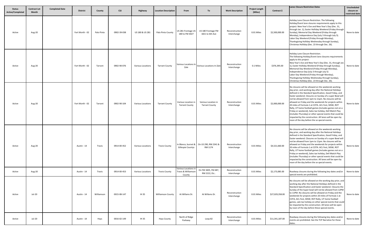| <b>Status</b><br><b>Active/Completed</b> | <b>Contract Let</b><br><b>Month</b> | <b>Completed Date</b> | <b>District</b> | County     | <b>CSJ</b>  | Highway                  | <b>Location Description</b> | From                                                  | To                                           | <b>Work Description</b>       | <b>Project Length</b><br>(Miles) | Contract \$     | <b>Lanes Closure Restriction Dates</b>                                                                                                                                                                                                                                                                                                                                                                                                                                                                                                                                                                                                                                                                   | Unscheduled<br>closure on<br>restricted date |
|------------------------------------------|-------------------------------------|-----------------------|-----------------|------------|-------------|--------------------------|-----------------------------|-------------------------------------------------------|----------------------------------------------|-------------------------------|----------------------------------|-----------------|----------------------------------------------------------------------------------------------------------------------------------------------------------------------------------------------------------------------------------------------------------------------------------------------------------------------------------------------------------------------------------------------------------------------------------------------------------------------------------------------------------------------------------------------------------------------------------------------------------------------------------------------------------------------------------------------------------|----------------------------------------------|
| Active                                   | Aug-20                              |                       | Fort Worth - 02 | Palo Pinto | 0902-39-038 | US 180 & US 281          | Palo Pinto County           | US 281 Frontage US<br>180 to FM 3027                  | US 180 Frontage FM<br>1821 to 6th Ave        | Reconstruction<br>Interchange | 0.01 Miles                       | \$2,500,000.00  | Holiday Lane Closure Restriction. The following<br>Holiday/Event lane closures requirements apply to this<br>project: New Year's Eve and New Year's Day (Dec. 31,<br>through Jan. 1), Easter Holliday Weekend (Friday through<br>Sunday), Memorial Day Weekend (Friday through<br>Monday), Independence Day (July 3 through July 5).<br>Labor Day Weekend (Friday through Monday),<br>Thanksgiving Holliday Wednesday through Sunday),<br>Christmas Holliday (Dec. 23 through Dec. 26).                                                                                                                                                                                                                  | None to date                                 |
| Active                                   | Aug-20                              |                       | Fort Worth - 02 | Tarrant    | 0902-90-076 | <b>Various Locations</b> | <b>Tarrant County</b>       | Various Locations In<br>Zale                          | Various Locations In Zale                    | Reconstruction<br>Interchange | 0.1 Miles                        | \$376,395.00    | Holiday Lane Closure Restriction.<br>The following Holiday/Event lane closures requirements<br>apply to this project:<br>New Year's Eve and New Year's Day (Dec. 31, through Jan<br>1), Easter Holliday Weekend (Friday through Sunday),<br>Memorial Day Weekend (Friday through Monday),<br>Independence Day (July 3 through July 5)<br>Labor Day Weekend (Friday through Monday),<br>Thanksgiving Holliday Wednesday through Sunday),<br>Christmas Holliday (Dec. 23 through Dec. 26).                                                                                                                                                                                                                 | None to date                                 |
| Active                                   | Aug-20                              |                       | Fort Worth - 02 | Tarrant    | 0902-90-104 | <b>Various Locations</b> | <b>Tarrant County</b>       | Various Location in<br><b>Tarrant County</b>          | Various Location in<br><b>Tarrant County</b> | Reconstruction<br>Interchange | 0.01 Miles                       | \$2,000,000.00  | No closures will be allowed on the weekends working<br>day prior, and working day after the National Holidays<br>defined in the Standard Specification, Good Friday, and<br>Easter weekend. Closures on Sunday of a super Bowl wil<br>not be allowed from 1pm to 11pm. No closures will be<br>allowed on Friday and the weekends for projects within<br>20 miles of Formula 1 at COTA. ACL Fest, SXSW, ROT<br>Rally, UT home football games (includes games not on a<br>Friday or weekend), Sales tax holiday, Dell Match Play<br>(includes Thursday) or other special events that could be<br>impacted by the construction. All lanes will be open by<br>noon of the day before the se special events.  | None to date                                 |
| Active                                   | Aug-20                              |                       | Austin - 14     | Travis     | 0914-00-452 | <b>Various Locations</b> | <b>Travis County</b>        | In Blanco, burnet &<br>Gillespie Countys              | On US 290, RM 2341 &<br>RM 1174              | Reconstruction<br>Interchange | 0.01 Miles                       | \$4,521,660.00  | No closures will be allowed on the weekends working<br>day prior, and working day after the National Holidays<br>defined in the Standard Specification, Good Friday, and<br>Easter weekend. Closures on Sunday of a super Bowl will<br>not be allowed from 1pm to 11pm. No closures will be<br>allowed on Friday and the weekends for projects within<br>20 miles of Formula 1 at COTA. ACL Fest, SXSW, ROT<br>Rally, UT home football games (includes games not on a<br>Friday or weekend), Sales tax holiday, Dell Match Play<br>(includes Thursday) or other special events that could be<br>impacted by the construction. All lanes will be open by<br>noon of the day before the se special events. | None to date                                 |
| Active                                   | Aug-20                              |                       | Austin - 14     | Travis     | 0914-00-453 | Various Locations        | <b>Travis County</b>        | Various Locations in<br>Travis & Williamson<br>County | On FM 3405, FM 487,<br>RM 2222, Etc          | Reconstruction<br>Interchange | 0.01 Miles                       | \$2,173,085.00  | Roadway closures during the following key dates and/or<br>special events are prohibited.                                                                                                                                                                                                                                                                                                                                                                                                                                                                                                                                                                                                                 | None to date                                 |
| Active                                   | Jul-20                              |                       | Austin - 14     | Williamson | 0015-08-147 | IH 35                    | <b>Williamson County</b>    | At Willams Dr.                                        | At Willams Dr.                               | Reconstruction<br>Interchange | 0.01 Miles                       | \$27,029,358.00 | No closures will be allowed on the working day prior, and<br>working day after the National Holidays defined in the<br>Standard Specification and Easter weekend. Closures the<br>Sunday of the Super bowl will not be allowed from 12PM<br>to 11PM. No closures will be allowed on Friday and the<br>weekends for projects within 20 miles of Formula 1 at<br>COTA, ACL Fest, SXSW, ROT Rally, UT home football<br>games, sale tax holiday on other special events that could<br>be impacted by the construction. All lanes will be open<br>by noon of the day before these special events.                                                                                                             | None to date                                 |
| Active                                   | Jul-20                              |                       | Austin - 14     | Hays       | 0016-02-149 | IH 35                    | <b>Hays County</b>          | North of Ridge<br>Parkway                             | Loop 82                                      | Reconstruction<br>Interchange | 0.01 Miles                       | \$11,341,187.00 | Roadway closures during the following key dates and/or<br>events are prohibited. See the TCP Narrative for these<br>dates.                                                                                                                                                                                                                                                                                                                                                                                                                                                                                                                                                                               | None to date                                 |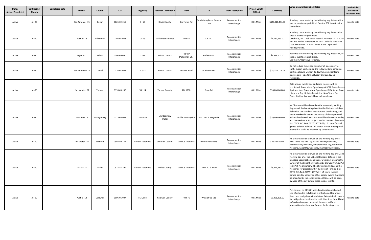| <b>Status</b><br><b>Active/Completed</b> | <b>Contract Let</b><br><b>Month</b> | <b>Completed Date</b> | <b>District</b>  | County     | <b>CSJ</b>  | Highway                  | <b>Location Description</b> | From                      | To                            | <b>Work Description</b>       | <b>Project Length</b><br>(Miles) | Contract \$      | <b>Lanes Closure Restriction Dates</b>                                                                                                                                                                                                                                                                                                                                                                                                                                                                                                                                                       | Unscheduled<br>closure on<br>restricted date |
|------------------------------------------|-------------------------------------|-----------------------|------------------|------------|-------------|--------------------------|-----------------------------|---------------------------|-------------------------------|-------------------------------|----------------------------------|------------------|----------------------------------------------------------------------------------------------------------------------------------------------------------------------------------------------------------------------------------------------------------------------------------------------------------------------------------------------------------------------------------------------------------------------------------------------------------------------------------------------------------------------------------------------------------------------------------------------|----------------------------------------------|
| Active                                   | Jul-20                              |                       | San Antonio - 15 | Bexar      | 0025-02-215 | IH 10                    | <b>Bexar County</b>         | Graytown Rd               | Guadalupe/Bexar Count<br>Line | Reconstruction<br>Interchange | 0.01 Miles                       | \$140,318,444.00 | Roadway closures during the following key dates and/or<br>special events are prohibited. See the TCP Narrative for<br>these dates.                                                                                                                                                                                                                                                                                                                                                                                                                                                           | None to date                                 |
| Active                                   | <b>Jul-20</b>                       |                       | Austin - 14      | Williamson | 0204-01-068 | <b>US79</b>              | <b>Williamson County</b>    | FM 685                    | CR 110                        | Reconstruction<br>Interchange | 0.01 Miles                       | \$1,539,769.00   | Roadway closures during the following key dates and or<br>special events are prohibited.<br>October 3, 20-21 Fall music Festival. October 14-17, 20-21<br>Fair and Rodeo. November 21, 20-21 Whistle Stop Wine<br>Tour. December 12, 20-21 Santa at the Depot and<br>Holiday Parade.                                                                                                                                                                                                                                                                                                         | None to date                                 |
| Active                                   | Jul-20                              |                       | Bryan - 17       | Milam      | 0204-06-060 | <b>US 79</b>             | <b>Milam County</b>         | FM 487<br>(Ackerman ST.)  | Burleson St.                  | Reconstruction<br>Interchange | 0.01 Miles                       | \$1,388,000.00   | Roadway closures during the following key dates and /or<br>special events are prohibited.<br>See the TCP Narrative for dates.                                                                                                                                                                                                                                                                                                                                                                                                                                                                | None to date                                 |
| Active                                   | Jul-20                              |                       | San Antonio - 15 | Comal      | 0216-01-057 | SL 337                   | <b>Comal County</b>         | At River Road             | At River Road                 | Reconstruction<br>Interchange | 0.01 Miles                       | \$14,258,776.79  | Do not reduce the existing number of lanes open to<br>traffic except as shown on the following time schedule:<br>Daytime closure Monday-Friday 9am-3pm nighttime<br>closure 9pm -11:59pm. Saturday and Sunday no<br>restriction.                                                                                                                                                                                                                                                                                                                                                             | None to date                                 |
| Active                                   | <b>Jul-20</b>                       |                       | Fort Worth - 02  | Tarrant    | 0353-03-100 | SH 114                   | <b>Tarrant County</b>       | FM 1938                   | Dove Rd.                      | Reconstruction<br>Interchange | 0.01 Miles                       | \$36,000,000.00  | Date and/or events lane and ramp closures will be<br>prohibited: Texas Motor Speedway-NASCAR Series Races<br>April and Nov. Texas Motor Speedway - INDY Series Races<br>- June and Sep. Holiday Restriction: New Year's Eve,<br>Easter Holiday, Memorial Day, Independence                                                                                                                                                                                                                                                                                                                   | None to date                                 |
| Active                                   | <b>Jul-20</b>                       |                       | Houston - 12     | Montgomery | 0523-08-007 | FM 1488                  | Montgomery<br>Waller        | <b>Waller County Line</b> | FM 1774 in Magnolia           | Reconstruction<br>Interchange | 0.01 Miles                       | \$26,900,000.00  | No Closures will be allowed on the weekends, working<br>day period. And working day after the National Holidays<br>defined in the Standard Specification. Good Friday, and<br>Easter weekend Closures the Sunday of the Super Bowl<br>will not be allowed. No closures will be allowed on Friday<br>and the weekends for projects within 20 miles of Formul<br>1 at COTA, ACL Fest, SXSW, ROT Rally, UT home football<br>games. Sale tax holiday. Dell Match Play or other special<br>events that could be impacted by construction.                                                         | None to date                                 |
| Active                                   | Jul-20                              |                       | Fort Worth - 02  | Johnson    | 0902-50-131 | Various Locations        | Johnson County              | <b>Various Locations</b>  | Various Locations             | Reconstruction<br>Interchange | 0.01 Miles                       | \$7,588,640.00   | No closures will be allowed on the working day prior:<br>New Year's Eve and Day. Easter Holiday weekend,<br>Memorial Day weekend, Independence Day, Labor Day<br>weekend, Labor Day weekend, Thanksgiving Holiday.                                                                                                                                                                                                                                                                                                                                                                           | None to date                                 |
| Active                                   | <b>Jul-20</b>                       |                       | Dallas - 18      | Dallas     | 0918-47-299 | <b>Various Locations</b> | <b>Dallas County</b>        | <b>Various Locations</b>  | On IH 20 & IH 30              | Reconstruction<br>Interchange | 0.01 Miles                       | \$3,224,232.00   | No closures will be allowed on the working day prior, and<br>working day after the National Holidays defined in the<br>Standard Specification and Easter weekend. Closures the<br>Sunday of the Super bowl will not be allowed from 12PM<br>to 11PM. No closures will be allowed on Friday and the<br>weekends for projects within 20 miles of Formula 1 at<br>COTA, ACL Fest, SXSW, ROT Rally, UT home football<br>games, sale tax holiday on other special events that could<br>be impacted by the construction. All lanes will be open<br>by noon of the day before these special events. | None to date                                 |
| Active                                   | <b>Jul-20</b>                       |                       | Austin - 14      | Caldwell   | 3006-01-007 | FM 2984                  | Caldwell County             | FM 671                    | West of US 183                | Reconstruction<br>Interchange | 0.01 Miles                       | \$2,401,898.00   | Full closures on IH 35 in both directions is not allowed.<br>Use of extended full closure is only allowed for bridge<br>demo and bridge beam installation. Extended full closur<br>for bridge demo is allowed in both directions from 12AM<br>to 7AM and require closure of the cross traffic at<br>intersections to allow free flow on the frontage road.                                                                                                                                                                                                                                   | None to date                                 |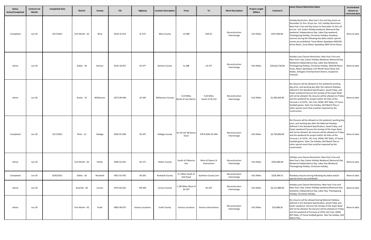| <b>Status</b><br><b>Active/Completed</b> | <b>Contract Let</b><br>Month | <b>Completed Date</b> | <b>District</b> | County     | <b>CSJ</b>  | Highway           | <b>Location Description</b> | From                                | To                               | <b>Work Description</b>       | <b>Project Length</b><br>(Miles) | Contract \$     | <b>Lanes Closure Restriction Dates</b>                                                                                                                                                                                                                                                                                                                                                                                                                                                                                                        | Unscheduled<br>closure on<br>restricted date |
|------------------------------------------|------------------------------|-----------------------|-----------------|------------|-------------|-------------------|-----------------------------|-------------------------------------|----------------------------------|-------------------------------|----------------------------------|-----------------|-----------------------------------------------------------------------------------------------------------------------------------------------------------------------------------------------------------------------------------------------------------------------------------------------------------------------------------------------------------------------------------------------------------------------------------------------------------------------------------------------------------------------------------------------|----------------------------------------------|
| Completed                                | Jun-20                       | 6/17/2021             | Fort Worth - 02 | Wise       | 0134-15-013 | SL 373            | <b>Wise County</b>          | <b>US380</b>                        | 13th St.                         | Reconstruction<br>Interchange | 0.01 Miles                       | \$557,640.00    | Holiday Restriction: New Year's Eve and Day (noon on<br>December 31 thru 10 pm Jan. 1st). Holiday Restriction:<br>New Year's Eve and Day (noon on December 31 thru 10<br>pm Jan. 1st). Easter Holiday weekend, Memorial Day<br>weekend, Independence Day, Labor Day weekend,<br>Thanksgiving Holiday, Christmas Holiday. Roadway<br>closures during the following key dates and/or special<br>events are prohibited: Texas Motor Speedway NASCAR<br>Series Races, Texas Motor Speedway INDY Series Races.                                     | None to date                                 |
| Active                                   | Jun-20                       |                       | Dallas - 18     | Denton     | 0135-10-057 | <b>US377</b>      | <b>Denton County</b>        | SL 288                              | <b>US 377</b>                    | Reconstruction<br>Interchange | 0.01 Miles                       | \$20,616,736.00 | Holiday Lane Closure Restriction: New Year's Eve and<br>New Year's Day, Easter Holiday Weekend, Memorial Day<br>Weekend Independence Day, Labor Day Weekend,<br>Thanksgiving Holiday, Christmas Holiday. NASCAR Races<br>Texas, Motor Speedway, Fort Worth Stock Show and<br>Rodeo, Arlington Entertainment District, Grapevine<br>Festivals.                                                                                                                                                                                                 | None to date                                 |
| Active                                   | Jun-20                       |                       | Austin - 14     | Williamson | 0273-04-040 | <b>US 183</b>     | <b>Williamson County</b>    | 0.23 Miles<br>North of Live Oak Dr. | 0.26 Miles<br>South of CR 212    | Reconstruction<br>Interchange | 0.01 Miles                       | \$1,383,059.00  | No closures will be allowed on the weekends working<br>day prior, and working day after the national Holidays<br>defined in the Standard Specification, Good Friday, and<br>Easter weekend Closures the Sunday of the Super Bowl<br>will not be allowed. No closures will be allowed on Friday<br>and the weekend for project within 20 miles of the<br>Formula 1 at COTA., ACL Fest, SXSW, ROT Rally, UT home<br>football games. Sales Tax holiday, Dell Match Play or<br>other special event that could be impacted by the<br>construction. | None to date                                 |
| Completed                                | Jun-20                       | 5/17/2021             | Pharr - 21      | Hidalgo    | 0342-01-099 | SH 107            | <b>Hidalgo County</b>       | On SH 107 @ Donna<br>Drain          | STR # 0342-01-004                | Reconstruction<br>Interchange | 0.01 Miles                       | \$2,750,000.00  | No Closures will be allowed on the weekend, working day<br>prior, and working day after the National Holidays<br>defined in the Standard Specification, Good Friday, and<br>Easter weekend Closures the Sunday of the Super Bowl<br>will not be allowed. No closures will be allowed on Friday<br>and the weekend for project within 20 miles of the<br>Formula 1 at COTA., ACL Fest, SXSW, ROT Rally, UT home<br>football games. Sales Tax holiday, Dell Match Play or<br>other special event that could be impacted by the<br>construction. | None to date                                 |
| Active                                   | Jun-20                       |                       | Fort Worth - 02 | Parker     | 0365-01-051 | SH 171            | Parker County               | South of Cleburne<br>Ave            | West of Owens St<br>Intersection | Reconstruction<br>Interchange | 0.01 Miles                       | \$335,000.00    | Holiday Lane Closure Restriction: New Year's Eve and<br>New Year's Day, Easter Holiday Weekend, Memorial Day<br>Weekend Independence Day, Labor Day Weekend,<br>Thanksgiving Holiday, Christmas Holiday.                                                                                                                                                                                                                                                                                                                                      | None to date                                 |
| Completed                                | Jun-20                       | 8/30/2021             | Dallas - 18     | Rockwell   | 0451-01-055 | SH 205            | Rockwall County             | 0.1 Miles South of<br>Sids Road     | Kaufman County Line              | Reconstruction<br>Interchange | 0.01 Miles                       | \$226,449.51    | Roadway closures during following key dates and/or<br>special events are prohibited:                                                                                                                                                                                                                                                                                                                                                                                                                                                          | None to date                                 |
| Active                                   | Jun-20                       |                       | Amarillo - 04   | Carson     | 0753-02-022 | FM 293            | <b>Carson County</b>        | 1.183 Miles West of<br>SH 207       | SH 207                           | Reconstruction<br>Interchange | 0.01 Miles                       | \$5,517,880.00  | Holiday Lane Closure Restrictions: New Year's Eve and<br>New Year's Day. Easter Holliday weekend Memorial Day<br>weekend, Independence Day, Labor Day, Thanksgiving<br>Holiday, Christmas Holiday.                                                                                                                                                                                                                                                                                                                                            | None to date                                 |
| Active                                   | Jun-20                       |                       | Fort Worth - 02 | Erath      | 0902-49-075 | Various Locations | <b>Erath County</b>         | Various Locations                   | Various intersections            | Reconstruction<br>Interchange | 0.01 Miles                       | \$19,588.26     | No closures will be allowed during National Holidays<br>defined in the Standard Specification, Good Friday and<br>Easter weekend. Closures the Sunday of the Super Bowl<br>will not be allowed. No closures will be allowed on Friday<br>and the weekend of Formula at COTA, ACL Fest, SXSW,<br>ROT Rally, UT home football games. Sale Tax holiday, Dell<br>Match Play.                                                                                                                                                                      | None to date                                 |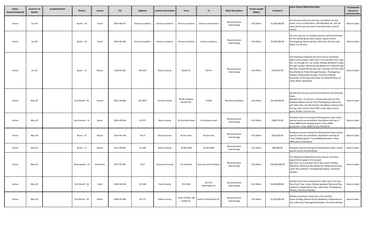| <b>Status</b><br><b>Active/Completed</b> | <b>Contract Let</b><br><b>Month</b> | <b>Completed Date</b> | <b>District</b>  | County        | <b>CSJ</b>  | Highway           | <b>Location Description</b> | From                             | <b>To</b>                        | <b>Work Description</b>       | <b>Project Length</b><br>(Miles) | Contract \$     | <b>Lanes Closure Restriction Dates</b>                                                                                                                                                                                                                                                                                                                                                                                                                                            | Unscheduled<br>closure on<br>restricted date |
|------------------------------------------|-------------------------------------|-----------------------|------------------|---------------|-------------|-------------------|-----------------------------|----------------------------------|----------------------------------|-------------------------------|----------------------------------|-----------------|-----------------------------------------------------------------------------------------------------------------------------------------------------------------------------------------------------------------------------------------------------------------------------------------------------------------------------------------------------------------------------------------------------------------------------------------------------------------------------------|----------------------------------------------|
| Active                                   | Jun-20                              |                       | Austin - 14      | Travis        | 0914-00-427 | Various Locations | <b>Various Locations</b>    | <b>Various Locations</b>         | Various intersections            | Reconstruction<br>Interchange | 0.01 Miles                       | \$1,500,000.00  | No Closures shall occur during a scheduled running<br>event, such as a Marathon, half-Marathon 5k, 10k. All<br>lanes will be open by noon of the day before special<br>events.                                                                                                                                                                                                                                                                                                    | None to date                                 |
| Active                                   | Jun-20                              |                       | Austin - 14      | Travis        | 0914-00-446 | Various Locations | Various Locations           | Various Locations                | Various Locations                | Reconstruction<br>Interchange | 0.01 Miles                       | \$2,500,000.00  | No Lane closures or roadway closures will be permitted<br>for the following key dates and/or special events.<br>Thanksgiving, Memorial Day, Labor Day, Election day<br>Bexar County only.                                                                                                                                                                                                                                                                                         | None to date                                 |
| Active                                   | Jun-20                              |                       | Bryan - 17       | Brazos        | 3138-01-029 | FN 2347           | <b>Brazos County</b>        | Bizzell St.                      | <b>BS 6-R</b>                    | Reconstruction<br>Interchange | 0.01 Miles                       | \$719,261.00    | The following Holiday/Event lane closure restriction<br>apply to this project. New Year's Eve and New Year's Day:<br>Dec. 31 through Jan. 1st. Easter Holiday Weekend: Friday<br>through Sunday. Memorial Day Weekend: Friday through<br>Monday. Independence Day July 3 through July 5th.Labo<br>Day Weekend: Friday through Monday. Thanksgiving<br>Holiday: Wednesday through. Christmas Holiday:<br>December 23 through December 26. NASCAR Races at<br>Texas Motor Speedway. | None to date                                 |
| Active                                   | May-20                              |                       | Fort Worth - 02  | Tarrant       | 0013-10-084 | <b>BU 287P</b>    | <b>Tarrant County</b>       | North of Bailey<br>Boswell Rd.   | <b>IH 820</b>                    | Resurface Roadway             | 0.01 Miles                       | \$2,339,930.00  | No Mainline closures will be permitted for the following<br>dates.<br>Between Dec. 15 and Jan.1, Festal week and Tax-free<br>weekend (Bexar County only) Thanksgiving, Memorial,<br>and Labor Day, July 4th Election day (Bexar County Only).<br>During major event at the AT&T center (Spurs home<br>game, Rodeo, Concerts etc.                                                                                                                                                  | None to date                                 |
| Active                                   | May-20                              |                       | San Antonio - 15 | Bexar         | 0024-09-026 | SS 371            | <b>Bexar County</b>         | At Quintana Road                 | At Quintana road                 | Reconstruction<br>Interchange | 0.01 Miles                       | \$428,776.00    | Roadway closures during the following key date and/or<br>special events are prohibited: Day before and day of<br>Texas A&M home football games. Texas A&M<br>graduation. Texas A&M Parents Weekend:                                                                                                                                                                                                                                                                               | None to date                                 |
| Active                                   | May-20                              |                       | Bryan - 17       | Brazos        | 0116-04-104 | SH 21             | <b>Brazos County</b>        | At Sims Ave.                     | At Sims Ave.                     | Reconstruction<br>Interchange | 0.01 Miles                       | \$263,629.00    | Roadway closures during the following key dates and/or<br>special events are prohibited. Day before and day of<br>Texas football games. Texas A&M graduation. Texas<br>A&M parents Weekend.                                                                                                                                                                                                                                                                                       | None to date                                 |
| Active                                   | May-20                              |                       | Bryan - 17       | <b>Brazos</b> | 0117-09-002 | US 190            | <b>Brazos County</b>        | At FM 2038                       | At FM 2038                       | Reconstruction<br>Interchange | 0.01 Miles                       | \$82,899.00     | Roadway closures during the following key dates and/or<br>special events are prohibited.                                                                                                                                                                                                                                                                                                                                                                                          | None to date                                 |
| Active                                   | May-20                              |                       | Brownwood - 23   | Comanche      | 0257-05-045 | SH <sub>6</sub>   | Comanche County             | SH 16 North                      | East city limit of Deleon        | Reconstruction<br>Interchange | 0.01 Miles                       | \$10,000,000.00 | The following Holiday/Event lane closure restriction<br>requirement apply to this project.<br>New Year's Eve and New Year's Day, Easter Holiday<br>Weekend. Memorial Day Weekend, Independence Day,<br>Labor Day weekend, Thanksgiving Holiday, Christmas<br>Holiday.                                                                                                                                                                                                             | None to date                                 |
| Active                                   | May-20                              |                       | Fort Worth - 02  | Erath         | 0343-04-044 | SH 108            | <b>Erath County</b>         | FM 2303                          | <b>BU 377J</b><br>Washington St. | Reconstruction<br>Interchange | 0.01 Miles                       | \$2,400,000.00  | Holiday Lane Closure Restrictions: New Year's Eve and<br>New Year's Day. Easter Holiday weekend Memorial Day<br>weekend, Independence Day, Labor Day, Thanksgiving<br>Holiday, Christmas Holiday.                                                                                                                                                                                                                                                                                 | None to date                                 |
| Active                                   | May-20                              |                       | Fort Worth - 02  | Parker        | 0365-01-049 | SH 171            | Parker County               | South of West. BB<br>Fielder Dr. | South of Old Airport Dr.         | Reconstruction<br>Interchange | 0.01 Miles                       | \$1,254,995.00  | Holiday restrictions: New Year's Eve and Day,<br>Easter Holiday, Memorial Day Weekend, Independence<br>Day, Labor Day Thanksgiving Holiday, Christmas Holiday.                                                                                                                                                                                                                                                                                                                    | None to date                                 |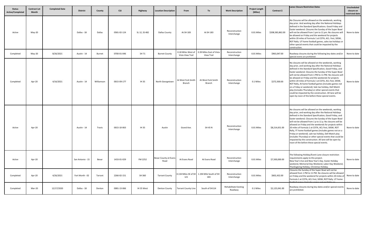| <b>Status</b><br>Active/Completed | <b>Contract Let</b><br>Month | <b>Completed Date</b> | <b>District</b>  | County     | <b>CSJ</b>  | Highway       | <b>Location Description</b>          | From                                   | To                                            | <b>Work Description</b>                 | <b>Project Length</b><br>(Miles) | Contract \$      | <b>Lanes Closure Restriction Dates</b>                                                                                                                                                                                                                                                                                                                                                                                                                                                                                                                                                                                                                                                                  | Unscheduled<br>closure on<br>restricted date |
|-----------------------------------|------------------------------|-----------------------|------------------|------------|-------------|---------------|--------------------------------------|----------------------------------------|-----------------------------------------------|-----------------------------------------|----------------------------------|------------------|---------------------------------------------------------------------------------------------------------------------------------------------------------------------------------------------------------------------------------------------------------------------------------------------------------------------------------------------------------------------------------------------------------------------------------------------------------------------------------------------------------------------------------------------------------------------------------------------------------------------------------------------------------------------------------------------------------|----------------------------------------------|
| Active                            | $May-20$                     |                       | Dallas - 18      | Dallas     | 0581-02-124 | SL 12, SS 482 | <b>Dallas County</b>                 | At SH 183                              | At SH 183                                     | Reconstruction<br>Interchange           | 0.01 Miles                       | \$208,583,862.00 | No Closures will be allowed on the weekends, working<br>day prior. And working day after the National Holidays<br>defined in the Standard Specifications. Good Friday and<br>Easter weekend. Closures the Sunday of the Super Bowl<br>will not be allowed from 1 pm to 11 pm. No closures will<br>be allowed on Friday and the weekend for projects<br>within 20 miles of Formula 1 at COTA, ACL. Fest, SXSW,<br>ROT Rally. UT home football games, sales tax holidays or<br>other special events that could be impacted by the<br>construction.                                                                                                                                                        | None to date                                 |
| Completed                         | $May-20$                     | 8/26/2021             | Austin - 14      | Burnet     | 0700-01-046 | SH 71         | <b>Burnet County</b>                 | 0.18 Miles West of<br>Vista View Trail | 0.39 Miles East of Vista<br><b>View Trail</b> | Reconstruction<br>Interchange           | 0.01 Miles                       | \$963,047.00     | Roadway closures during the following key dates and/or<br>special events are prohibited:                                                                                                                                                                                                                                                                                                                                                                                                                                                                                                                                                                                                                | None to date                                 |
| Completed                         | Apr-20                       | 4/16/2021             | Austin - 14      | Williamson | 0015-09-177 | IH 35         | North Georgetown                     | At West Fork Smith<br>Branch           | At West Fork Smith<br>Branch                  | Reconstruction<br>Interchange           | 0.1 Miles                        | \$272,500.00     | No closures will be allowed on the weekends, working<br>day prior, and working day after the National Holidays<br>defined in the Standard Specification, Good Friday, and<br>Easter weekend. Closures the Sunday of the Super Bowl<br>will not be allowed from 1 PM to 11 PM. No closures will<br>be allowed on Friday and the weekends for projects<br>within 20 miles of Formula 1 at COTA, ACL Fest, SXSW,<br>ROT Rally, At home football games (includes games not<br>on a Friday or weekend). Sale tax holiday, Dell Match<br>play (includes Thursday) or other special events that<br>could be impacted by the construction. All lane will be<br>open by noon of the before these special events. | None to date                                 |
| Active                            | Apr-20                       |                       | Austin - 14      | Travis     | 0015-10-063 | IH 35         | Austin                               | Grand Ave.                             | SH 45 N                                       | Reconstruction<br>Interchange           | 0.01 Miles                       | \$8,214,651.00   | No closures will be allowed on the weekends, working<br>day prior, and working day after the National Holidays<br>defined in the Standard Specification, Good Friday, and<br>Easter weekend. Closures the Sunday of the Super Bowl<br>will not be allowed from 1 p to 11 p. No closures will be<br>allowed on Friday and the weekends for projects within<br>20 miles of Formula 1 at COTA, ACL Fest, SXSW, ROT<br>Rally, YT home football games (includes games not on a<br>Friday or weekend). sale tax holiday, Dell Match play<br>(includes Thursday) or other special events that could be<br>impacted by the construction. All lane will be open by<br>noon of the before these special events.   | None to date                                 |
| Active                            | Apr-20                       |                       | San Antonio - 15 | Bexar      | 1433-01-029 | FM 2252       | <b>Bexar County at Evans</b><br>Road | At Evans Road                          | At Evans Road                                 | Reconstruction<br>Interchange           | 0.01 Miles                       | \$7,500,000.00   | The following Holiday/Event Lane closure restriction<br>requirements apply to this project.<br>New Year's Eve and New Year's Day. Easter Holiday<br>weekend, Memorial Day Weekend, Labor Day Weekend,<br>Thanksgiving Holiday, Christmas Holiday.                                                                                                                                                                                                                                                                                                                                                                                                                                                       | None to date                                 |
| Completed                         | Apr-20                       | 4/26/2021             | Fort Worth - 02  | Tarrant    | 2266-02-151 | SH 360        | <b>Tarrant County</b>                | 0.134 Miles SE of SH<br>121            | 1.194 Mile South of SH<br>183                 | Reconstruction<br>Interchange           | 0.01 Miles                       | \$602,432.00     | Closures the Sunday of the Super Bowl will not be<br>allowed from 1 PM to 11 PM. No closures will be allowed<br>on Friday and the weekend for projects within 20 miles o<br>Formula 1 at COTA, ACL Fest, SXSW, ROT Rally. UT home                                                                                                                                                                                                                                                                                                                                                                                                                                                                       | None to date                                 |
| Completed                         | Mar-20                       | 12/17/2020            | Dallas - 18      | Denton     | 0081-13-066 | IH 35 West    | <b>Denton County</b>                 | <b>Tarrant County Line</b>             | South of SH114                                | <b>Rehabilitate Existing</b><br>Roadway | 0.1 Miles                        | \$2,125,041.00   | Roadway closures during key dates and/or special events<br>are prohibited.                                                                                                                                                                                                                                                                                                                                                                                                                                                                                                                                                                                                                              | None to date                                 |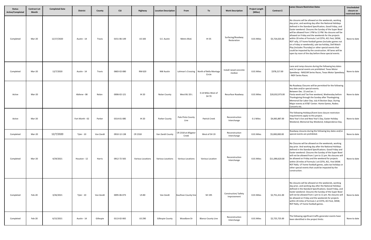| <b>Status</b><br>Active/Completed | <b>Contract Let</b><br>Month | <b>Completed Date</b> | <b>District</b> | County    | <b>CSJ</b>  | Highway                  | <b>Location Description</b> | From                          | To                                                 | <b>Work Description</b>            | <b>Project Length</b><br>(Miles) | Contract \$     | <b>Lanes Closure Restriction Dates</b>                                                                                                                                                                                                                                                                                                                                                                                                                                                                                                                                                                                                                                                                        | Unscheduled<br>closure on<br>restricted date |
|-----------------------------------|------------------------------|-----------------------|-----------------|-----------|-------------|--------------------------|-----------------------------|-------------------------------|----------------------------------------------------|------------------------------------|----------------------------------|-----------------|---------------------------------------------------------------------------------------------------------------------------------------------------------------------------------------------------------------------------------------------------------------------------------------------------------------------------------------------------------------------------------------------------------------------------------------------------------------------------------------------------------------------------------------------------------------------------------------------------------------------------------------------------------------------------------------------------------------|----------------------------------------------|
| Completed                         | Mar-20                       | 12/17/2020            | Austin - 14     | Travis    | 0151-06-149 | <b>US 183</b>            | S.E. Austin                 | Metric Blvd.                  | IH 35                                              | Surfacing/Roadway<br>Restoration   | 0.01 Miles                       | \$5,724,025.00  | No closures will be allowed on the weekends, working<br>day prior, and working day after the National Holidays<br>defined in the Standard Specification, Good Friday, and<br>Easter weekend. Closures the Sunday of the Super Bowl<br>will be allowed from 1 PM to 11 PM. No closures will be<br>allowed on Friday and the weekends for the projects<br>within 20 miles of Formula 1 at COTA, ACL Fest, SXSW,<br>ROT rally, UT home football games (includes games not<br>on a Friday or weekends), sale tax holiday, Dell Match<br>Play (includes Thursday) or other special events that<br>could be impacted by the construction. All lanes will be<br>open by noon of the day before these special events. | None to date                                 |
| Completed                         | Mar-20                       | 12/7/2020             | Austin - 14     | Travis    | 0683-02-080 | RM 620                   | <b>NW Austin</b>            |                               | Lohman's Crossing North of Bella Montaga<br>Circle | Install raised concrete<br>median  | 0.01 Miles                       | \$378,217.00    | Lane and ramp closures during the following key dates<br>and /or special events are prohibited. Texas Motor<br>Speedway - NASCAR Series Races, Texas Motor Speedway<br>INDY Series Races.                                                                                                                                                                                                                                                                                                                                                                                                                                                                                                                     | None to date                                 |
| Active                            | Mar-20                       |                       | Abilene - 08    | Nolan     | 0006-02-121 | <b>IH 20</b>             | <b>Nolan County</b>         | West BU 20 L                  | 0.14 Miles West of<br>SH 70                        | Resurface Roadway                  | 0.01 Miles                       | \$20,032,973.00 | No Roadway Closures will be permitted for the following<br>key date and/or special events.<br>Between Dec. 15 and Jan. 1<br>Fiesta week and Tax-free weekend, Wednesday before<br>Thanksgiving through the Sunday after Thanksgiving.<br>Memorial Dar Labor Day. July 4 Election Days. During<br>Major events at AT&T Center. Home Games, Rodeo.<br>Concerts etc.                                                                                                                                                                                                                                                                                                                                             | None to date                                 |
| Active                            | Mar-20                       |                       | Fort Worth - 02 | Parker    | 0314-01-085 | <b>IH 20</b>             | Parker County               | Palo Pinto County<br>Line     | <b>Patrick Creek</b>                               | Reconstruction<br>Interchange      | 0.1 Miles                        | \$4,065,887.00  | The following Holidays/Event lane closure restriction<br>requirements apply to this project.<br>New Year's Eve and New Year's Day, Easter Holiday<br>Weekend, Memorial Day Weekend, Independence Day.                                                                                                                                                                                                                                                                                                                                                                                                                                                                                                         | None to date                                 |
| Completed                         | Mar-20                       | 12/7/2020             | Tyler - 10      | Van Zandt | 0910-12-138 | CR 2318                  | Van Zandt County            | CR 2318 at Alligator<br>Creek | West of SH 19                                      | Reconstruction<br>Interchange      | 0.01 Miles                       | \$5,000,000.00  | Roadway closures during the following key dates and/or<br>special events are prohibited.                                                                                                                                                                                                                                                                                                                                                                                                                                                                                                                                                                                                                      | None to date                                 |
| Completed                         | Mar-20                       | 4/29/2021             | Houston - 12    | Harris    | 0912-72-565 | <b>Various Locations</b> | Various Locations           | <b>Various Locations</b>      | Various Location                                   | Reconstruction<br>Interchange      | 0.01 Miles                       | \$11,090,620.00 | No Closures will be allowed on the weekends, working<br>day prior. And working day after the National Holidays<br>defined in the Standard Specifications. Good Friday and<br>Easter weekend. Closures the Sunday of the Super Bowl<br>will not be allowed from 1 pm to 11 pm. No closures will<br>be allowed on Friday and the weekend for projects<br>within 20 miles of Formula 1 at COTA, ACL. Fest SXSW.<br>ROT Rally. UT home football games, sales tax holidays or<br>other special events that could be impacted by the<br>construction.                                                                                                                                                               | None to date                                 |
| Completed                         | Feb-20                       | 3/26/2021             | Tyler - 10      | Van Zandt | 0095-06-073 | <b>US 80</b>             | Van Zandt                   | Kaufman County line           | SH 195                                             | Construction/Safety<br>Improvement | 0.01 Miles                       | \$2,751,411.00  | No closures will be allowed on the weekends, working<br>day prior, and working day after the National Holidays<br>defined in the Standard Specifications. Good Friday, and<br>Easter weekend. Closures the Sunday of the Super Bowl<br>will not be allowed from 1 pm to 11 pm. No closures will<br>be allowed on Friday and the weekends for projects<br>within 20 miles of formula 1 at COTA, ACI Fest, SXSW,<br>ROT Rally, UT home football games.                                                                                                                                                                                                                                                          | None to date                                 |
| Completed                         | Feb-20                       | 6/15/2021             | Austin - 14     | Gillespie | 0113-02-065 | <b>US 290</b>            | Gillespie County            | Woodlane Dr                   | <b>Blanco County Line</b>                          | Reconstruction<br>Interchange      | 0.01 Miles                       | \$2,725,725.00  | The following significant traffic generator events have<br>been identified in the project limits:                                                                                                                                                                                                                                                                                                                                                                                                                                                                                                                                                                                                             | None to date                                 |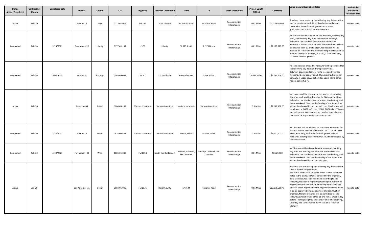| <b>Status</b><br><b>Active/Completed</b> | <b>Contract Let</b><br><b>Month</b> | <b>Completed Date</b> | <b>District</b>  | County  | <b>CSJ</b>  | Highway                  | <b>Location Description</b> | From                               | To                                 | <b>Work Description</b>       | <b>Project Length</b><br>(Miles) | Contract \$     | Lanes Closure Restriction Dates                                                                                                                                                                                                                                                                                                                                                                                                                                                                                                                                                                                                                                                                                                                         | Unscheduled<br>closure on<br>restricted date |
|------------------------------------------|-------------------------------------|-----------------------|------------------|---------|-------------|--------------------------|-----------------------------|------------------------------------|------------------------------------|-------------------------------|----------------------------------|-----------------|---------------------------------------------------------------------------------------------------------------------------------------------------------------------------------------------------------------------------------------------------------------------------------------------------------------------------------------------------------------------------------------------------------------------------------------------------------------------------------------------------------------------------------------------------------------------------------------------------------------------------------------------------------------------------------------------------------------------------------------------------------|----------------------------------------------|
| Active                                   | Feb-20                              |                       | Austin - 14      | Hays    | 0113-07-075 | <b>US 290</b>            | <b>Hays County</b>          | At Martin Road                     | At Marin Road                      | Reconstruction<br>Interchange | 0.01 Miles                       | \$1,353,925.00  | Roadway closures during the following key dates and/or<br>special events are prohibited: Day before and day of<br>Texas A&M home football games: Texas A&M<br>graduation: Texas A&M Parents Weekend.                                                                                                                                                                                                                                                                                                                                                                                                                                                                                                                                                    | None to date                                 |
| Completed                                | Feb-20                              | 3/23/2021             | Beaumont - 20    | Liberty | 0177-03-103 | <b>US 59</b>             | Liberty                     | SL 573 South                       | SL 573 North                       | Reconstruction<br>Interchange | 0.01 Miles                       | \$2,133,678.00  | No closures will be allowed on the weekend, working day<br>prior, and working day after the National Holidays<br>defined in the Standard Specifications and Easter<br>weekend. Closures the Sunday of the Super bowl will not<br>be allowed from 12 pm to 11pm. No closures will be<br>allowed on Friday and the weekend for projects within 20<br>miles of Formula 1 at COTA, ACL Fest, SXSW, ROT Rally,<br>UT home football games.                                                                                                                                                                                                                                                                                                                    | None to date                                 |
| Completed                                | Feb-20                              | 2/9/2021              | Austin - 14      | Bastrop | 0265-06-033 | SH 71                    | S.E. Smithville             | Colorado River                     | Fayette C/L                        | Reconstruction<br>Interchange | 3.631 Miles                      | \$2,787,167.00  | No lane closures or roadway closure will be permitted for<br>the following key dates and/or special events.<br>Between Dec. 15 and Jan. 1. Fiesta week and Tax-free<br>weekend. (Bexar county only). Thanksgiving, Memorial<br>Day, July 4, Labor Day, election day, Spurs home game,<br>Rodeo, concert, ETC.                                                                                                                                                                                                                                                                                                                                                                                                                                           | None to date                                 |
| Active                                   | Feb-20                              |                       | Amarillo - 04    | Potter  | 0904-00-188 | <b>Various Locations</b> | Various Locations           | Various Locations                  | <b>Various Locations</b>           | Reconstruction<br>Interchange | 0.1 Miles                        | \$1,293,857.00  | No closures will be allowed on the weekends, working<br>day prior, and working day after the National Holidays<br>defined in the Standard Specifications. Good Friday, and<br>Easter weekend. Closures the Sunday of the Super Bowl<br>will not be allowed from 1 pm to 11 pm. No closures will<br>be allowed at COTA, ACL Fest, SXSW, ROT Rally, UT home<br>football games, sales tax holiday or other special events<br>that could be impacted by the construction.                                                                                                                                                                                                                                                                                   | None to date                                 |
| Completed                                | Feb-20                              | 2/22/2021             | Austin - 14      | Travis  | 0914-00-437 | <b>Various Locations</b> | Various Locations           | Mason, Gilles                      | Mason, Gilles                      | Reconstruction<br>Interchange | 0.1 Miles                        | \$3,000,000.00  | No Closures will be allowed on Friday the weekends for<br>projects within 20 miles of Formula 1 at COTA, ACL Fest,<br>SXSW, ROT Rally, UT home football games, Sale tax<br>holiday or other special events that could be impacted by<br>the construction.                                                                                                                                                                                                                                                                                                                                                                                                                                                                                               | None to date                                 |
| Completed                                | Feb-20                              | 4/29/2021             | Fort Worth - 02  | Wise    | 1606-01-035 | FM 1658                  | North East Bridgeport       | Bastrop, Caldwell,<br>Lee Counties | Bastrop, Caldwell, Lee<br>Counties | Reconstruction<br>Interchange | 0.01 Miles                       | \$86,250.00     | No Closures will be allowed on the weekends, working<br>day prior and working day after the National Holidays<br>defined in the Standards Specification, Good Friday, and<br>Easter weekend. Closures the Sunday of the Super Bowl<br>will not be allowed from 1 pm to 11pm.                                                                                                                                                                                                                                                                                                                                                                                                                                                                            | None to date                                 |
| Active                                   | Jan-20                              |                       | San Antonio - 15 | Bexar   | 0658-01-045 | FM 1535                  | <b>Bexar County</b>         | LP 1604                            | Huebner Road                       | Reconstruction<br>Interchange | 0.01 Miles                       | \$13,370,908.41 | Roadway closures during the following key dates and/or<br>special events are prohibited.<br>See the TCP Narrative for these dates. Unless otherwise<br>noted in the plans and/or as directed by the engineer,<br>daily lane closures shall be limited according to the<br>following restriction: nighttime: working hours must be<br>approved by city and construction engineer. Weekend<br>closures when approved by the engineer: working hours<br>must be approved by area engineer and construction<br>engineer. No lane closure s will be permitted for the<br>following dates: between Dec. 15 and Jan.1, Wednesday<br>before Thanksgiving thru the Sunday after Thanksgiving,<br>Saturday and Sunday when July 4 falls on a Friday or<br>Monday. | None to date                                 |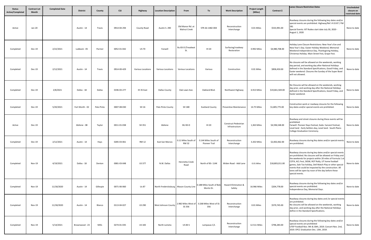| <b>Status</b><br>Active/Completed | <b>Contract Let</b><br>Month | <b>Completed Date</b> | <b>District</b> | County     | <b>CSJ</b>  | Highway           | <b>Location Description</b>              | From                                    | To                                                               | <b>Work Description</b>                | <b>Project Length</b><br>(Miles) | Contract \$     | <b>Lanes Closure Restriction Dates</b>                                                                                                                                                                                                                                                                                                                                                                                                | Unscheduled<br>closure on<br>restricted date |
|-----------------------------------|------------------------------|-----------------------|-----------------|------------|-------------|-------------------|------------------------------------------|-----------------------------------------|------------------------------------------------------------------|----------------------------------------|----------------------------------|-----------------|---------------------------------------------------------------------------------------------------------------------------------------------------------------------------------------------------------------------------------------------------------------------------------------------------------------------------------------------------------------------------------------------------------------------------------------|----------------------------------------------|
| Active                            | Jan-20                       |                       | Austin - 14     | Travis     | 0914-04-294 | County Road       | Austin S. 290                            | Old Manor Rd. at<br><b>Walnut Creek</b> | STR AA 1482-004                                                  | Reconstruction<br>Interchange          | 0.01 Miles                       | \$533,991.00    | Roadway closures during the following key dates and/or<br>special events are prohibited. Highway/Ref. # US 87 / FM<br>281<br>Special Events: XIT Rodeo start date July 30, 2020 -<br>August 1, 2020                                                                                                                                                                                                                                   | None to date                                 |
| Completed                         | Dec-19                       | 2/22/2021             | Lubbock - 05    | Parmer     | 0052-01-042 | <b>US 70</b>      | Farwell                                  | Bu 83-D (Treadwat<br>St.                | <b>IH 20</b>                                                     | Surfacing/roadway<br>Restoration       | 0.992 Miles                      | \$4,980,708.00  | Holiday Lane Closure Restrictions: New Year's Eve and<br>New Year's Day. Easter Holiday Weekend, Memorial<br>Weekend Independence Day, Thanksgiving Holiday,<br>Christmas Holiday. Main Street Fest, Grape Fest.                                                                                                                                                                                                                      | None to date                                 |
| Completed                         | Dec-19                       | 2/12/2021             | Austin - 14     | Travis     | 0914-00-429 | Various Locations | Various Locations                        | Various Locations                       | Various                                                          | Construction                           | 0.01 Miles                       | \$858,450.00    | No closures will be allowed on the weekends, working<br>day period, and working day after National Holidays<br>defined in the Standard Specifications, Good Friday, and<br>Easter weekend. Closures the Sunday of the Super Bowl<br>will not allowed.                                                                                                                                                                                 | None to date                                 |
| Completed                         | <b>Dec-19</b>                | 2/8/2021              | Dallas - 18     | Dallas     | 0196-03-277 | IH 35 East        | <b>Dallas County</b>                     | Oak Lawn Ave.                           | Oakland Blvd.                                                    | Northwest Highway                      | 6.913 Miles                      | \$19,661,569.00 | No Closures will be allowed on the weekends, working<br>day prior, and working day after the National Holidays<br>defined in the Standard Specifications, Good Friday, and<br>Easter weekend.                                                                                                                                                                                                                                         | None to date                                 |
| Completed                         | Dec-19                       | 5/20/2021             | Fort Worth - 02 | Palo Pinto | 0007-08-030 | SH 16             | Palo Pinto County                        | SH 180                                  | <b>Eastland County</b>                                           | Preventive Maintenance                 | 14.75 Miles                      | \$1,805,775.00  | Construction work or roadway closures for the following<br>key dates and/or special events are prohibited.                                                                                                                                                                                                                                                                                                                            | None to date                                 |
| Active                            | Dec-19                       |                       | Abilene - 08    | Taylor     | 0011-01-038 | SH 351            | Abilene                                  | <b>BU 83-D</b>                          | <b>IH 20</b>                                                     | Construct Pedestrian<br>Infrastructure | 1,363 Miles                      | \$4,596,548.00  | Roadway and street closures during these events will be<br>prohibited.<br>Farwell- Pioneer Days Festival, Soda- harvest Festival,<br>Level land - Early Settlers day, Level land - South Plains<br>College Graduation Ceremony.                                                                                                                                                                                                       | None to date                                 |
| Completed                         | Dec-19                       | 2/12/2021             | Austin - 14     | Hays       | 0285-03-061 | <b>RM 12</b>      | East San Marcos                          | <b>RM32</b>                             | 0.11 Miles South of 0.144 Miles South of<br><b>Pioneer Trail</b> | Reconstruction<br>Interchange          | 3.202 Miles                      | \$2,002,062.00  | Roadway closures during Key dates and/or special events<br>are prohibited.                                                                                                                                                                                                                                                                                                                                                            | None to date                                 |
| Completed                         | Nov-19                       | 4/19/2021             | Dallas - 18     | Denton     | 0081-03-048 | <b>US 377</b>     | N.W. Dallas                              | Henrietta Creek<br>Road                 | North of BS-114K                                                 | Widen Road - Add Lane                  | 0.01 Miles                       | \$18,803,011.00 | Roadway closures during key dates and/or special events<br>are prohibited. No closures will be allowed on Friday and<br>the weekends for projects within 20 miles of Formula 1 at<br>COTA, ACL Fest, SXSW, ROT Rally, UT home football<br>games, Sale Tax holiday, Dell Match Play or other specia<br>events that could be impacted by the construction. All<br>lanes will be open by noon of the day before these<br>special events. | None to date                                 |
| Completed                         | Nov-19                       | 11/18/2020            | Austin - 14     | Gillespie  | 0071-06-060 | Us 87             | North Fredericksburg   Mason County Line |                                         | 0.188 Miles South of Bob<br>Mortiz Dr.                           | Hazard Elimination &<br>Safety         | 16.966 Miles                     | \$204,778.00    | Roadway closures during the following key dates and/or<br>special events are prohibited.<br>Independence Day, Memorial Days.                                                                                                                                                                                                                                                                                                          | None to date                                 |
| Completed                         | Nov-19                       | 11/18/2020            | Austin - 14     | Blanco     | 0113-04-027 | US 290            | West Johnson County                      | 2.982 Miles West of<br>SS 356           | 0.268 Miles West of SS<br>356                                    | Reconstruction<br>Interchange          | 0.01 Miles                       | \$579,745.00    | Roadway closures during key dates and /or special events<br>are prohibited.<br>No closures will be allowed on the weekends, working<br>day prior, and working day after the National Holidays<br>define in the Standard Specifications.                                                                                                                                                                                               | None to date                                 |
| Completed                         | Nov-19                       | 5/14/2021             | Brownwood - 23  | Mills      | 0274-01-035 | US 183            | North Lometa                             | <b>US 84 S</b>                          | Lampasas C/L                                                     | Reconstruction<br>Interchange          | 12.511 Miles                     | \$796,283.00    | Roadway closures during the following key dates and/or<br>special events are prohibited<br>UTEP Football Nov. 9th & 30th, 2019. Concert Nov. 2nd,<br>2019. EPCC Graduation Dec. 13th, 2019.                                                                                                                                                                                                                                           | None to date                                 |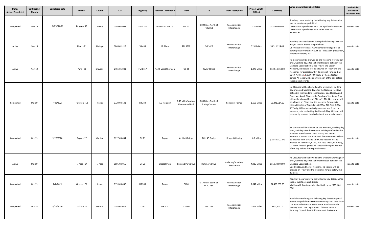| <b>Status</b><br>Active/Completed | <b>Contract Let</b><br>Month | <b>Completed Date</b> | <b>District</b> | County        | <b>CSJ</b>  | Highway       | <b>Location Description</b> | From                                   | To                                           | <b>Work Description</b>          | <b>Project Length</b><br>(Miles) | Contract \$     | <b>Lanes Closure Restriction Dates</b>                                                                                                                                                                                                                                                                                                                                                                                                                                                                                                                                                        | Unscheduled<br>closure on<br>restricted date |
|-----------------------------------|------------------------------|-----------------------|-----------------|---------------|-------------|---------------|-----------------------------|----------------------------------------|----------------------------------------------|----------------------------------|----------------------------------|-----------------|-----------------------------------------------------------------------------------------------------------------------------------------------------------------------------------------------------------------------------------------------------------------------------------------------------------------------------------------------------------------------------------------------------------------------------------------------------------------------------------------------------------------------------------------------------------------------------------------------|----------------------------------------------|
| Completed                         | Nov-19                       | 2/23/2021             | Bryan - 17      | <b>Brazos</b> | 0540-04-083 | FM 2154       | Bryan East HWY 6            | <b>FM 60</b>                           | 0.02 Miles North of<br>FM 2818               | Reconstruction<br>Interchange    | 2.18 Miles                       | \$1,595,062.00  | Roadway closures during the following key dates and or<br>special events are prohibited<br>Texas Motor Speedway - NASCCAR April and November.<br>Texas Motor Speedway - INDY series June and<br>September.                                                                                                                                                                                                                                                                                                                                                                                    | None to date                                 |
| Active                            | <b>Nov-19</b>                |                       | Pharr - 21      | Hidalgo       | 0865-01-112 | SH 495        | McAllen                     | FM 3362                                | FM 1426                                      | Reconstruction<br>Interchange    | 3191 Miles                       | \$3,311,214.00  | Roadway or Lane closures during the following key dates<br>and/or special events are prohibited.<br>On Friday before Texas A&M home football games or<br>other special events days such as Texas A&M graduation,<br>Parents Weekend, etc.                                                                                                                                                                                                                                                                                                                                                     | None to date                                 |
| Active                            | <b>Nov-19</b>                |                       | Paris - 01      | Grayson       | 2455-01-031 | FM 1417       | North West Sherman          | <b>US 82</b>                           | <b>Taylor Street</b>                         | Reconstruction<br>Interchange    | 1.379 Miles                      | \$12,944,763.00 | No closures will be allowed on the weekend working day<br>prior, working day after National Holidays define in the<br>Standard Specification: Good Friday, and Easter<br>weekend, no closure will be allowed on Friday and the<br>weekends for projects within 20 miles of Formula 1 at<br>COTA, Acyl Fest. SXSW, ROT Rally, UT home football<br>games. All lanes will be open by noon of the day before<br>these special events.                                                                                                                                                             | None to date                                 |
| Completed                         | Oct-19                       | 7/20/2021             | Houston - 12    | Harris        | 0720-03-141 | SH 249        | N.E. Houston                | 0.10 Miles South of<br>Chase wood Park | 0.09 Miles South of<br><b>Spring Cypress</b> | <b>Construct Ramps</b>           | 1.158 Miles                      | \$2,241,514.00  | No Closures will be allowed on the weekends, working<br>day prior, and working day after the National Holidays<br>defined in the Standard specification, Good Friday, and<br>Easter weekend. Closures the Sunday of the Super Bowl<br>will not be allowed from 1 PM to 11 PM. No closures will<br>be allowed on Friday and the weekend for projects<br>within 20 miles of Formula 1 at COTA, ACL Fest, SXSW,<br>ROT rally, UT home football games not in a Friday or<br>weekend, sale tax holiday, Dell Match Play. All Lanes will<br>be open by noon of the day before these special events. | None to date                                 |
| Completed                         | Oct-19                       | 9/22/2020             | Bryan - 17      | Madison       | 0117-05-054 | SH 21         | Bryan                       | At IH 45 Bridge                        | At IH 45 Bridge                              | <b>Bridge Widening</b>           | 0.1 Miles                        | \$3,843,302.00  | No closures will be allowed on the weekend, working day<br>prior, and day after the National Holidays defined in the<br>Standard Specification, Good Friday, and Easter<br>weekend. Closures the Sunday of the Super Bowl will not<br>be allowed from 1 PM to 11PM. No closures will be<br>allowed on Formula 1, COTA, ACL Fest, SXSW, ROT Rally,<br>UT home football games. All lanes will be open by noon<br>of the day before these special events.                                                                                                                                        | None to date                                 |
| Active                            | $Oct-19$                     |                       | El Paso - 24    | El Paso       | 0001-02-055 | SH 20         | West El Paso                | <b>Sunland Park Drive</b>              | <b>Baltimore Drive</b>                       | Surfacing/Roadway<br>Restoration | 4.029 Miles                      | \$11,138,603.00 | No Closures will be allowed on the weekend working day<br>prior, working day after National Holidays define in the<br>Standard Specification,<br>Good Friday, and Easter weekend, no closure will be<br>allowed on Friday and the weekends for projects within<br>20 miles.                                                                                                                                                                                                                                                                                                                   | None to date                                 |
| Completed                         | $Oct-19$                     | 2/2/2021              | Odessa - 06     | Reeves        | 0139-05-048 | <b>US 285</b> | Pecos                       | <b>BI 20</b>                           | 0.17 Miles South of<br>IH 20 NSR             | Reconstruction<br>Interchange    | 1.847 Miles                      | \$4,485,208.00  | Roadway closures during the following key dates and/or<br>special events are prohibited:<br>Madisonville Mushroom Festival in October 2020 (Date<br>TBA)                                                                                                                                                                                                                                                                                                                                                                                                                                      | None to date                                 |
| Completed                         | $Oct-19$                     | 9/22/2020             | Dallas - 18     | Denton        | 0195-02-071 | US 77         | Denton                      | <b>US380</b>                           | FM 2164                                      | Reconstruction<br>Interchange    | 0.662 Miles                      | \$365,763.00    | Road closures during the following key dates/or special<br>events are prohibited: Freestone County Fair - June (from<br>The Sunday before the event to the Sunday after the<br>Events), Kirvin Fire Department Chili Fundraiser -<br>February (Typical the third Saturday of the Month)                                                                                                                                                                                                                                                                                                       | None to date                                 |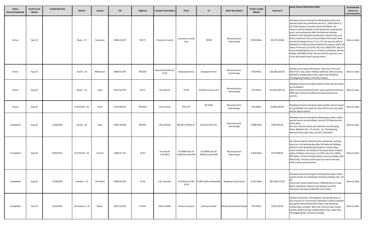| <b>Status</b><br>Active/Completed | <b>Contract Let</b><br>Month | <b>Completed Date</b> | <b>District</b>  | County     | <b>CSJ</b>  | Highway      | <b>Location Description</b> | From                                | To                                  | <b>Work Description</b>       | <b>Project Length</b><br>(Miles) | Contract \$     | <b>Lanes Closure Restriction Dates</b>                                                                                                                                                                                                                                                                                                                                                                                                                                                                                                                                                                                                                                                                                                                     | Unscheduled<br>closure on<br>restricted date |
|-----------------------------------|------------------------------|-----------------------|------------------|------------|-------------|--------------|-----------------------------|-------------------------------------|-------------------------------------|-------------------------------|----------------------------------|-----------------|------------------------------------------------------------------------------------------------------------------------------------------------------------------------------------------------------------------------------------------------------------------------------------------------------------------------------------------------------------------------------------------------------------------------------------------------------------------------------------------------------------------------------------------------------------------------------------------------------------------------------------------------------------------------------------------------------------------------------------------------------------|----------------------------------------------|
| Active                            | Sep-19                       |                       | Bryan - 17       | Freestone  | 0456-01-047 | <b>FM 27</b> | <b>Freestone County</b>     | Limestone County<br>Line            | <b>FM 80</b>                        | Reconstruction<br>Interchange | 9.855 Miles                      | \$9,173,729.00  | Roadway closures during the following key dates and<br>special events are prohibited January 1, 2018. March 3,<br>20, 2018 Houston Livestock Show and Rodeo: No<br>Closures will be allowed on the weekends, working day<br>prior, and working day after the National Holidays<br>defined in the Standard specification, Good Friday, and<br>Easter weekend. Closures the Sunday of the Super Bowl<br>will not be allowed from 1 P to 11 P. No closures will be<br>allowed on Friday and the weekend for projects within 20<br>miles of Formula 1 at COTA, ACL Fest, SXSW, ROT rally UT<br>home football games not in a Friday or weekend, sale tax<br>holiday, Dell Match Play. All Lanes will be open by noon<br>of the day before these special events. | None to date                                 |
| Active                            | Aug-19                       |                       | Austin - 14      | Williamson | 0683-01-056 | RM 620       | Round Rock West of<br>IH 35 | Deepwood Drive                      | Deepwood Drive                      | Reconstruction<br>Interchange | 0.96 Miles                       | \$25,082,025.00 | Holiday Lane Closure Restriction. New Year's Eve and<br>New Year's Day, Easter Holiday weekend, Memorial day<br>Weekend, Independence Day, Labor Day Weekend,<br>Thanksgiving Holiday, Christmas Holiday.                                                                                                                                                                                                                                                                                                                                                                                                                                                                                                                                                  | None to date                                 |
| Active                            | Aug-19                       |                       | Austin - 14      | Hays       | 0471-02-070 | SH 21        | San Marcos                  | SH 80                               | Caldwell County Line                | Reconstruction<br>Interchange | 0.01 Miles                       | \$11,014,485.30 | Roadway closures during key dates and/or special events<br>are prohibited<br>Refer to Environmental permit, Issues and Commitments<br>(EPIC) plan sheets for additional requirements and<br>permits.                                                                                                                                                                                                                                                                                                                                                                                                                                                                                                                                                       | None to date                                 |
| Active                            | Aug-19                       |                       | Fort Worth - 02  | Wise       | 0134-06-052 | FM 1810      | City of Chico               | FM 2127                             | <b>BS 101B</b>                      | Reconstruction<br>Interchange | 0.01 Miles                       | \$7,893,349.00  | Roadway closures during key dates and/or special events<br>are prohibited. See notes for items 502 for the key dates<br>and/or special events.                                                                                                                                                                                                                                                                                                                                                                                                                                                                                                                                                                                                             | None to date                                 |
| Completed                         | Aug-19                       | 12/8/2020             | Austin - 14      | Hays       | 0016-16-030 | RM 967       | City of Buda                | RM 967 At Main St.                  | South of Peach St.                  | Reconstruction<br>Interchange | 0.098 Miles                      | \$782,105.00    | Roadway closures during the following key dates and/or<br>special events are prohibited, See the TCP Narrative for<br>these dates.<br>No Lane closures will be permitted for the following<br>Dates. Between Dec. 15 and Jan. 1st, Thanksgiving,<br>Memorial Day Labor Day, July 4th, and Easter.                                                                                                                                                                                                                                                                                                                                                                                                                                                          | None to date                                 |
| Completed                         | Aug-19                       | 8/20/2021             | Fort Worth - 02  | Tarrant    | 1068-01-215 | <b>IH 30</b> | Fort Worth<br>E 35 West     | IH 30WB Over IH<br>35W/Lancaster/RR | IH 30WB Over IH<br>35W/Lancaster/RR | Reconstruction<br>Interchange | 0.626 Miles                      | \$175,000.00    | No closures will be allowed on the weekends, working<br>day prior, and working day after the National Holidays<br>defined in the Standard Specifications. Good Friday,<br>Easter weekend, the Sunday of the Super Bowl. Projects<br>within 20 Miles of Formula 1 at COTA, ACL Fest, SXSW,<br>ROT Rally, UT home football games, sale tax holiday, Dell<br>Match Play. All lanes will be open by noon of the day<br>before these special events.                                                                                                                                                                                                                                                                                                            | None to date                                 |
| Completed                         | Aug-19                       | 12/8/2020             | Houston - 12     | Fort Bend  | 0188-02-029 | IH 36        | S.W. Houston                | 0.43 North of FM<br>2218            | 0.284 South of Needville            | <b>Roadway Construction</b>   | 0.241 Miles                      | \$81,760,171.00 | Roadway closures during the following key dates and/or<br>special events are prohibited, Christmas Holiday, Dec. 23<br>Event Lane Closure Restrictions: NASCAR Race at Texas<br>Motor Speedway, National and Spring Cup Series<br>Indy Series Racing and NASCAR Truck Series.                                                                                                                                                                                                                                                                                                                                                                                                                                                                              | None to date                                 |
| Completed                         | July-19                      | 5/24/2021             | San Antonio - 15 | Bexar      | 0915-12-622 | CR 432       | District Wide               | Various Locations                   | <b>Various Location</b>             | Safety Improvement Project    | 0.01 Miles                       | \$105,223.00    | Holiday restrictions: The engineer may decide that no<br>lane closures or construction operations shall be allowed<br>during the restricted periods listed in the following<br>holiday days schedule. New Year's Eve and day, Easter<br>Holiday, Memorial Day, Independence Day, Labor Day,<br>Thanksgiving Day, Christmas holiday.                                                                                                                                                                                                                                                                                                                                                                                                                        | None to date                                 |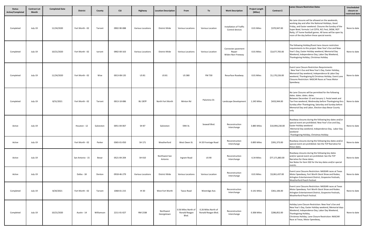| <b>Status</b><br>Active/Completed | <b>Contract Let</b><br>Month | <b>Completed Date</b> | <b>District</b>  | County     | <b>CSJ</b>  | Highway                  | <b>Location Description</b> | From                                          | To                                         | <b>Work Description</b>                           | <b>Project Length</b><br>(Miles) | Contract \$     | Lanes Closure Restriction Dates                                                                                                                                                                                                                                                                                                    | Unscheduled<br>closure on<br>restricted date |
|-----------------------------------|------------------------------|-----------------------|------------------|------------|-------------|--------------------------|-----------------------------|-----------------------------------------------|--------------------------------------------|---------------------------------------------------|----------------------------------|-----------------|------------------------------------------------------------------------------------------------------------------------------------------------------------------------------------------------------------------------------------------------------------------------------------------------------------------------------------|----------------------------------------------|
| Completed                         | July-19                      | 11/24/2020            | Fort Worth - 02  | Tarrant    | 0902-90-088 | <b>Various Locations</b> | District Wide               | <b>Various Locations</b>                      | Various Location                           | Installation of Traffic<br>Control devices        | 0.01 Miles                       | \$370,947.00    | No Lane closures will be allowed on the weekends,<br>working day and after the National Holidays, Good<br>Friday, and Easter weekend. Closures the Sunday of the<br>Super Bowl, formula 1 at COTA, ACL Fest, SXSW, ROT<br>Ratty, UT home football games. All lanes will be open by<br>noon of the day before these special events. | None to date                                 |
| Completed                         | July-19                      | 10/21/2020            | Fort Worth - 02  | tarrant    | 0902-00-163 | <b>Various Locations</b> | District Wide               | <b>Various Locations</b>                      | Various Location                           | Connecter pavement<br>Repair<br>Widen Non-Freeway | 0.01 Miles                       | \$3,677,705.00  | The following Holiday/Event lane closure restriction<br>requirements to this project. New Year's Eve and New<br>Year's Day, Easter Holiday weekend, Memorial Day<br>Weekend, Independence Day, Labor Day Weekend,<br>Thanksgiving Holiday, Christmas Holiday                                                                       | None to date                                 |
| Completed                         | July-19                      | 11/24/2020            | Fort Worth - 02  | Wise       | 0013-08-135 | US 81                    | US 81                       | <b>US380</b>                                  | FM 730                                     | Resurface Roadway                                 | 0.01 Miles                       | \$1,170,226.00  | Event Lane Closure Restriction Requirements<br>New Year's Eva and New Year's Day, Easter Holiday,<br>Memorial Day weekend, Independence & Labor Day<br>weekend, Thanksgiving & Christmas Holiday. Event Lane<br><b>Closures Restriction: NASCAR Races at Texas Motor</b><br>Speedway.                                              | None to date                                 |
| Completed                         | July-19                      | 8/31/2021             | Fort Worth - 02  | Tarrant    | 0013-10-086 | <b>BU 287P</b>           | North Fort Worth            | Minton Rd                                     | Palomino Dr.                               | Landscape Development                             | 1.245 Miles                      | \$433,944.00    | No Lane Closures will be permitted for the following<br>dates. dates. dates. dates.<br>Between December 15 and January 1. Festal week and<br>Tax-Free weekend, Wednesday before Thanksgiving thru<br>Sunday after Thanksgiving, Saturday and Sunday before<br>Memorial Day and Labor, Election days Bexar County<br>only           | None to date                                 |
| Active                            | July-19                      |                       | Houston - 12     | Galveston  | 0051-04-067 | SH 87                    | Galveston                   | 59th St.                                      | Seawall Blvd.                              | Reconstruction<br>Interchange                     | 3.885 Miles                      | \$10,994,230.00 | Roadway closures during the following key dates and/or<br>special event are prohibited. New Year's Eve and Day,<br>Easter Holiday weekend<br>Memorial Day weekend, Independence Day, Labor Day<br>weekend<br>Thanksgiving Holiday, Christmas Holiday                                                                               | None to date                                 |
| Active                            | July-19                      |                       | Fort Worth - 02  | Parker     | 0365-01-050 | SH 171                   | Weatherford                 | West Owen St.                                 | IH 20 Frontage Road                        | Reconstruction<br>Interchange                     | 0.895 Miles                      | \$391,373.00    | Roadway closures during the following key dates and/or<br>special event are prohibited. See the TCP Narrative for<br>these dates.                                                                                                                                                                                                  | None to date                                 |
| Active                            | July-19                      |                       | San Antonio - 15 | Bexar      | 0521-04-204 | SH 410                   | Northwest San<br>Antonio    | Ingram Road                                   | US 90                                      | Reconstruction<br>Interchange                     | 6.34 Miles                       | \$77,171,883.00 | Roadway closures during the following key dates<br>and/or special event are prohibited. See the TCP<br>Narrative for these dates.<br>See Notes for Item 502 for the key dates and/or special<br>events.                                                                                                                            | None to date                                 |
| Active                            | July-19                      |                       | Dallas - 18      | Denton     | 0918-46-279 | Various Locations        | District Wide               | <b>Various Locations</b>                      | Various Location                           | Reconstruction<br>Interchange                     | 0.01 Miles                       | \$3,061,437.00  | Event Lane Closures Restriction: NASDAR races at Texas<br>Motor Speedway, Fort Worth Stock Show and Rodeo,<br>Arlington Entertainment District, Grapevine Festivals,<br>Weatherford Peach Festival.                                                                                                                                | None to date                                 |
| Completed                         | July-19                      | 8/20/2021             | Fort Worth - 02  | Tarrant    | 1068-01-215 | <b>IH 30</b>             | West Fort Worth             | Taxco Road                                    | Westridge Ave.                             | Reconstruction<br>Interchange                     | 0.141 Miles                      | \$361,106.00    | Event Lane Closures Restriction: NASDAR races at Texas<br>Motor Speedway. Fort Worth Stock Show and Rodeo.<br>Arlington Entertainment District, Grapevine Festivals,<br>Weatherford Peach Festival.                                                                                                                                | None to date                                 |
| Completed                         | July-19                      | 10/21/2020            | Austin - 14      | Williamson | 2211-01-027 | RM 2338                  | Northwest<br>Georgetown     | 0.56 Miles North of<br>Ronald Reagan<br>Blvd. | 0.26 Miles North of<br>Ronald Reagan Blvd. | Reconstruction<br>Interchange                     | 0.306 Miles                      | \$286,852.00    | Holiday Lane Closure Restriction: New Year's Eve and<br>New Year's Day, Easter Holiday weekend, Memorial days<br>Weekend, Independence Day, Labor Day Weekend,<br>Thanksgiving Holiday,<br>Christmas Holiday, Lane Closure Restriction: NASCAR<br>Race at Texas, Motor Speedway,                                                   | None to date                                 |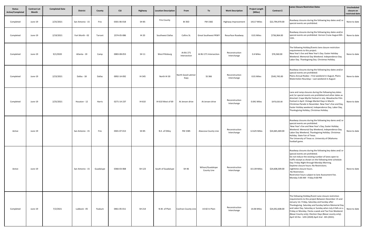| <b>Status</b><br>Active/Completed | <b>Contract Let</b><br>Month | <b>Completed Date</b> | <b>District</b>  | County    | <b>CSJ</b>  | Highway      | <b>Location Description</b> | From                       | To                              | <b>Work Description</b>       | <b>Project Length</b><br>(Miles) | Contract \$     | <b>Lanes Closure Restriction Dates</b>                                                                                                                                                                                                                                                                                                                                                                                                                       | Unscheduled<br>closure on |
|-----------------------------------|------------------------------|-----------------------|------------------|-----------|-------------|--------------|-----------------------------|----------------------------|---------------------------------|-------------------------------|----------------------------------|-----------------|--------------------------------------------------------------------------------------------------------------------------------------------------------------------------------------------------------------------------------------------------------------------------------------------------------------------------------------------------------------------------------------------------------------------------------------------------------------|---------------------------|
|                                   |                              |                       |                  |           |             |              |                             |                            |                                 |                               |                                  |                 |                                                                                                                                                                                                                                                                                                                                                                                                                                                              | restricted date           |
| Completed                         | June-19                      | 2/25/2021             | San Antonio - 15 | Frio      | 0301-06-018 | SH 85        | <b>Frio County</b>          | <b>BI35D</b>               | FM 1582                         | Highway Improvement           | 14117 Miles                      | \$22,794,970.00 | Roadway closures during the following key dates and/ or<br>special events are prohibited.                                                                                                                                                                                                                                                                                                                                                                    | None to date              |
| Completed                         | June-19                      | 2/19/2021             | Fort Worth - 02  | Tarrant   | 2374-05-086 | <b>IH 20</b> | Southwest Dallas            | Collins St.                | <b>Great Southwest PKWY</b>     | Resurface Roadway             | 0.01 Miles                       | \$736,964.00    | Roadway closures during the following key dates and/or<br>special events are prohibited. Vernon Cruise August 8th<br>11th.                                                                                                                                                                                                                                                                                                                                   | None to date              |
| Completed                         | June-19                      | 9/1/2020              | Atlanta - 19     | Camp      | 0083-08-053 | SH 11        | <b>West Pittsburg</b>       | At BU 271<br>Intersection  | At BU 271 Intersection          | Reconstruction<br>Interchange | 0.4 Miles                        | \$76,560.00     | The following Holiday/Events lane closure restriction<br>requirements to this project.<br>New Year's Eve and New Year's Day. Easter Holiday<br>Weekend. Memorial Day Weekend. Independence Day.<br>Labor Day. Thanksgiving Day. Christmas Holiday.                                                                                                                                                                                                           | None to date              |
| Completed                         | June-19                      | 2/23/2021             | Dallas - 18      | Dallas    | 0092-14-092 | IH 345       | North IH 30                 | North Good Latimer<br>Expy | SS 366                          | Reconstruction<br>Interchange | 0.01 Miles                       | \$545,745.00    | Roadway closures during the following key dates and/or<br>special events are prohibited:<br>Plains Annual Rodeo - First weekend in August, Plains<br>Watermelon Roundup - Last weekend in August                                                                                                                                                                                                                                                             | None to date              |
| Completed                         | June-19                      | 2/25/2021             | Houston - 12     | Harris    | 0271-14-237 | IH 610       | IH 610 West of 69           | At Jensen drive            | At Jensen drive                 | Reconstruction<br>Interchange | 0.041 Miles                      | \$470,020.00    | Lane and ramp closures during the following key dates<br>and /or special events are prohibited and other dates as<br>directed: Crape Myrtle Festival in July. Waxahachie Film<br>Festival in April. Vintage Market Days in March.<br>Christmas Parade in November. New Year's Eve and Day,<br>Easter Holiday weekend, Independence Day, Labor Day,<br>Thanksgiving Holiday, Christmas Holiday.                                                               | None to date              |
| Active                            | June-19                      |                       | San Antonio - 15 | Frio      | 0301-07-013 | SH 85        | N.E. of Dilley              | FM 1585                    | Atascosa County Line            | Reconstruction<br>Interchange | 12.625 Miles                     | \$24,665,469.00 | Roadway closures during the following key dares and/ or<br>special events are prohibited.<br>New Year's Eve and New Year's Day, Easter Holiday<br>Weekend. Memorial Day Weekend, Independence Day.<br>Labor Day Weekend, Thanksgiving Holiday. Christmas<br>Holiday. State Fair of Texas.<br>The University of Texas vs. University of Oklahoma<br>football game.                                                                                            | None to date              |
| Active                            | June-19                      |                       | San Antonio - 15 | Guadalupe | 0366-03-068 | SH 123       | South of Guadalupe          | SH 46                      | Wilson/Guadalupe<br>County Line | Reconstruction<br>Interchange | 10.139 Miles                     | \$24,608,309.00 | Roadway closures during the following key dates and/or<br>special events are prohibited.<br>Do not reduce the existing number of lanes open to<br>traffic except as shown on the following time schedule:<br>Day: Friday Night through Monday Morning.<br>Daytime closure hours: No Restrictions.<br>nighttime closure hours.<br>No Restriction.<br>Restriction hours subject to lane Assessment Fee.<br>Monday 5:00 AM - Friday 9:00 PM                     | None to date              |
| Completed                         | June-19                      | 7/2/2021              | Lubbock - 05     | Yoakum    | 0461-05-011 | SH 214       | N.W. of Plain               | <b>Cochran County Line</b> | US 82 In Plain                  | Reconstruction<br>Interchange | 14.06 Miles                      | \$24,052,608.00 | The following Holiday/Event Lane closure restriction<br>requirements to this project Between December 15 and<br>January 1st. Friday, Saturday and Sunday after<br>Thanksgiving. Saturday and Sunday before Memorial Day<br>and Labor Day. Saturday or Sunday when July 4 falls on a<br>Friday or Monday. Fiesta a week and Tax Free Weekend<br>(Bexar County only). Election Days (Bexar county only).<br>April 10 the - 12th (2020) April 2nd - 4th (2021). | None to date              |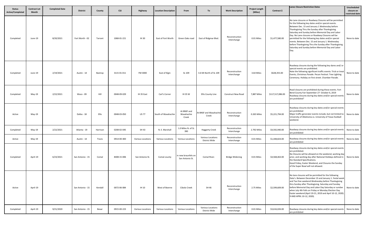| <b>Status</b><br><b>Active/Completed</b> | <b>Contract Let</b><br>Month | <b>Completed Date</b> | <b>District</b>  | County   | <b>CSJ</b>  | Highway                  | <b>Location Description</b> | From                                  | To                                        | <b>Work Description</b>       | <b>Project Length</b><br>(Miles) | Contract \$      | <b>Lanes Closure Restriction Dates</b>                                                                                                                                                                                                                                                                                                                                                                                                                                                                                                                           | Unscheduled<br>closure on<br>restricted date |
|------------------------------------------|------------------------------|-----------------------|------------------|----------|-------------|--------------------------|-----------------------------|---------------------------------------|-------------------------------------------|-------------------------------|----------------------------------|------------------|------------------------------------------------------------------------------------------------------------------------------------------------------------------------------------------------------------------------------------------------------------------------------------------------------------------------------------------------------------------------------------------------------------------------------------------------------------------------------------------------------------------------------------------------------------------|----------------------------------------------|
| Completed                                | June-19                      | 8/20/2021             | Fort Worth - 02  | Tarrant  | 1068-01-221 | IH 30                    | East of Fort Worth          | Green Oaks road                       | East of Ridgmar Blvd.                     | Reconstruction<br>Interchange | 0.01 Miles                       | \$1,477,580.00   | No Lane closures or Roadway Closures will be permitted<br>for the following key dates and/or special events.<br>Between Dec. 15 and January 1 Wednesday before<br>Thanksgiving Thru the Sunday after Thanksgiving.<br>Saturday and Sunday before Memorial Day and Labor<br>Day. No Lane closures or Roadway Closures will be<br>permitted for the following key dates and/or special<br>events. Between Dec. 15 and January 1. Wednesday<br>before Thanksgiving Thru the Sunday after Thanksgiving.<br>Saturday and Sunday before Memorial Day and Labor<br>Day. | None to date                                 |
| Completed                                | June-19                      | 2/19/2021             | Austin - 14      | Bastrop  | 3115-01-011 | FM 3000                  | East of Elgin               | SL 109                                | 3.6 Mi North of SL 109                    | Reconstruction<br>Interchange | 3.64 Miles                       | \$628,355.00     | Roadway closures during the following key dares and/ or<br>special events are prohibited.<br>Note the following significant traffic events: Trick or treat<br>Events, Christmas Parade. Pecan Festival. Tree Lighting<br>Ceremony. Holiday on first street. Chamber Parade.                                                                                                                                                                                                                                                                                      | None to date                                 |
| Completed                                | May-19                       | 2/22/2021             | Waco - 09        | Hill     | 0048-09-029 | IH 35 East               | Carl's Corner               | <b>IH 35 W</b>                        | Ellis County Line                         | <b>Construct New Road</b>     | 7,887 Miles                      | \$117,517,086.00 | Road closures are prohibited during these events. Fort<br>Bend County Fair September 27- October 6, 2019<br>Roadway closures during key dates and/or special events<br>are prohibited"                                                                                                                                                                                                                                                                                                                                                                           | None to date                                 |
| Active                                   | May-19                       |                       | Dallas - 18      | Ellis    | 0048-03-050 | <b>US 77</b>             | South of Waxahachie         | At BNSF and<br>Waxahachie<br>Creek    | t BNSF and Waxahachi<br>Creek             | Reconstruction<br>Interchange | 0.265 Miles                      | \$5,221,794.00   | Roadway closures during key dates and/or special events<br>are prohibited<br>Major traffic generator events include, but not limited to<br>University of Oklahoma vs. University of Texas football<br>weekend.                                                                                                                                                                                                                                                                                                                                                   | None to date                                 |
| Completed                                | May-19                       | 2/22/2021             | Atlanta - 19     | Harrison | 0208-02-045 | SH 43                    | N. E. Marshall              | 1.0 Miles N. of SL<br>390             | <b>Haggerty Creek</b>                     | Reconstruction<br>Interchange | 2.792 Miles                      | \$4,592,940.00   | Roadway closures during key dates and/or special events<br>are prohibited                                                                                                                                                                                                                                                                                                                                                                                                                                                                                        | None to date                                 |
| Active                                   | May-19                       |                       | Austin - 14      | Travis   | 0914-00-400 | Various Locations        | Various Locations           | Various Locations                     | <b>Various Locations</b><br>District Wide | Reconstruction<br>Interchange | 0.01 Miles                       | \$1,448,824.00   | Roadway closures during key dates and/or special events<br>are prohibited                                                                                                                                                                                                                                                                                                                                                                                                                                                                                        | None to date                                 |
| Completed                                | April-19                     | 6/23/2021             | San Antonio - 15 | Comal    | 8408-15-006 | San Antonio St.          | Comal county                | n new braunfels on<br>San Antonio St. | Comal River.                              | <b>Bridge Widening</b>        | 0.01 Miles                       | \$4,568,463.00   | Roadway closures during key dates and/or special events<br>are prohibited.<br>No Closures will be allowed on the weekend, working day<br>prior, and working day after National Holidays defined in<br>the Standard Specifications.<br>Good Friday, Easter Weekend, and Closures the Sunday<br>of the Super Bowl will not allowed.                                                                                                                                                                                                                                | None to date                                 |
| Active                                   | April-19                     |                       | San Antonio - 15 | Kendall  | 0072-06-084 | <b>IH 10</b>             | West of Boerne              | Cibolo Creek                          | SH 46                                     | Reconstruction<br>Interchange | 2.75 Miles                       | \$2,599,609.00   | No lane closures will be permitted for the following<br>Data's. Between December 15 and January 1. Festal week<br>and Tax-free weekend Wednesday before Thanksgiving<br>thru Sunday after Thanksgiving. Saturday and Sunday<br>before Memorial Day and Labor Day Saturday or sundae<br>when July 4th Falls on Friday or Monday Election Day<br>Easter weekend (April 19-21, 2019 and April 10-12, 2020).<br>9 AND APRIL 10-12, 2020).                                                                                                                            | None to date                                 |
| Completed                                | April-19                     | 9/21/2020             | San Antonio - 15 | Bexar    | 0915-00-223 | <b>Various Locations</b> | Various Locations           | Various Locations                     | Various Locations<br>District Wide        | Reconstruction<br>Interchange | 0.01 Miles                       | \$3,616,026.00   | Roadway closures during key dates and/or special events<br>are prohibited                                                                                                                                                                                                                                                                                                                                                                                                                                                                                        | None to date                                 |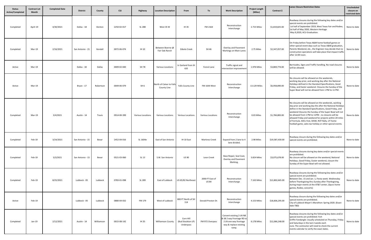| <b>Status</b><br>Active/Completed | <b>Contract Let</b><br>Month | <b>Completed Date</b> | <b>District</b>  | County     | <b>CSJ</b>  | Highway           | <b>Location Description</b>             | From                                        | To                              | <b>Work Description</b>                                                                                           | <b>Project Length</b><br>(Miles) | Contract \$     | <b>Lanes Closure Restriction Dates</b>                                                                                                                                                                                                                                                                                                                                                                                                                                  | Unscheduled<br>closure on<br>restricted date |
|-----------------------------------|------------------------------|-----------------------|------------------|------------|-------------|-------------------|-----------------------------------------|---------------------------------------------|---------------------------------|-------------------------------------------------------------------------------------------------------------------|----------------------------------|-----------------|-------------------------------------------------------------------------------------------------------------------------------------------------------------------------------------------------------------------------------------------------------------------------------------------------------------------------------------------------------------------------------------------------------------------------------------------------------------------------|----------------------------------------------|
| Completed                         | April-19                     | 4/30/2021             | Dallas - 18      | Denton     | 2250-02-017 | SL 288            | West 35 W                               | IH 35                                       | FM 2164                         | Reconstruction<br>Interchange                                                                                     | 2.715 Miles                      | \$1,819,825.00  | Roadway closures during the following key dates and/or<br>special events are prohibited:<br>1st half of September 2019, West Texas Fair and Rodeo,<br>1st half of May 2020, Western Heritage<br>May 9,2020, ACU Graduation.                                                                                                                                                                                                                                             | None to date                                 |
| Completed                         | Mar-19                       | 2/16/2021             | San Antonio - 15 | Kendall    | 0072-06-074 | IH 10             | Between Boerne @<br>Fair Oak Ranch      | Gibolo Creek                                | SH 46                           | Overlay and Pavement<br>Markings on Main Lanes                                                                    | 2.75 Miles                       | \$2,347,057.00  | On Friday before Texas A&M home football games or<br>other special event days such as Texas A&M graduation,<br>Parents Weekend, etc., the Engineer may decide that no<br>construction operations will take place that impact traffi<br>after 12:00 noon.                                                                                                                                                                                                                | None to date                                 |
| Active                            | Mar-19                       |                       | Dallas - 18      | Dallas     | 0009-02-040 | SH 78             | <b>Various Locations</b>                | In Garland from IH<br>635                   | Forest Lane                     | Traffic signal and<br>intersection improvement                                                                    | 1.976 Miles                      | \$3,869,774.00  | Barricades, Signs and Traffic handling. No road closures<br>will be allowed.                                                                                                                                                                                                                                                                                                                                                                                            | None to date                                 |
| Active                            | Mar-19                       |                       | Bryan - 17       | Robertson  | 0049-06-079 | SH <sub>6</sub>   | North of Calver to Falls<br>County Line | <b>Falls County Line</b>                    | FM 1644 West                    | Reconstruction<br>Interchange                                                                                     | 13.129 Miles                     | \$6,958,890.00  | No closures will be allowed on the weekends,<br>working day prior, and working day after the National<br>Holidays defined in the Standard Specifications, Good<br>Friday, and Easter weekend. Closures the Sunday of the<br>Super Bowl will not be allowed from 1 PM to 11 PM.                                                                                                                                                                                          | None to date                                 |
| Completed                         | Mar-19                       | 3/4/2021              | Austin - 14      | Travis     | 0914-00-399 | Various Locations | Various Locations                       | Various Locations                           | <b>Various Locations</b>        | Reconstruction<br>Interchange                                                                                     | 0.03 Miles                       | \$1,784,883.00  | No closures will be allowed on the weekends, working<br>day prior and working day the after the National Holidays<br>define in the Standard Specifications, Good Friday, and<br>weekend Closures the Sunday of the Super Bowl will not<br>be allowed from 1 PM to 11PM . no closures will be<br>allowed Friday and weekend for projects within 20 miles<br>of Formula. AXCL Fest, SXSW, ROT Rally, UT home<br>football game, sales tax holiday or other special events. | None to date                                 |
| Completed                         | Feb-19                       | 3/24/2021             | San Antonio - 15 | Bexar      | 2452-04-016 | SL 1604e          | East of San Antonio                     | IH 10 East                                  | <b>Martinez Creek</b>           | Expand from 2 lane to 4<br>lane divided.                                                                          | 2.98 Miles                       | \$19,587,430.00 | Roadway closure during the following key dates and/or<br>special events are prohibited.                                                                                                                                                                                                                                                                                                                                                                                 | None to date                                 |
| Completed                         | Feb-19                       | 3/3/2021              | San Antonio - 15 | Bexar      | 0521-03-060 | SL 13             | S.W. San Antonio                        | <b>US 90</b>                                | Leon Creek                      | Base Repair, Seal Coat,<br>Overlay and Pavement<br>Marking.                                                       | 3.824 Miles                      | \$3,075,678.00  | Roadway closures during key dates and/or special events<br>are prohibited.<br>No closure will be allowed on the weekend, National<br>Holidays, Good Friday, Easter weekend, closure the<br>Sunday of the Super Bowl will not allowed.                                                                                                                                                                                                                                   | None to date                                 |
| Completed                         | Feb-19                       | 8/25/2021             | Lubbock - 05     | Lubbock    | 0783-01-098 | SL 289            | East of Lubbock                         | US 65/82 Northeast                          | 2000 FT East of<br><b>US 84</b> | Reconstruction<br>Interchange                                                                                     | 7.163 Miles                      | \$13,802,665.00 | Roadway closures during the following key dates and/or<br>special event are prohibited.<br>Between Dec. 15 and Jan. 1, Fiesta week. Wednesday<br>before Thanksgiving thru Sunday after Thanksgiving,<br>during major events at the AT&T center, (Spurs home<br>games, Rodeo, concerts)                                                                                                                                                                                  | None to date                                 |
| Active                            | Feb-19                       |                       | Lubbock - 05     | Lubbock    | 0880-04-032 | FM 179            | West of Lubbock                         | 800 FT North of SH<br>114                   | Donald Preston Dr.              | Reconstruction<br>Interchange                                                                                     | 4.153 Miles                      | \$18,836,295.00 | Roadway closure during the following key dates and/or<br>special events are prohibited.<br>City of Lubbock Mayer's Marathon: Spring 2020. (Exact<br>date TBD)                                                                                                                                                                                                                                                                                                           | None to date                                 |
| Completed                         | Jan-19                       | 2/12/2021             | Austin - 14      | Williamson | 0015-08-142 | IH 35             | <b>Williamson County</b>                | Corn Hill<br>(Bud Stockton LP)<br>Underpass | FM 972 Overpass                 | Convert existing 2-LN NB<br>& SB 2 way Frontage RD to<br>2 LN one way frontage<br>way & replace existing<br>ramp. | 6.178 Miles                      | \$12,066,248.00 | Roadway closures during the following key dates and/or<br>special events are prohibited: Fort<br>Griffin Fandangle: Usually scheduled on Thursday, Friday<br>and Saturdays in the last 2 weeks each<br>June. The contractor will need to check the current<br>events calendar to verify the exact dates.                                                                                                                                                                | None to date                                 |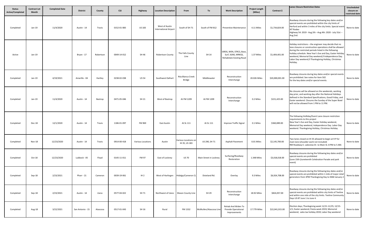| <b>Status</b><br><b>Active/Completed</b> | <b>Contract Let</b><br>Month | <b>Completed Date</b> | <b>District</b>  | County    | <b>CSJ</b>  | Highway           | <b>Location Description</b>                    | From                                  | To                     | <b>Work Description</b>                                                   | <b>Project Length</b><br>(Miles) | Contract \$     | <b>Lanes Closure Restriction Dates</b>                                                                                                                                                                                                                                                                                                                                                   | Unscheduled<br>closure on<br>restricted date |
|------------------------------------------|------------------------------|-----------------------|------------------|-----------|-------------|-------------------|------------------------------------------------|---------------------------------------|------------------------|---------------------------------------------------------------------------|----------------------------------|-----------------|------------------------------------------------------------------------------------------------------------------------------------------------------------------------------------------------------------------------------------------------------------------------------------------------------------------------------------------------------------------------------------------|----------------------------------------------|
| Completed                                | Jan-19                       | 11/4/2020             | Austin - 14      | Travis    | 0152-01-083 | <b>US 183</b>     | West of Austin<br><b>International Airport</b> | South of SH 71                        | South of FM 812        | <b>Preventive Maintenance</b>                                             | 4.11 Miles                       | \$1,734,824.00  | Roadway closures during the following key dates and/or<br>special events are prohibited within the city limits of<br>Herford and within 3 miles of the city limits. Special even<br>XIT Rodeo<br>Highway 54: 2019 - Aug 2th --Aug 4th: 2020 - July 31st --<br>Aug 2nd.                                                                                                                   | None to date                                 |
| Active                                   | Jan-19                       |                       | Bryan - 17       | Robertson | 0049-14-012 | SH 46             | <b>Robertson County</b>                        | The Falls County<br>Line              | SH 14                  | GRDG, WEN, STRCS, Base,<br>Surf, SGNS, MRKGS,<br>Rehabitate Existing Road | 1.37 Miles                       | \$1,404,401.00  | Holiday restrictions - the engineer may decide that no<br>lane closures or construction operations shall be allowed<br>during the restricted periods listed in the following<br>holiday schedule. New Year's Eve and Day, Easter Holiday<br>weekend, Memorial Day weekend, <sup>2</sup> Independence Day.<br>Labor Day weekend, <sup>2</sup> Thanksgiving Holiday, Christmas<br>Holiday. | None to date                                 |
| Completed                                | Jan-19                       | 4/19/2021             | Amarillo - 04    | Hartley   | 0238-02-038 | <b>US 54</b>      | Southwest Dalhart                              | Rita Blanca Creek<br>Bridge           | Middlewater            | Reconstruction<br>Interchange                                             | 20.026 Miles                     | \$20,000,001.00 | Roadway closures during key dates and/or special events<br>are prohibited. See notes for Item 502<br>for the key dates and/or special events.                                                                                                                                                                                                                                            | None to date                                 |
| Completed                                | Jan-19                       | 11/4/2020             | Austin - 14      | Bastrop   | 0471-05-046 | SH 21             | West of Bastrop                                | At FM 1209                            | At FM 1209             | Reconstruction<br>Interchange                                             | 0.2 Miles                        | \$221,425.00    | No closures will be allowed on the weekends, working<br>day prior, and working day after the National Holidays<br>defined in the Standard Specifications, Good Friday, and<br>Easter weekend. Closures the Sunday of the Super Bowl<br>will not be allowed from 1 PM to 11 PM.                                                                                                           | None to date                                 |
| Completed                                | Dec-18                       | 12/1/2020             | Austin - 14      | Travis    | 1186-01-097 | FM 969            | <b>East Austin</b>                             | At SL 111                             | At SL 111              | Improve Traffic Signal                                                    | 0.1 Miles                        | \$360,089.00    | The following Holliday/Event Lane closure restriction<br>requirements to this project<br>New Year's Eve and Day, Easter Holiday weekend,<br>Memorial Day weekend, Independence Day. Labor Day<br>weekend. Thanksgiving Holiday, Christmas Holiday.                                                                                                                                       | None to date                                 |
| Completed                                | Nov-18                       | 12/23/2020            | Austin - 14      | Travis    | 0914-00-418 | Various Locations | Austin                                         | Various Locations on<br>IH 35, US 183 | US 290, SH 71          | <b>Asphalt Pavement</b>                                                   | 0.01 Miles                       | \$2,145,700.00  | Two lanes closed on IH 35 allowed to begin at 9 P for<br>main lane (shoulder work not included)<br>RM Roadway E. Lakeview Dr. to Main St. 8 PM to 5 AM.                                                                                                                                                                                                                                  | None to date                                 |
| Completed                                | Oct-18                       | 12/23/2020            | Lubbock - 05     | Floyd     | 0145-11-011 | FM 97             | East of Lockney                                | <b>US 70</b>                          | Main Street in Lockney | Surfacing/Roadway<br>Restoration                                          | 1.348 Miles                      | \$3,018,018.00  | Roadway closures during the following key dates and/or<br>special events are prohibited<br>(June 15th (Juneteenth Celebration Parade and park<br>event)                                                                                                                                                                                                                                  | None to date                                 |
| Completed                                | Sep-18                       | 2/23/2021             | Pharr - 21       | Cameron   | 0039-19-061 | IH2               |                                                | West of Harlingen Hidalgo/Cameron CL  | Dixieland Rd.          | Overlay                                                                   | 9.3 Miles                        | \$6,924,708.00  | Roadway closures during the following key dates and/or<br>special events are prohibited within 1 mile of major retail<br>generators from 3PM Thanksgiving Day to 9AM January 2                                                                                                                                                                                                           | None to date                                 |
| Completed                                | Sep-18                       | 2/23/2021             | Austin - 14      | Llano     | 0577-04-022 | SH 71             |                                                | Northwest of Llano Mason County Line  | SH 29                  | Reconstruction<br>Interchange                                             | 18.92 Miles                      | \$824,057.00    | Roadway closures during the following key dates and/or<br>special events are prohibited within city limits of Teeline<br>and within one mile of the city limits. Teeline Community<br>Days US 87 June 1 to June 4.                                                                                                                                                                       | None to date                                 |
| Completed                                | Aug-18                       | 3/22/2021             | San Antonio - 15 | Atascosa  | 0517-01-043 | SH 16             | Rural                                          | FM 1332                               | McMullen/Atascosa Line | Rehab And Widen To<br>Provide Operational<br>Improvements                 | 17.779 Miles                     | \$22,041,915.00 | Election days; Thanksgiving week 11/21-11/25; 12/15-<br>1/1; Easter weekend; Fiesta week 2019; Memorial<br>weekend; sales tax holiday 2019; Labor Day weekend                                                                                                                                                                                                                            | None to date                                 |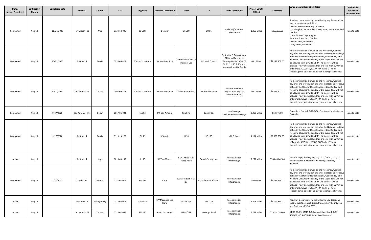| <b>Status</b><br><b>Active/Completed</b> | <b>Contract Let</b><br>Month | <b>Completed Date</b> | <b>District</b>  | County     | <b>CSJ</b>  | Highway                  | <b>Location Description</b> | From                                | To                       | <b>Work Description</b>                                                                                                        | <b>Project Length</b><br>(Miles) | Contract \$     | Lanes Closure Restriction Dates                                                                                                                                                                                                                                                                                                                                                                                                                                         | Unscheduled<br>closure on<br>restricted date |
|------------------------------------------|------------------------------|-----------------------|------------------|------------|-------------|--------------------------|-----------------------------|-------------------------------------|--------------------------|--------------------------------------------------------------------------------------------------------------------------------|----------------------------------|-----------------|-------------------------------------------------------------------------------------------------------------------------------------------------------------------------------------------------------------------------------------------------------------------------------------------------------------------------------------------------------------------------------------------------------------------------------------------------------------------------|----------------------------------------------|
| Completed                                | Aug-18                       | 11/24/2020            | Fort Worth - 02  | Wise       | 0134-12-005 | <b>BU 380F</b>           | Decatur                     | <b>US380</b>                        | <b>BU 81</b>             | Surfacing/Roadway<br>Restoration                                                                                               | 1.465 Miles                      | \$963,087.00    | Roadway closures during the following key dates and /or<br>special events are prohibited.<br>Decatur Main Street Program Events<br>Cruise Nights, 1st Saturday in May, June, September, and<br>October.<br>Chisholm Trail Days, August.<br>Paint the Town Pink, October.<br>Decatur Swirl, November.<br>Lucky Seven, November.                                                                                                                                          | None to date                                 |
| Completed                                | Aug-18                       | 10/21/2020            | Austin - 14      | Travis     | 0914-00-413 | <b>Various Locations</b> | <b>Various Locations</b>    | Various Locations i<br>Bastrop, Lee | Caldwell County          | Restriping & Replacement<br>Of Raised Pavement<br>Markings On Us 290 & 77<br>SH 71, 21, 95 & 304 and<br>Various Other FM Roads | 0.01 Miles                       | \$2,193,468.00  | No closures will be allowed on the weekends, working<br>day prior and working day the after the National Holidays<br>define in the Standard Specifications, Good Friday, and<br>weekend Closures the Sunday of the Super Bowl will not<br>be allowed from 1 PM to 11PM . no closures will be<br>allowed Friday and weekend for projects within 20 miles<br>of Formula. AXCL Fest, SXSW, ROT Rally, UT home<br>football game, sales tax holiday or other special events. | None to date                                 |
| Completed                                | Aug-18                       | 10/12/2020            | Fort Worth - 02  | Tarrant    | 0902-00-213 | <b>Various Locations</b> | <b>Various Locations</b>    | Various Locations                   | <b>Various Locations</b> | <b>Concrete Pavement</b><br>Repair, Spot Repairs<br><b>Various Locations</b>                                                   | 0.01 Miles                       | \$1,777,800.00  | No closures will be allowed on the weekends, working<br>day prior and working day the after the National Holidays<br>define in the Standard Specifications, Good Friday, and<br>weekend Closures the Sunday of the Super Bowl will not<br>be allowed from 1 PM to 11PM . no closures will be<br>allowed Friday and weekend for projects within 20 miles<br>of Formula. AXCL Fest, SXSW, ROT Rally, UT home<br>football game, sales tax holiday or other special events. | None to date                                 |
| Completed                                | Aug-18                       | 9/27/2020             | San Antonio - 15 | Bexar      | 0017-01-024 | SL 353                   | SW San Antonio              | Pitluk Rd                           | Cassin Rd.               | Profile Edge<br>line/Centerline Markings                                                                                       | 2.256 Miles                      | \$13,175.00     | Texas Reds Festival, 9/28-9/30; Christmas Parade- Bryan,<br>December                                                                                                                                                                                                                                                                                                                                                                                                    | None to date                                 |
| Completed                                | Aug-18                       | 9/27/2020             | Austin - 14      | Travis     | 0113-13-175 | SH 71                    | SE Austin                   | IH 35                               | <b>US 183</b>            | Mill & Inlay                                                                                                                   | 4.134 Miles                      | \$2,563,754.00  | No closures will be allowed on the weekends, working<br>day prior and working day the after the National Holidays<br>define in the Standard Specifications, Good Friday, and<br>weekend Closures the Sunday of the Super Bowl will not<br>be allowed from 1 PM to 11PM . no closures will be<br>allowed Friday and weekend for projects within 20 miles<br>of Formula. AXCL Fest, SXSW, ROT Rally, UT home<br>football game, sales tax holiday or other special events. | None to date                                 |
| Active                                   | Aug-18                       |                       | Austin - 14      | Hays       | 0016-03-103 | IH 35                    | SW San Marcos               | 0.741 Miles N. of<br>Posey Road     | Comal County Line        | Reconstruction<br>Interchange                                                                                                  | 2.271 Miles                      | \$30,043,802.00 | Election days; Thanksgiving 11/23-11/25; 12/15-1/1;<br>Easter weekend; Memorial weekend; Labor Day<br>weekend.                                                                                                                                                                                                                                                                                                                                                          | None to date                                 |
| Completed                                | Aug-18                       | 7/21/2021             | Laredo - 22      | Dimmit     | 0237-07-015 | FM 133                   | Rural                       | 5.0 Miles East of US<br>83          | 9.0 Miles East of US 83  | Reconstruction<br>Interchange                                                                                                  | 4.00 Miles                       | \$7,121,347.00  | No closures will be allowed on the weekends, working<br>day prior and working day the after the National Holidays<br>define in the Standard Specifications, Good Friday, and<br>weekend Closures the Sunday of the Super Bowl will not<br>be allowed from 1 PM to 11PM . no closures will be<br>allowed Friday and weekend for projects within 20 miles<br>of Formula. AXCL Fest, SXSW, ROT Rally, UT home<br>football game, sales tax holiday or other special events. | None to date                                 |
| Active                                   | Aug-18                       |                       | Houston - 12     | Montgomery | 0523-08-014 | FM 1488                  | SW Magnolia and<br>Rural    | Waller C/L                          | FM 1774                  | Reconstruction<br>Interchange                                                                                                  | 3.508 Miles                      | \$3,164,973.00  | Roadway closures during the following key dates and<br>special events are prohibited. Montgomery County Fair<br>and Rodeo April 5-28, 2019                                                                                                                                                                                                                                                                                                                              | None to date                                 |
| Active                                   | Aug-18                       |                       | Fort Worth - 02  | Tarrant    | 0718-02-045 | FM 156                   | North Fort Worth            | US 81/287                           | Watauga Road             | Reconstruction<br>Interchange                                                                                                  | 3.777 Miles                      | \$55,191,780.00 | 11/21-11/25; 12/15-1/1; Memorial weekend; 4/11-<br>4/13/19; 4/19-4/21/19; Labor Day Weekend                                                                                                                                                                                                                                                                                                                                                                             | None to date                                 |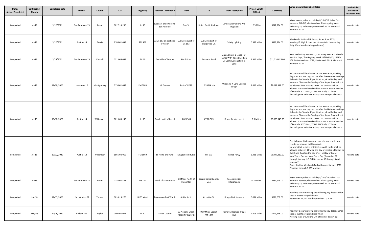| <b>Status</b><br>Active/Completed | <b>Contract Let</b><br><b>Month</b> | <b>Completed Date</b> | <b>District</b>  | County     | <b>CSJ</b>  | Highway       | <b>Location Description</b>                           | From                                 | To                                 | <b>Work Description</b>                                                                 | <b>Project Length</b><br>(Miles) | Contract \$     | <b>Lanes Closure Restriction Dates</b>                                                                                                                                                                                                                                                                                                                                                                                                                                              | Unscheduled<br>closure on<br>restricted date |
|-----------------------------------|-------------------------------------|-----------------------|------------------|------------|-------------|---------------|-------------------------------------------------------|--------------------------------------|------------------------------------|-----------------------------------------------------------------------------------------|----------------------------------|-----------------|-------------------------------------------------------------------------------------------------------------------------------------------------------------------------------------------------------------------------------------------------------------------------------------------------------------------------------------------------------------------------------------------------------------------------------------------------------------------------------------|----------------------------------------------|
| Completed                         | Jul-18                              | 5/12/2021             | San Antonio - 15 | Bexar      | 0017-10-286 | IH 35         | Just east of downtown<br>San Antonio                  | Pine St.                             | Union Pacific Railroad             | Landscape Planting And<br>Irrigation                                                    | 1.75 Miles                       | \$542,994.00    | Major events; sales tax holiday 8/10-8/12; Labor Day<br>weekend 9/1-9/3; election days; Thanksgiving week<br>11/21-11/25; 12/15-1/1; Fiesta week 2019; Memorial<br>weekend 2019                                                                                                                                                                                                                                                                                                     | None to date                                 |
| Completed                         | Jul-18                              | 5/12/2021             | Austin - 14      | Travis     | 1186-01-098 | FM 969        | At US 183 on east side 0.3 Miles West of<br>of Austin | <b>US 183</b>                        | 0.3 Miles East of<br>Craigwood Dr. | Safety Lighting                                                                         | 0.939 Miles                      | \$199,994.00    | Weekends; National Holidays; Super Bowl 2019;<br>Vandergrift High School special events in the evening<br>(http://vhs.leanderisd.org/calendar)                                                                                                                                                                                                                                                                                                                                      | None to date                                 |
| Completed                         | Jul-18                              | 3/19/2021             | San Antonio - 15 | Kendall    | 0215-06-039 | SH 46         | East side of Boerne                                   | <b>Herff Road</b>                    | Ammann Road                        | Expand From 2 Lanes To 4<br>Lanes With Raised Median<br>Or Continuous Left Turn<br>Lane | 1.913 Miles                      | \$11,710,628.00 | Sales tax holiday 8/10-8/12; Labor Day weekend 9/1-9/3;<br>election days; Thanksgiving week 11/21-11/25; 12/15-<br>1/1; Easter weekend 2019; Fiesta week 2019; Memorial<br>weekend 2019                                                                                                                                                                                                                                                                                             | None to date                                 |
| Completed                         | Jul-18                              | 12/30/2020            | Houston - 12     | Montgomery | 3158-01-032 | FM 3083       | NE Conroe                                             | East of UPRR                         | LP 336 North                       | Widen To 4-Lane Divided<br>Urban                                                        | 1.818 Miles                      | \$9,047,341.00  | No closures will be allowed on the weekends, working<br>day prior and working day the after the National Holidays<br>define in the Standard Specifications, Good Friday, and<br>weekend Closures the Sunday of the Super Bowl will not<br>be allowed from 1 PM to 11PM . no closures will be<br>allowed Friday and weekend for projects within 20 miles<br>of Formula. AXCL Fest, SXSW, ROT Rally, UT home<br>football game, sales tax holiday or other special events.             | None to date                                 |
| Completed                         | Jul-18                              | 10/12/2020            | Austin - 14      | Williamson | 0015-08-140 | IH 35         | Rural, north of Jarrell                               | At CR 305                            | AT CR 305                          | <b>Bridge Replacement</b>                                                               | 0.1 Miles                        | \$6,028,949.00  | No closures will be allowed on the weekends, working<br>day prior and working day the after the National Holidays<br>define in the Standard Specifications, Good Friday, and<br>weekend Closures the Sunday of the Super Bowl will not<br>be allowed from 1 PM to 11PM . no closures will be<br>allowed Friday and weekend for projects within 20 miles<br>of Formula. AXCL Fest, SXSW, ROT Rally, UT home<br>football game, sales tax holiday or other special events.             | None to date                                 |
| Completed                         | Jul-18                              | 10/12/2020            | Austin - 14      | Williamson | 1566-02-019 | FM 1660       | SE Hutto and rural                                    | King Lane in Hutto                   | FM 973                             | Rehab Rdwy                                                                              | 6.321 Miles                      | \$8,947,810.00  | The following Holiday/events lane closure restriction<br>requirement apply to this project.<br>No work that restricts or interferes with traffic shall be<br>allowed between 3 PM on the day preceding a Holiday or<br>Event and 9 AM on the day after Holiday or Event.<br>New Year's Eve and New Year's Day (December 31<br>through January 1) 3 PM December 30 through 9 AM<br>January 2.<br>Easter Holiday Weekend (Friday through Sunday) 3PM<br>Thursday through 9 AM Monday. | None to date                                 |
| Completed                         | Jul-18                              |                       | San Antonio - 15 | Bexar      | 0253-04-138 | <b>US 281</b> | North of San Antonio                                  | 0.8 Miles North of<br>Stone Oak      | Bexar/ Comal County<br>Line        | Reconstruction<br>Interchange                                                           | 4.79 Miles                       | \$181,548.00    | Major events; sales tax holiday 8/10-8/12; Labor Day<br>weekend 9/1-9/3; election days; Thanksgiving week<br>11/21-11/25; 12/15-1/1; Fiesta week 2019; Memorial<br>weekend 2019                                                                                                                                                                                                                                                                                                     | None to date                                 |
| Completed                         | Jun-18                              | 11/17/2020            | Fort Worth - 02  | Tarrant    | 0014-16-276 | IH 35 West    | Downtown Fort Worth                                   | At Hattie St.                        | At Hattie St.                      | <b>Bridge Maintenance</b>                                                               | 0.034 Miles                      | \$526,007.00    | Roadway closures during the following key dates and/or<br>special events are prohibited:<br>September 21, 2018 and September 22, 2018.                                                                                                                                                                                                                                                                                                                                              | None to date                                 |
| Completed                         | May-18                              | 12/16/2020            | Abilene - 08     | Taylor     | 0006-04-072 | IH 20         | <b>Taylor County</b>                                  | At Noodle Creek<br>(IH 20 NFR & SFR) | 0.10 Miles East of<br>FM 1085      | Remove/Replace Bridge<br>Rail                                                           | 4.403 Miles                      | \$229,516.00    | Roadway closures during the following key dates and/or<br>special events are prohibited when<br>working in or around the City of Merkel (Sites 4-6):                                                                                                                                                                                                                                                                                                                                | None to date                                 |